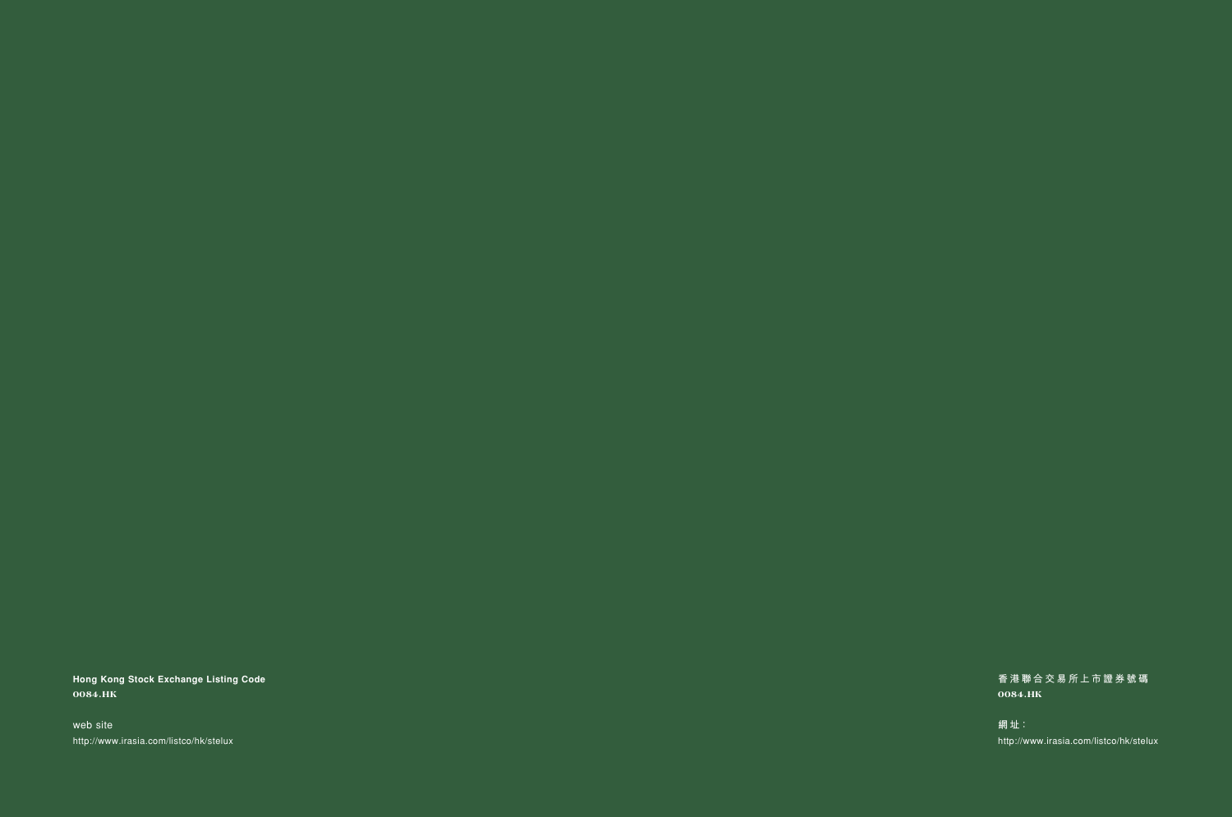**Hong Kong Stock Exchange Listing Code 0084.HK**

web site http://www.irasia.com/listco/hk/stelux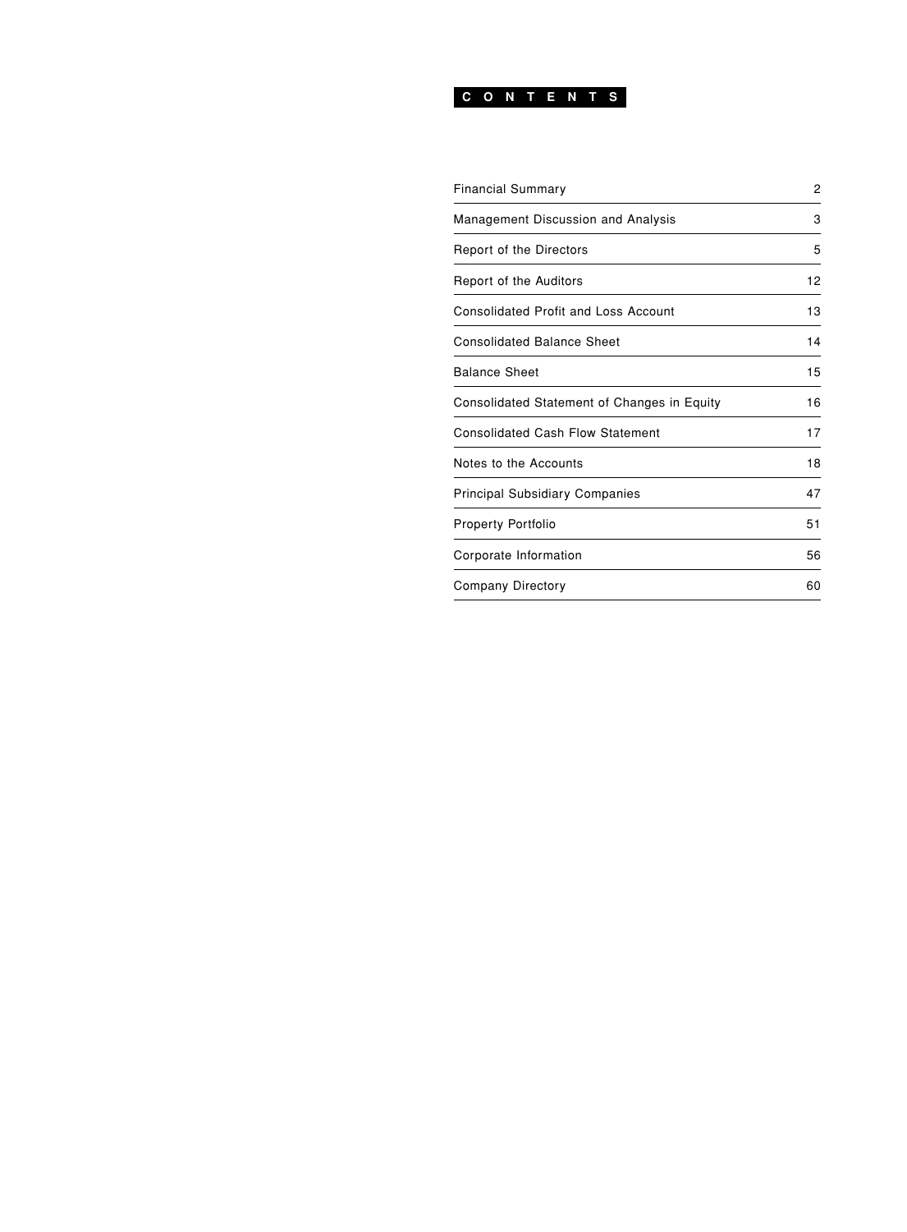## **CONTENTS**

| Financial Summary                           | 2  |
|---------------------------------------------|----|
| Management Discussion and Analysis          | 3  |
| <b>Report of the Directors</b>              | 5  |
| <b>Report of the Auditors</b>               | 12 |
| Consolidated Profit and Loss Account        | 13 |
| <b>Consolidated Balance Sheet</b>           | 14 |
| Balance Sheet                               | 15 |
| Consolidated Statement of Changes in Equity | 16 |
| Consolidated Cash Flow Statement            | 17 |
| Notes to the Accounts                       | 18 |
| Principal Subsidiary Companies              | 47 |
| <b>Property Portfolio</b>                   | 51 |
| Corporate Information                       | 56 |
| Company Directory                           | 60 |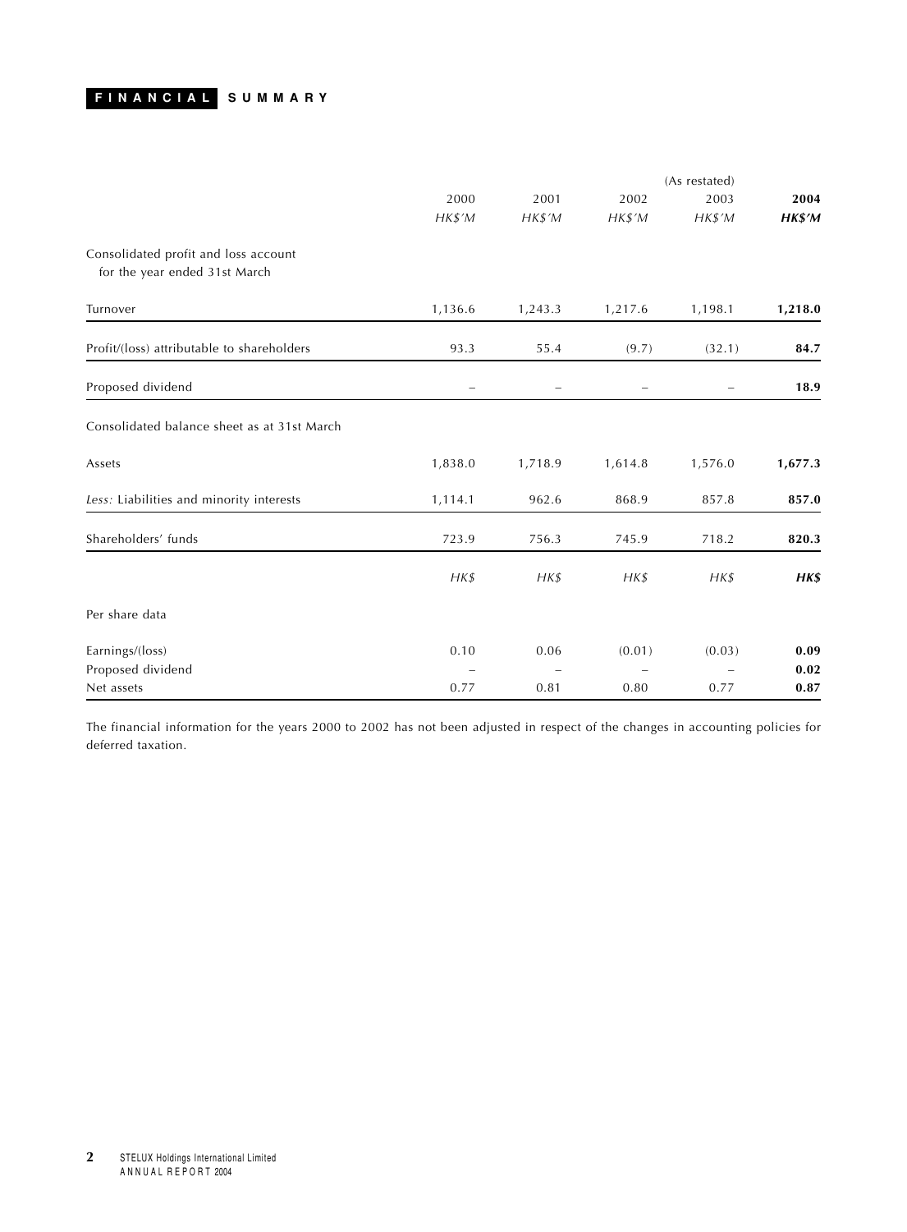## <span id="page-2-0"></span>**FINANCIAL SUMMARY**

|                                             |                |          | (As restated)            |                          |         |
|---------------------------------------------|----------------|----------|--------------------------|--------------------------|---------|
|                                             | 2000           | 2001     | 2002                     | 2003                     | 2004    |
|                                             | HK\$'M         | HK\$'M   | $H K $^{\prime} M$       | $H K $^{\prime} M$       | HK\$'M  |
| Consolidated profit and loss account        |                |          |                          |                          |         |
| for the year ended 31st March               |                |          |                          |                          |         |
| Turnover                                    | 1,136.6        | 1,243.3  | 1,217.6                  | 1,198.1                  | 1,218.0 |
| Profit/(loss) attributable to shareholders  | 93.3           | 55.4     | (9.7)                    | (32.1)                   | 84.7    |
| Proposed dividend                           | $\overline{a}$ |          | $\overline{\phantom{0}}$ | $\overline{\phantom{0}}$ | 18.9    |
| Consolidated balance sheet as at 31st March |                |          |                          |                          |         |
| Assets                                      | 1,838.0        | 1,718.9  | 1,614.8                  | 1,576.0                  | 1,677.3 |
| Less: Liabilities and minority interests    | 1,114.1        | 962.6    | 868.9                    | 857.8                    | 857.0   |
| Shareholders' funds                         | 723.9          | 756.3    | 745.9                    | 718.2                    | 820.3   |
|                                             | $H K$ \$       | $H K$ \$ | $H K$ \$                 | $H K$ \$                 | HK\$    |
| Per share data                              |                |          |                          |                          |         |
| Earnings/(loss)                             | 0.10           | 0.06     | (0.01)                   | (0.03)                   | 0.09    |
| Proposed dividend                           |                |          |                          |                          | 0.02    |
| Net assets                                  | 0.77           | 0.81     | 0.80                     | 0.77                     | 0.87    |

The financial information for the years 2000 to 2002 has not been adjusted in respect of the changes in accounting policies for deferred taxation.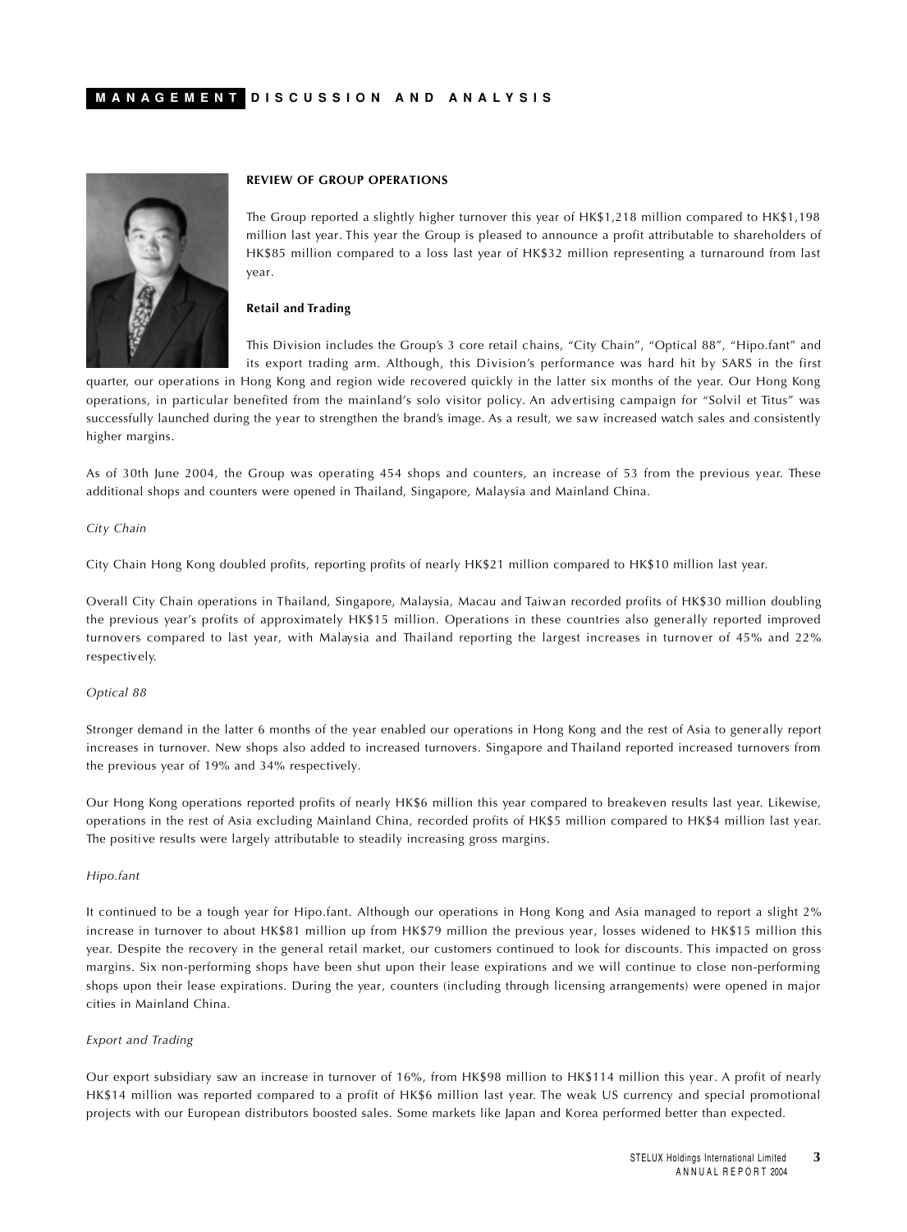<span id="page-3-0"></span>

#### **REVIEW OF GROUP OPERATIONS**

The Group reported a slightly higher turnover this year of HK\$1,218 million compared to HK\$1,198 million last year. This year the Group is pleased to announce a profit attributable to shareholders of HK\$85 million compared to a loss last year of HK\$32 million representing a turnaround from last year.

#### **Retail and Trading**

This Division includes the Group's 3 core retail chains, "City Chain", "Optical 88", "Hipo.fant" and its export trading arm. Although, this Division's performance was hard hit by SARS in the first

quarter, our operations in Hong Kong and region wide recovered quickly in the latter six months of the year. Our Hong Kong operations, in particular benefited from the mainland's solo visitor policy. An advertising campaign for "Solvil et Titus" was successfully launched during the year to strengthen the brand's image. As a result, we saw increased watch sales and consistently higher margins.

As of 30th June 2004, the Group was operating 454 shops and counters, an increase of 53 from the previous year. These additional shops and counters were opened in Thailand, Singapore, Malaysia and Mainland China.

#### *City Chain*

City Chain Hong Kong doubled profits, reporting profits of nearly HK\$21 million compared to HK\$10 million last year.

Overall City Chain operations in Thailand, Singapore, Malaysia, Macau and Taiwan recorded profits of HK\$30 million doubling the previous year's profits of approximately HK\$15 million. Operations in these countries also generally reported improved turnovers compared to last year, with Malaysia and Thailand reporting the largest increases in turnover of 45% and 22% respectively.

#### *Optical 88*

Stronger demand in the latter 6 months of the year enabled our operations in Hong Kong and the rest of Asia to generally report increases in turnover. New shops also added to increased turnovers. Singapore and Thailand reported increased turnovers from the previous year of 19% and 34% respectively.

Our Hong Kong operations reported profits of nearly HK\$6 million this year compared to breakeven results last year. Likewise, operations in the rest of Asia excluding Mainland China, recorded profits of HK\$5 million compared to HK\$4 million last year. The positive results were largely attributable to steadily increasing gross margins.

## *Hipo.fant*

It continued to be a tough year for Hipo.fant. Although our operations in Hong Kong and Asia managed to report a slight 2% increase in turnover to about HK\$81 million up from HK\$79 million the previous year, losses widened to HK\$15 million this year. Despite the recovery in the general retail market, our customers continued to look for discounts. This impacted on gross margins. Six non-performing shops have been shut upon their lease expirations and we will continue to close non-performing shops upon their lease expirations. During the year, counters (including through licensing arrangements) were opened in major cities in Mainland China.

#### *Export and Trading*

Our export subsidiary saw an increase in turnover of 16%, from HK\$98 million to HK\$114 million this year. A profit of nearly HK\$14 million was reported compared to a profit of HK\$6 million last year. The weak US currency and special promotional projects with our European distributors boosted sales. Some markets like Japan and Korea performed better than expected.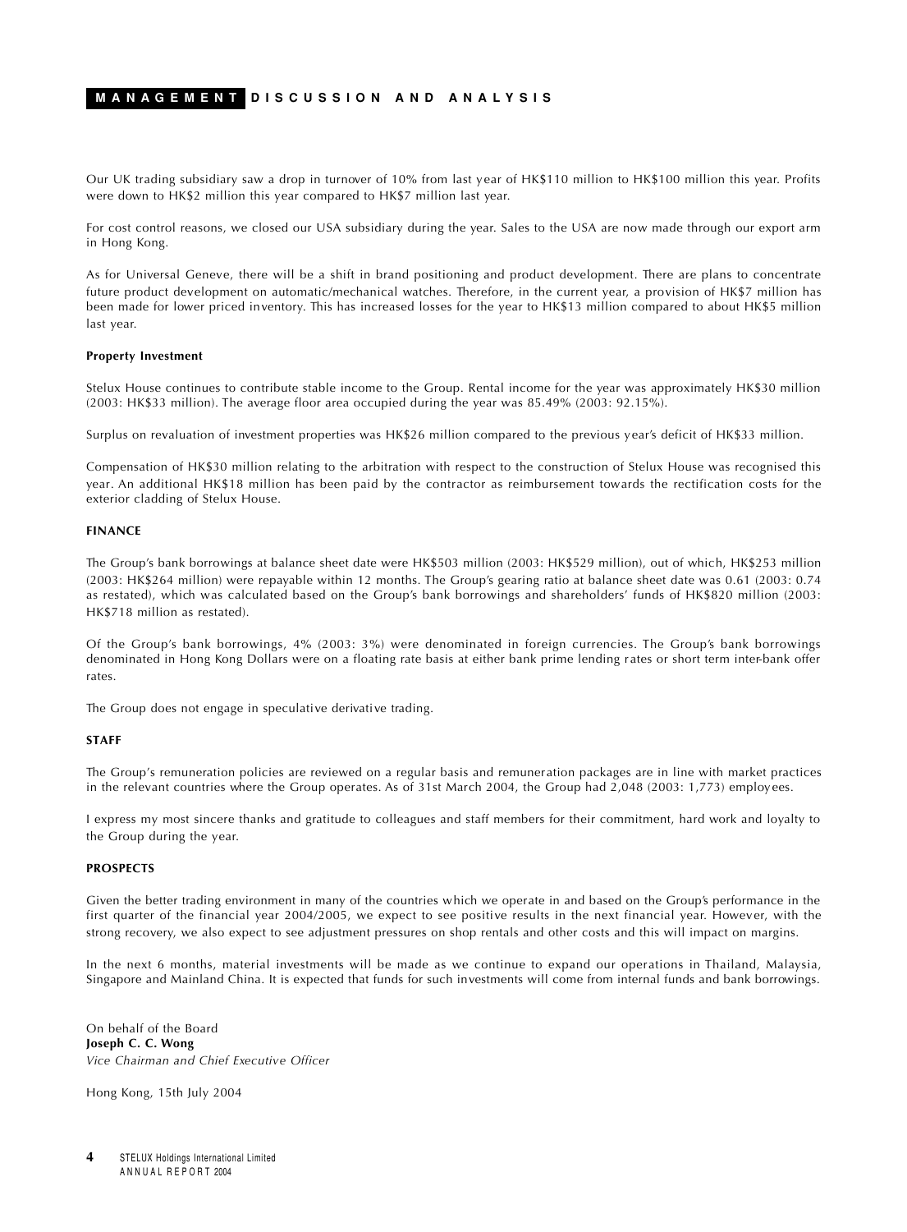## **MANAGEMENT DISCUSSION AND ANALYSIS**

Our UK trading subsidiary saw a drop in turnover of 10% from last year of HK\$110 million to HK\$100 million this year. Profits were down to HK\$2 million this year compared to HK\$7 million last year.

For cost control reasons, we closed our USA subsidiary during the year. Sales to the USA are now made through our export arm in Hong Kong.

As for Universal Geneve, there will be a shift in brand positioning and product development. There are plans to concentrate future product development on automatic/mechanical watches. Therefore, in the current year, a provision of HK\$7 million has been made for lower priced inventory. This has increased losses for the year to HK\$13 million compared to about HK\$5 million last year.

#### **Property Investment**

Stelux House continues to contribute stable income to the Group. Rental income for the year was approximately HK\$30 million (2003: HK\$33 million). The average floor area occupied during the year was 85.49% (2003: 92.15%).

Surplus on revaluation of investment properties was HK\$26 million compared to the previous year's deficit of HK\$33 million.

Compensation of HK\$30 million relating to the arbitration with respect to the construction of Stelux House was recognised this year. An additional HK\$18 million has been paid by the contractor as reimbursement towards the rectification costs for the exterior cladding of Stelux House.

#### **FINANCE**

The Group's bank borrowings at balance sheet date were HK\$503 million (2003: HK\$529 million), out of which, HK\$253 million (2003: HK\$264 million) were repayable within 12 months. The Group's gearing ratio at balance sheet date was 0.61 (2003: 0.74 as restated), which was calculated based on the Group's bank borrowings and shareholders' funds of HK\$820 million (2003: HK\$718 million as restated).

Of the Group's bank borrowings, 4% (2003: 3%) were denominated in foreign currencies. The Group's bank borrowings denominated in Hong Kong Dollars were on a floating rate basis at either bank prime lending r ates or short term inter-bank offer rates.

The Group does not engage in speculative derivative trading.

#### **STAFF**

The Group's remuneration policies are reviewed on a regular basis and remuneration packages are in line with market practices in the relevant countries where the Group operates. As of 31st March 2004, the Group had 2,048 (2003: 1,773) employees.

I express my most sincere thanks and gratitude to colleagues and staff members for their commitment, hard work and loyalty to the Group during the year.

### **PROSPECTS**

Given the better trading environment in many of the countries which we operate in and based on the Group's performance in the first quarter of the financial year 2004/2005, we expect to see positive results in the next financial year. However, with the strong recovery, we also expect to see adjustment pressures on shop rentals and other costs and this will impact on margins.

In the next 6 months, material investments will be made as we continue to expand our operations in Thailand, Malaysia, Singapore and Mainland China. It is expected that funds for such investments will come from internal funds and bank borrowings.

On behalf of the Board **Joseph C. C. Wong** *Vice Chairman and Chief Executive Officer*

Hong Kong, 15th July 2004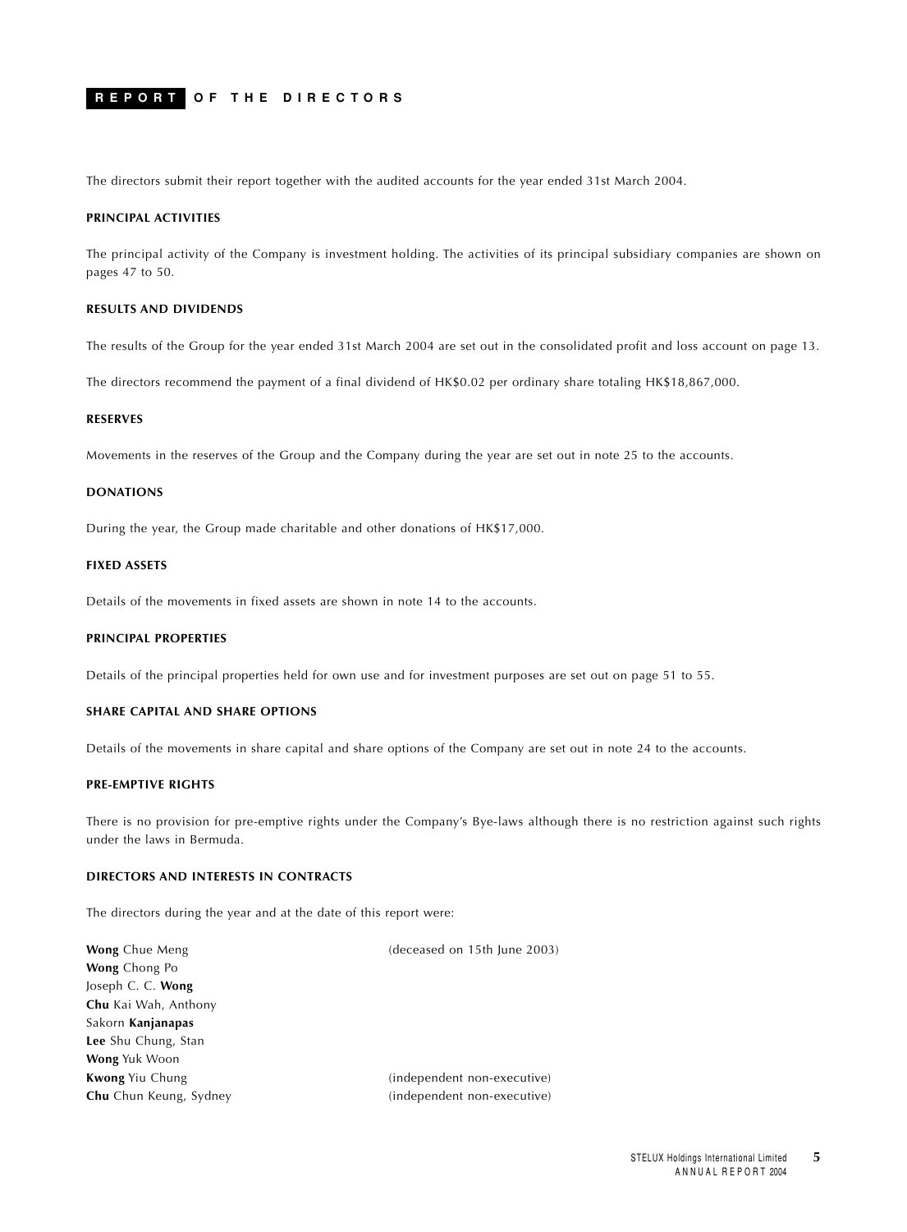## <span id="page-5-0"></span>**REPORT OF THE DIRECTORS**

The directors submit their report together with the audited accounts for the year ended 31st March 2004.

#### **PRINCIPAL ACTIVITIES**

The principal activity of the Company is investment holding. The activities of its principal subsidiary companies are shown on pages 47 to 50.

#### **RESULTS AND DIVIDENDS**

The results of the Group for the year ended 31st March 2004 are set out in the consolidated profit and loss account on page 13.

The directors recommend the payment of a final dividend of HK\$0.02 per ordinary share totaling HK\$18,867,000.

#### **RESERVES**

Movements in the reserves of the Group and the Company during the year are set out in note 25 to the accounts.

#### **DONATIONS**

During the year, the Group made charitable and other donations of HK\$17,000.

## **FIXED ASSETS**

Details of the movements in fixed assets are shown in note 14 to the accounts.

## **PRINCIPAL PROPERTIES**

Details of the principal properties held for own use and for investment purposes are set out on page 51 to 55.

### **SHARE CAPITAL AND SHARE OPTIONS**

Details of the movements in share capital and share options of the Company are set out in note 24 to the accounts.

### **PRE-EMPTIVE RIGHTS**

There is no provision for pre-emptive rights under the Company's Bye-laws although there is no restriction against such rights under the laws in Bermuda.

## **DIRECTORS AND INTERESTS IN CONTRACTS**

The directors during the year and at the date of this report were:

| (deceased on 15th June 2003) |
|------------------------------|
|                              |
|                              |
|                              |
|                              |
|                              |
|                              |
| (independent non-executive)  |
| (independent non-executive)  |
|                              |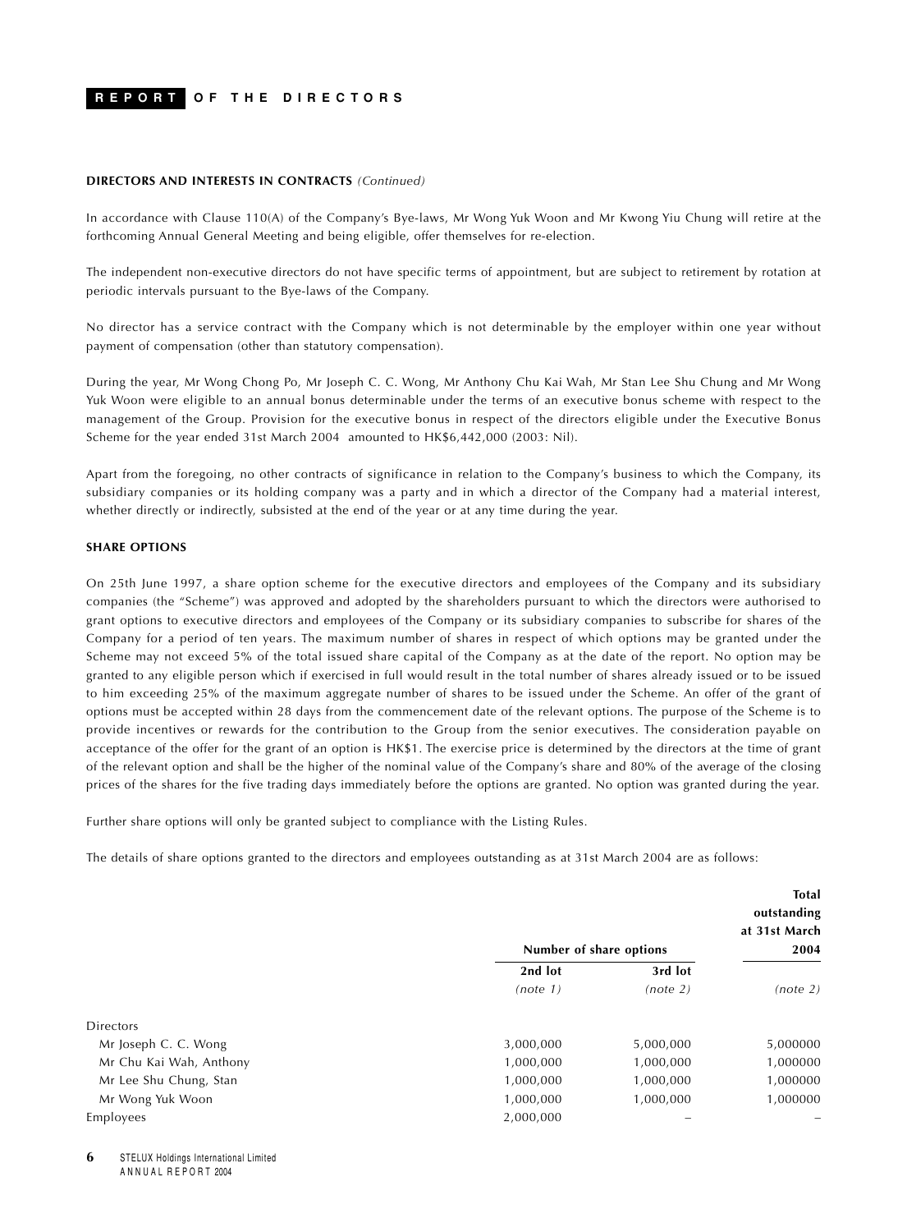#### **REPORT OF THE DIRECTORS**

#### **DIRECTORS AND INTERESTS IN CONTRACTS** *(Continued)*

In accordance with Clause 110(A) of the Company's Bye-laws, Mr Wong Yuk Woon and Mr Kwong Yiu Chung will retire at the forthcoming Annual General Meeting and being eligible, offer themselves for re-election.

The independent non-executive directors do not have specific terms of appointment, but are subject to retirement by rotation at periodic intervals pursuant to the Bye-laws of the Company.

No director has a service contract with the Company which is not determinable by the employer within one year without payment of compensation (other than statutory compensation).

During the year, Mr Wong Chong Po, Mr Joseph C. C. Wong, Mr Anthony Chu Kai Wah, Mr Stan Lee Shu Chung and Mr Wong Yuk Woon were eligible to an annual bonus determinable under the terms of an executive bonus scheme with respect to the management of the Group. Provision for the executive bonus in respect of the directors eligible under the Executive Bonus Scheme for the year ended 31st March 2004 amounted to HK\$6,442,000 (2003: Nil).

Apart from the foregoing, no other contracts of significance in relation to the Company's business to which the Company, its subsidiary companies or its holding company was a party and in which a director of the Company had a material interest, whether directly or indirectly, subsisted at the end of the year or at any time during the year.

### **SHARE OPTIONS**

On 25th June 1997, a share option scheme for the executive directors and employees of the Company and its subsidiary companies (the "Scheme") was approved and adopted by the shareholders pursuant to which the directors were authorised to grant options to executive directors and employees of the Company or its subsidiary companies to subscribe for shares of the Company for a period of ten years. The maximum number of shares in respect of which options may be granted under the Scheme may not exceed 5% of the total issued share capital of the Company as at the date of the report. No option may be granted to any eligible person which if exercised in full would result in the total number of shares already issued or to be issued to him exceeding 25% of the maximum aggregate number of shares to be issued under the Scheme. An offer of the grant of options must be accepted within 28 days from the commencement date of the relevant options. The purpose of the Scheme is to provide incentives or rewards for the contribution to the Group from the senior executives. The consideration payable on acceptance of the offer for the grant of an option is HK\$1. The exercise price is determined by the directors at the time of grant of the relevant option and shall be the higher of the nominal value of the Company's share and 80% of the average of the closing prices of the shares for the five trading days immediately before the options are granted. No option was granted during the year.

Further share options will only be granted subject to compliance with the Listing Rules.

The details of share options granted to the directors and employees outstanding as at 31st March 2004 are as follows:

|           |           | <b>Total</b><br>outstanding<br>at 31st March<br>2004 |
|-----------|-----------|------------------------------------------------------|
| 2nd lot   | 3rd lot   |                                                      |
| (note 1)  | (note 2)  | (note 2)                                             |
|           |           |                                                      |
| 3,000,000 | 5,000,000 | 5,000000                                             |
| 1,000,000 | 1,000,000 | 1,000000                                             |
| 1,000,000 | 1,000,000 | 1,000000                                             |
| 1,000,000 | 1,000,000 | 1,000000                                             |
| 2,000,000 |           |                                                      |
|           |           | Number of share options                              |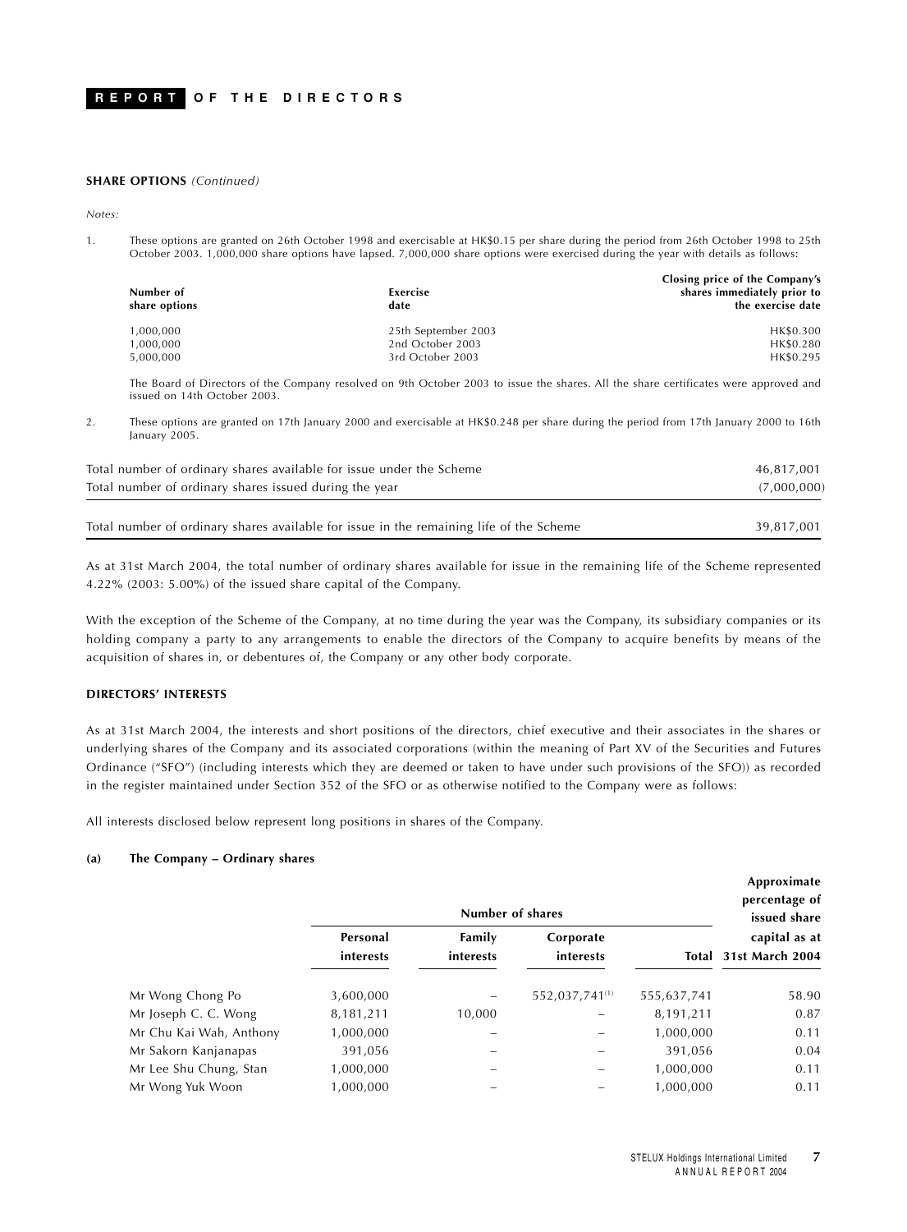#### **SHARE OPTIONS** *(Continued)*

*Notes:*

1. These options are granted on 26th October 1998 and exercisable at HK\$0.15 per share during the period from 26th October 1998 to 25th October 2003. 1,000,000 share options have lapsed. 7,000,000 share options were exercised during the year with details as follows:

| shares immediately prior to<br>Number of<br>Exercise<br>share options<br>date | the exercise date |
|-------------------------------------------------------------------------------|-------------------|
| 25th September 2003<br>1.000.000                                              | HK\$0.300         |
| 2nd October 2003<br>1.000.000                                                 | HK\$0.280         |
| 3rd October 2003<br>5,000,000                                                 | HK\$0.295         |

The Board of Directors of the Company resolved on 9th October 2003 to issue the shares. All the share certificates were approved and issued on 14th October 2003.

2. These options are granted on 17th January 2000 and exercisable at HK\$0.248 per share during the period from 17th January 2000 to 16th January 2005.

| Total number of ordinary shares available for issue under the Scheme                    | 46,817,001  |
|-----------------------------------------------------------------------------------------|-------------|
| Total number of ordinary shares issued during the year                                  | (7,000,000) |
| Total number of ordinary shares available for issue in the remaining life of the Scheme | 39,817,001  |
|                                                                                         |             |

As at 31st March 2004, the total number of ordinary shares available for issue in the remaining life of the Scheme represented 4.22% (2003: 5.00%) of the issued share capital of the Company.

With the exception of the Scheme of the Company, at no time during the year was the Company, its subsidiary companies or its holding company a party to any arrangements to enable the directors of the Company to acquire benefits by means of the acquisition of shares in, or debentures of, the Company or any other body corporate.

#### **DIRECTORS' INTERESTS**

As at 31st March 2004, the interests and short positions of the directors, chief executive and their associates in the shares or underlying shares of the Company and its associated corporations (within the meaning of Part XV of the Securities and Futures Ordinance ("SFO") (including interests which they are deemed or taken to have under such provisions of the SFO)) as recorded in the register maintained under Section 352 of the SFO or as otherwise notified to the Company were as follows:

All interests disclosed below represent long positions in shares of the Company.

### **(a) The Company – Ordinary shares**

|                         | Number of shares      |                     |                            |             | Approximate<br>percentage of<br>issued share |
|-------------------------|-----------------------|---------------------|----------------------------|-------------|----------------------------------------------|
|                         | Personal<br>interests | Family<br>interests | Corporate<br>interests     | Total       | capital as at<br>31st March 2004             |
| Mr Wong Chong Po        | 3,600,000             |                     | 552,037,741 <sup>(1)</sup> | 555,637,741 | 58.90                                        |
| Mr Joseph C. C. Wong    | 8,181,211             | 10,000              |                            | 8,191,211   | 0.87                                         |
| Mr Chu Kai Wah, Anthony | 1,000,000             |                     |                            | 1,000,000   | 0.11                                         |
| Mr Sakorn Kanjanapas    | 391,056               |                     |                            | 391,056     | 0.04                                         |
| Mr Lee Shu Chung, Stan  | 1,000,000             |                     |                            | 1,000,000   | 0.11                                         |
| Mr Wong Yuk Woon        | 1,000,000             |                     |                            | 1,000,000   | 0.11                                         |

**Approximate**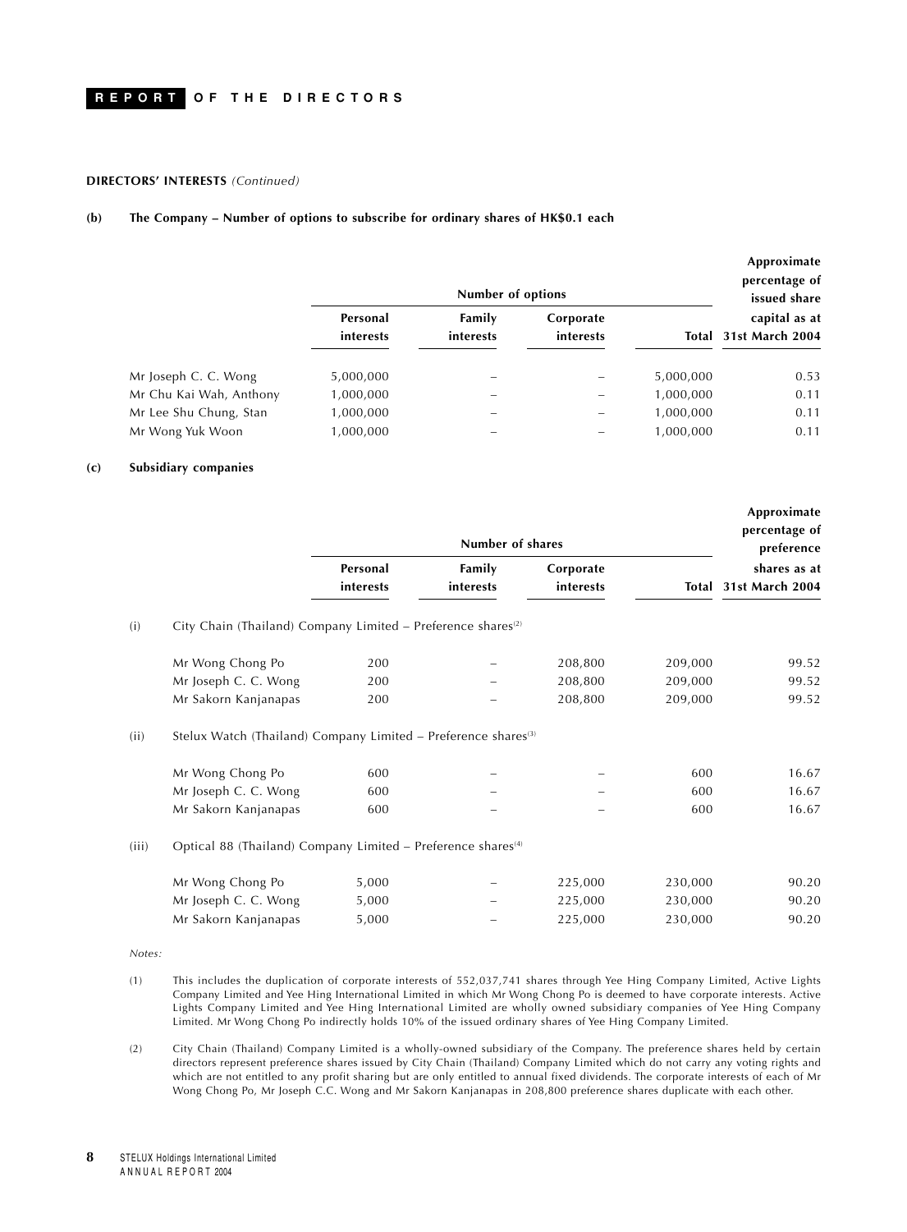#### **DIRECTORS' INTERESTS** *(Continued)*

#### **(b) The Company – Number of options to subscribe for ordinary shares of HK\$0.1 each**

|                         | Number of options     |                     |                        |           | Approximate<br>percentage of<br>issued share |
|-------------------------|-----------------------|---------------------|------------------------|-----------|----------------------------------------------|
|                         | Personal<br>interests | Family<br>interests | Corporate<br>interests |           | capital as at<br>Total 31st March 2004       |
| Mr Joseph C. C. Wong    | 5,000,000             |                     |                        | 5,000,000 | 0.53                                         |
| Mr Chu Kai Wah, Anthony | 1,000,000             |                     |                        | 1,000,000 | 0.11                                         |
| Mr Lee Shu Chung, Stan  | 1,000,000             |                     |                        | 1,000,000 | 0.11                                         |
| Mr Wong Yuk Woon        | 1,000,000             |                     |                        | 1,000,000 | 0.11                                         |

#### **(c) Subsidiary companies**

|       |                                                                            |           | Number of shares |           |         | Approximate<br>percentage of<br>preference |
|-------|----------------------------------------------------------------------------|-----------|------------------|-----------|---------|--------------------------------------------|
|       |                                                                            | Personal  | Family           | Corporate |         | shares as at                               |
|       |                                                                            | interests | interests        | interests |         | Total 31st March 2004                      |
| (i)   | City Chain (Thailand) Company Limited - Preference shares <sup>(2)</sup>   |           |                  |           |         |                                            |
|       | Mr Wong Chong Po                                                           | 200       |                  | 208,800   | 209,000 | 99.52                                      |
|       | Mr Joseph C. C. Wong                                                       | 200       |                  | 208,800   | 209,000 | 99.52                                      |
|       | Mr Sakorn Kanjanapas                                                       | 200       |                  | 208,800   | 209,000 | 99.52                                      |
| (ii)  | Stelux Watch (Thailand) Company Limited - Preference shares <sup>(3)</sup> |           |                  |           |         |                                            |
|       | Mr Wong Chong Po                                                           | 600       |                  |           | 600     | 16.67                                      |
|       | Mr Joseph C. C. Wong                                                       | 600       |                  |           | 600     | 16.67                                      |
|       | Mr Sakorn Kanjanapas                                                       | 600       |                  |           | 600     | 16.67                                      |
| (iii) | Optical 88 (Thailand) Company Limited - Preference shares <sup>(4)</sup>   |           |                  |           |         |                                            |
|       | Mr Wong Chong Po                                                           | 5,000     |                  | 225,000   | 230,000 | 90.20                                      |
|       | Mr Joseph C. C. Wong                                                       | 5,000     |                  | 225,000   | 230,000 | 90.20                                      |
|       | Mr Sakorn Kanjanapas                                                       | 5,000     |                  | 225,000   | 230,000 | 90.20                                      |

*Notes:*

(1) This includes the duplication of corporate interests of 552,037,741 shares through Yee Hing Company Limited, Active Lights Company Limited and Yee Hing International Limited in which Mr Wong Chong Po is deemed to have corporate interests. Active Lights Company Limited and Yee Hing International Limited are wholly owned subsidiary companies of Yee Hing Company Limited. Mr Wong Chong Po indirectly holds 10% of the issued ordinary shares of Yee Hing Company Limited.

(2) City Chain (Thailand) Company Limited is a wholly-owned subsidiary of the Company. The preference shares held by certain directors represent preference shares issued by City Chain (Thailand) Company Limited which do not carry any voting rights and which are not entitled to any profit sharing but are only entitled to annual fixed dividends. The corporate interests of each of Mr Wong Chong Po, Mr Joseph C.C. Wong and Mr Sakorn Kanjanapas in 208,800 preference shares duplicate with each other.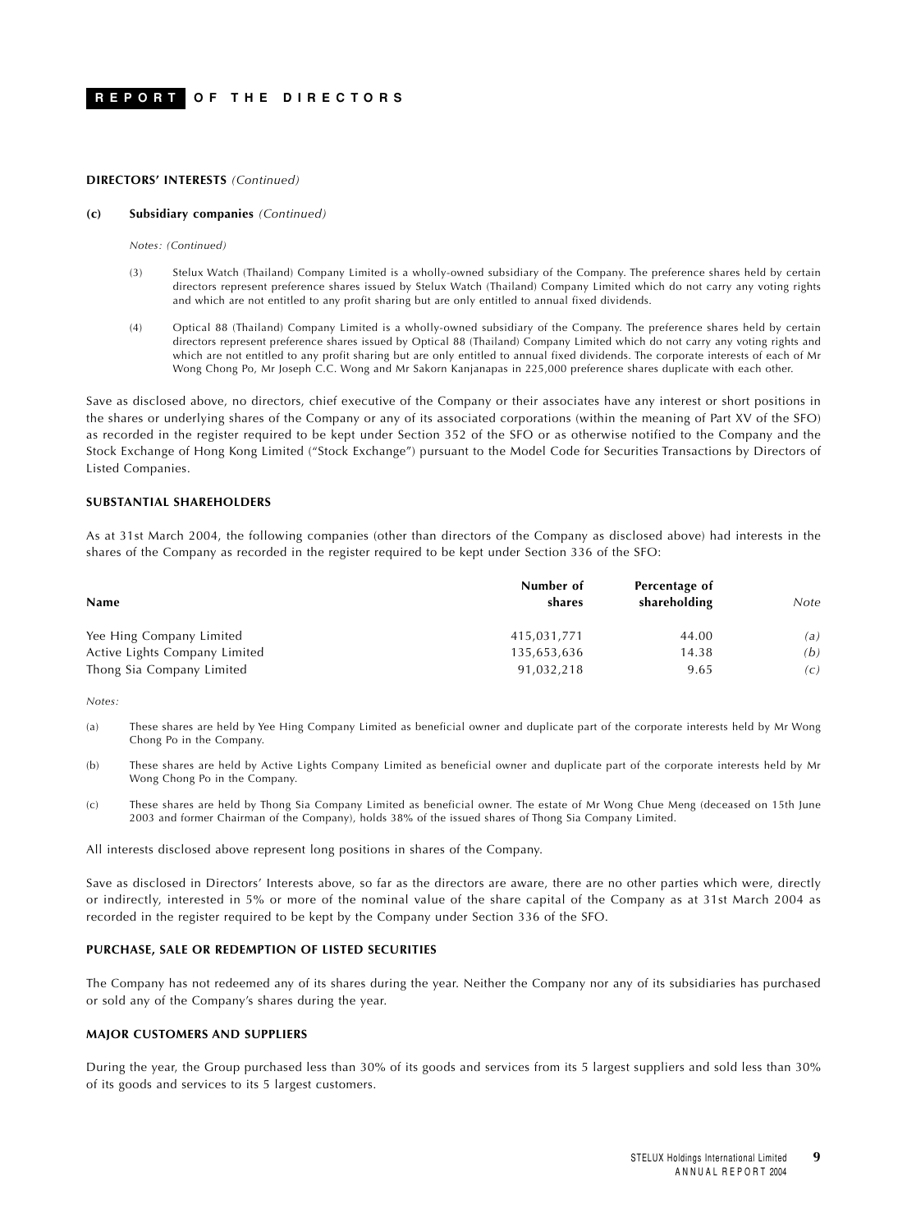#### **DIRECTORS' INTERESTS** *(Continued)*

#### **(c) Subsidiary companies** *(Continued)*

*Notes: (Continued)*

- (3) Stelux Watch (Thailand) Company Limited is a wholly-owned subsidiary of the Company. The preference shares held by certain directors represent preference shares issued by Stelux Watch (Thailand) Company Limited which do not carry any voting rights and which are not entitled to any profit sharing but are only entitled to annual fixed dividends.
- (4) Optical 88 (Thailand) Company Limited is a wholly-owned subsidiary of the Company. The preference shares held by certain directors represent preference shares issued by Optical 88 (Thailand) Company Limited which do not carry any voting rights and which are not entitled to any profit sharing but are only entitled to annual fixed dividends. The corporate interests of each of Mr Wong Chong Po, Mr Joseph C.C. Wong and Mr Sakorn Kanjanapas in 225,000 preference shares duplicate with each other.

Save as disclosed above, no directors, chief executive of the Company or their associates have any interest or short positions in the shares or underlying shares of the Company or any of its associated corporations (within the meaning of Part XV of the SFO) as recorded in the register required to be kept under Section 352 of the SFO or as otherwise notified to the Company and the Stock Exchange of Hong Kong Limited ("Stock Exchange") pursuant to the Model Code for Securities Transactions by Directors of Listed Companies.

## **SUBSTANTIAL SHAREHOLDERS**

As at 31st March 2004, the following companies (other than directors of the Company as disclosed above) had interests in the shares of the Company as recorded in the register required to be kept under Section 336 of the SFO:

| <b>Name</b>                   | Number of<br>shares | Percentage of<br>shareholding | Note |
|-------------------------------|---------------------|-------------------------------|------|
| Yee Hing Company Limited      | 415,031,771         | 44.00                         | (a)  |
| Active Lights Company Limited | 135,653,636         | 14.38                         | (b)  |
| Thong Sia Company Limited     | 91,032,218          | 9.65                          | (c)  |

*Notes:*

- (a) These shares are held by Yee Hing Company Limited as beneficial owner and duplicate part of the corporate interests held by Mr Wong Chong Po in the Company.
- (b) These shares are held by Active Lights Company Limited as beneficial owner and duplicate part of the corporate interests held by Mr Wong Chong Po in the Company.
- (c) These shares are held by Thong Sia Company Limited as beneficial owner. The estate of Mr Wong Chue Meng (deceased on 15th June 2003 and former Chairman of the Company), holds 38% of the issued shares of Thong Sia Company Limited.

All interests disclosed above represent long positions in shares of the Company.

Save as disclosed in Directors' Interests above, so far as the directors are aware, there are no other parties which were, directly or indirectly, interested in 5% or more of the nominal value of the share capital of the Company as at 31st March 2004 as recorded in the register required to be kept by the Company under Section 336 of the SFO.

### **PURCHASE, SALE OR REDEMPTION OF LISTED SECURITIES**

The Company has not redeemed any of its shares during the year. Neither the Company nor any of its subsidiaries has purchased or sold any of the Company's shares during the year.

#### **MAJOR CUSTOMERS AND SUPPLIERS**

During the year, the Group purchased less than 30% of its goods and services from its 5 largest suppliers and sold less than 30% of its goods and services to its 5 largest customers.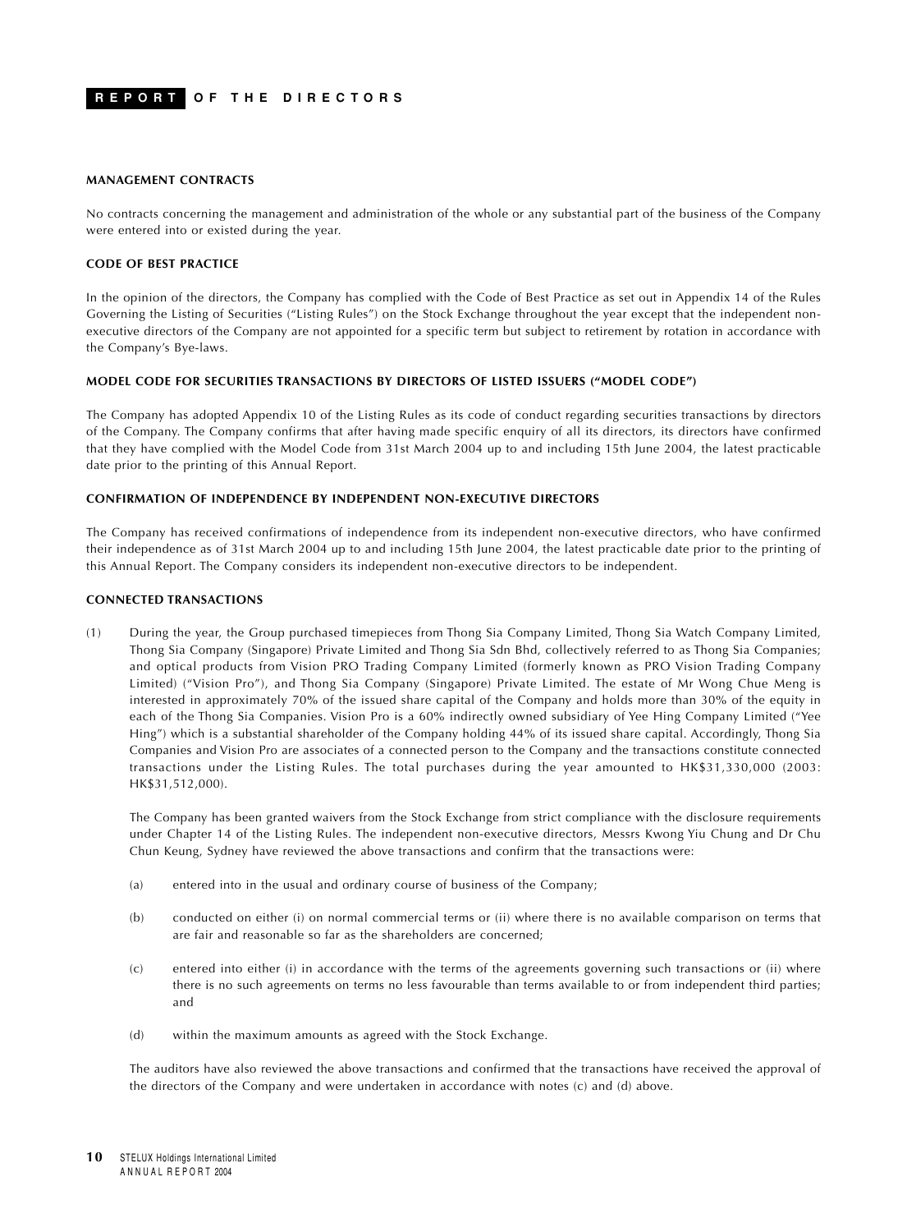#### **MANAGEMENT CONTRACTS**

No contracts concerning the management and administration of the whole or any substantial part of the business of the Company were entered into or existed during the year.

#### **CODE OF BEST PRACTICE**

In the opinion of the directors, the Company has complied with the Code of Best Practice as set out in Appendix 14 of the Rules Governing the Listing of Securities ("Listing Rules") on the Stock Exchange throughout the year except that the independent nonexecutive directors of the Company are not appointed for a specific term but subject to retirement by rotation in accordance with the Company's Bye-laws.

#### **MODEL CODE FOR SECURITIES TRANSACTIONS BY DIRECTORS OF LISTED ISSUERS ("MODEL CODE")**

The Company has adopted Appendix 10 of the Listing Rules as its code of conduct regarding securities transactions by directors of the Company. The Company confirms that after having made specific enquiry of all its directors, its directors have confirmed that they have complied with the Model Code from 31st March 2004 up to and including 15th June 2004, the latest practicable date prior to the printing of this Annual Report.

#### **CONFIRMATION OF INDEPENDENCE BY INDEPENDENT NON-EXECUTIVE DIRECTORS**

The Company has received confirmations of independence from its independent non-executive directors, who have confirmed their independence as of 31st March 2004 up to and including 15th June 2004, the latest practicable date prior to the printing of this Annual Report. The Company considers its independent non-executive directors to be independent.

#### **CONNECTED TRANSACTIONS**

(1) During the year, the Group purchased timepieces from Thong Sia Company Limited, Thong Sia Watch Company Limited, Thong Sia Company (Singapore) Private Limited and Thong Sia Sdn Bhd, collectively referred to as Thong Sia Companies; and optical products from Vision PRO Trading Company Limited (formerly known as PRO Vision Trading Company Limited) ("Vision Pro"), and Thong Sia Company (Singapore) Private Limited. The estate of Mr Wong Chue Meng is interested in approximately 70% of the issued share capital of the Company and holds more than 30% of the equity in each of the Thong Sia Companies. Vision Pro is a 60% indirectly owned subsidiary of Yee Hing Company Limited ("Yee Hing") which is a substantial shareholder of the Company holding 44% of its issued share capital. Accordingly, Thong Sia Companies and Vision Pro are associates of a connected person to the Company and the transactions constitute connected transactions under the Listing Rules. The total purchases during the year amounted to HK\$31,330,000 (2003: HK\$31,512,000).

The Company has been granted waivers from the Stock Exchange from strict compliance with the disclosure requirements under Chapter 14 of the Listing Rules. The independent non-executive directors, Messrs Kwong Yiu Chung and Dr Chu Chun Keung, Sydney have reviewed the above transactions and confirm that the transactions were:

- (a) entered into in the usual and ordinary course of business of the Company;
- (b) conducted on either (i) on normal commercial terms or (ii) where there is no available comparison on terms that are fair and reasonable so far as the shareholders are concerned;
- (c) entered into either (i) in accordance with the terms of the agreements governing such transactions or (ii) where there is no such agreements on terms no less favourable than terms available to or from independent third parties; and
- (d) within the maximum amounts as agreed with the Stock Exchange.

The auditors have also reviewed the above transactions and confirmed that the transactions have received the approval of the directors of the Company and were undertaken in accordance with notes (c) and (d) above.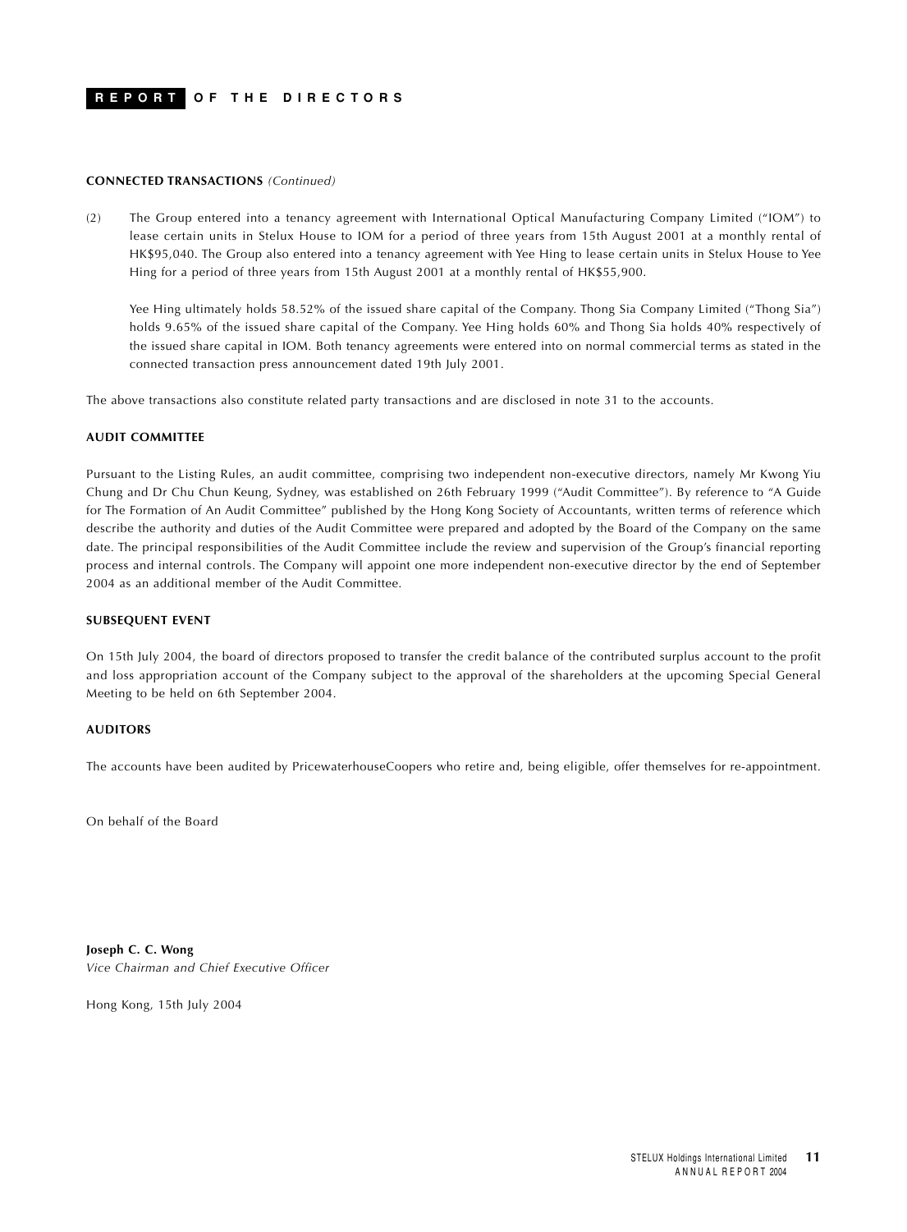#### **CONNECTED TRANSACTIONS** *(Continued)*

(2) The Group entered into a tenancy agreement with International Optical Manufacturing Company Limited ("IOM") to lease certain units in Stelux House to IOM for a period of three years from 15th August 2001 at a monthly rental of HK\$95,040. The Group also entered into a tenancy agreement with Yee Hing to lease certain units in Stelux House to Yee Hing for a period of three years from 15th August 2001 at a monthly rental of HK\$55,900.

Yee Hing ultimately holds 58.52% of the issued share capital of the Company. Thong Sia Company Limited ("Thong Sia") holds 9.65% of the issued share capital of the Company. Yee Hing holds 60% and Thong Sia holds 40% respectively of the issued share capital in IOM. Both tenancy agreements were entered into on normal commercial terms as stated in the connected transaction press announcement dated 19th July 2001.

The above transactions also constitute related party transactions and are disclosed in note 31 to the accounts.

### **AUDIT COMMITTEE**

Pursuant to the Listing Rules, an audit committee, comprising two independent non-executive directors, namely Mr Kwong Yiu Chung and Dr Chu Chun Keung, Sydney, was established on 26th February 1999 ("Audit Committee"). By reference to "A Guide for The Formation of An Audit Committee" published by the Hong Kong Society of Accountants, written terms of reference which describe the authority and duties of the Audit Committee were prepared and adopted by the Board of the Company on the same date. The principal responsibilities of the Audit Committee include the review and supervision of the Group's financial reporting process and internal controls. The Company will appoint one more independent non-executive director by the end of September 2004 as an additional member of the Audit Committee.

#### **SUBSEQUENT EVENT**

On 15th July 2004, the board of directors proposed to transfer the credit balance of the contributed surplus account to the profit and loss appropriation account of the Company subject to the approval of the shareholders at the upcoming Special General Meeting to be held on 6th September 2004.

## **AUDITORS**

The accounts have been audited by PricewaterhouseCoopers who retire and, being eligible, offer themselves for re-appointment.

On behalf of the Board

**Joseph C. C. Wong** *Vice Chairman and Chief Executive Officer*

Hong Kong, 15th July 2004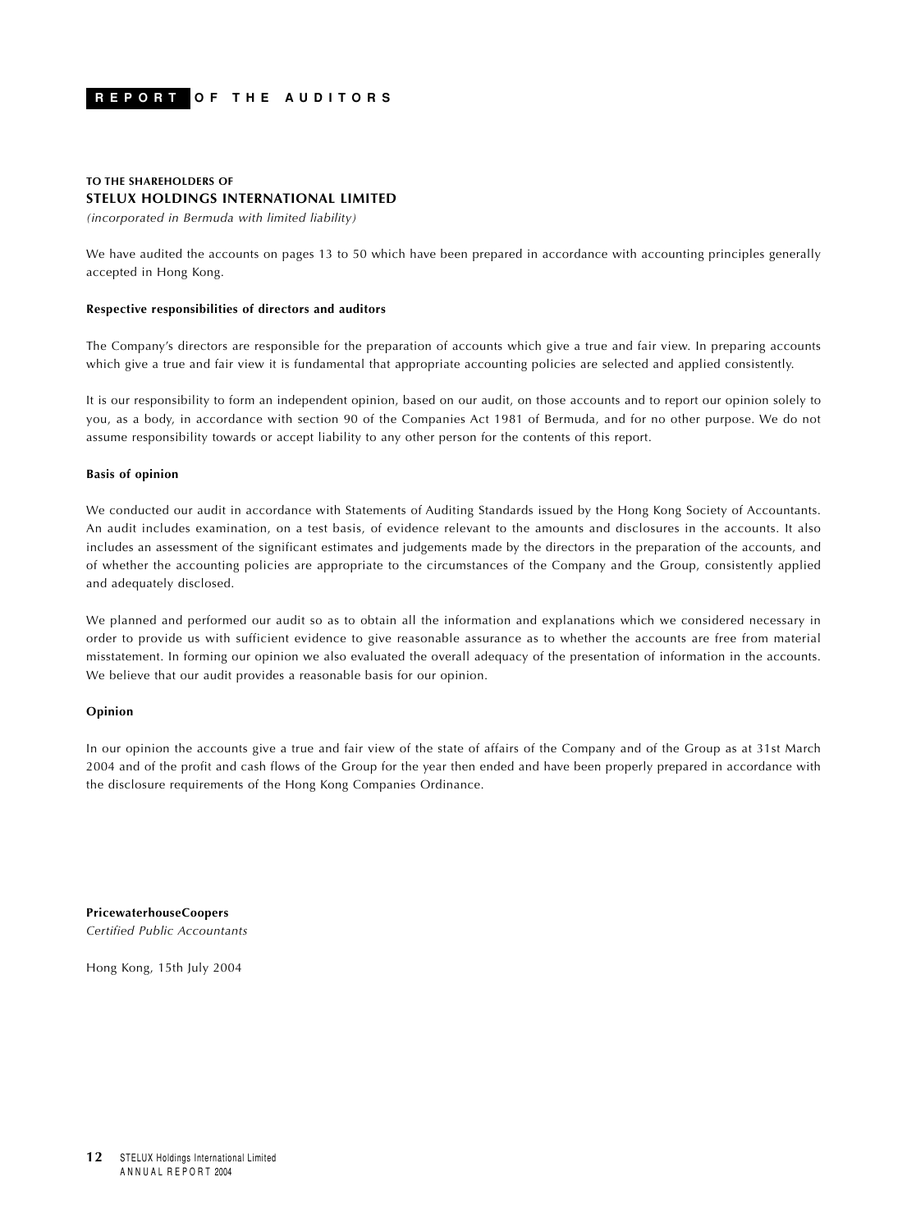## <span id="page-12-0"></span>**TO THE SHAREHOLDERS OF STELUX HOLDINGS INTERNATIONAL LIMITED**

*(incorporated in Bermuda with limited liability)*

We have audited the accounts on pages 13 to 50 which have been prepared in accordance with accounting principles generally accepted in Hong Kong.

#### **Respective responsibilities of directors and auditors**

The Company's directors are responsible for the preparation of accounts which give a true and fair view. In preparing accounts which give a true and fair view it is fundamental that appropriate accounting policies are selected and applied consistently.

It is our responsibility to form an independent opinion, based on our audit, on those accounts and to report our opinion solely to you, as a body, in accordance with section 90 of the Companies Act 1981 of Bermuda, and for no other purpose. We do not assume responsibility towards or accept liability to any other person for the contents of this report.

### **Basis of opinion**

We conducted our audit in accordance with Statements of Auditing Standards issued by the Hong Kong Society of Accountants. An audit includes examination, on a test basis, of evidence relevant to the amounts and disclosures in the accounts. It also includes an assessment of the significant estimates and judgements made by the directors in the preparation of the accounts, and of whether the accounting policies are appropriate to the circumstances of the Company and the Group, consistently applied and adequately disclosed.

We planned and performed our audit so as to obtain all the information and explanations which we considered necessary in order to provide us with sufficient evidence to give reasonable assurance as to whether the accounts are free from material misstatement. In forming our opinion we also evaluated the overall adequacy of the presentation of information in the accounts. We believe that our audit provides a reasonable basis for our opinion.

#### **Opinion**

In our opinion the accounts give a true and fair view of the state of affairs of the Company and of the Group as at 31st March 2004 and of the profit and cash flows of the Group for the year then ended and have been properly prepared in accordance with the disclosure requirements of the Hong Kong Companies Ordinance.

**PricewaterhouseCoopers** *Certified Public Accountants*

Hong Kong, 15th July 2004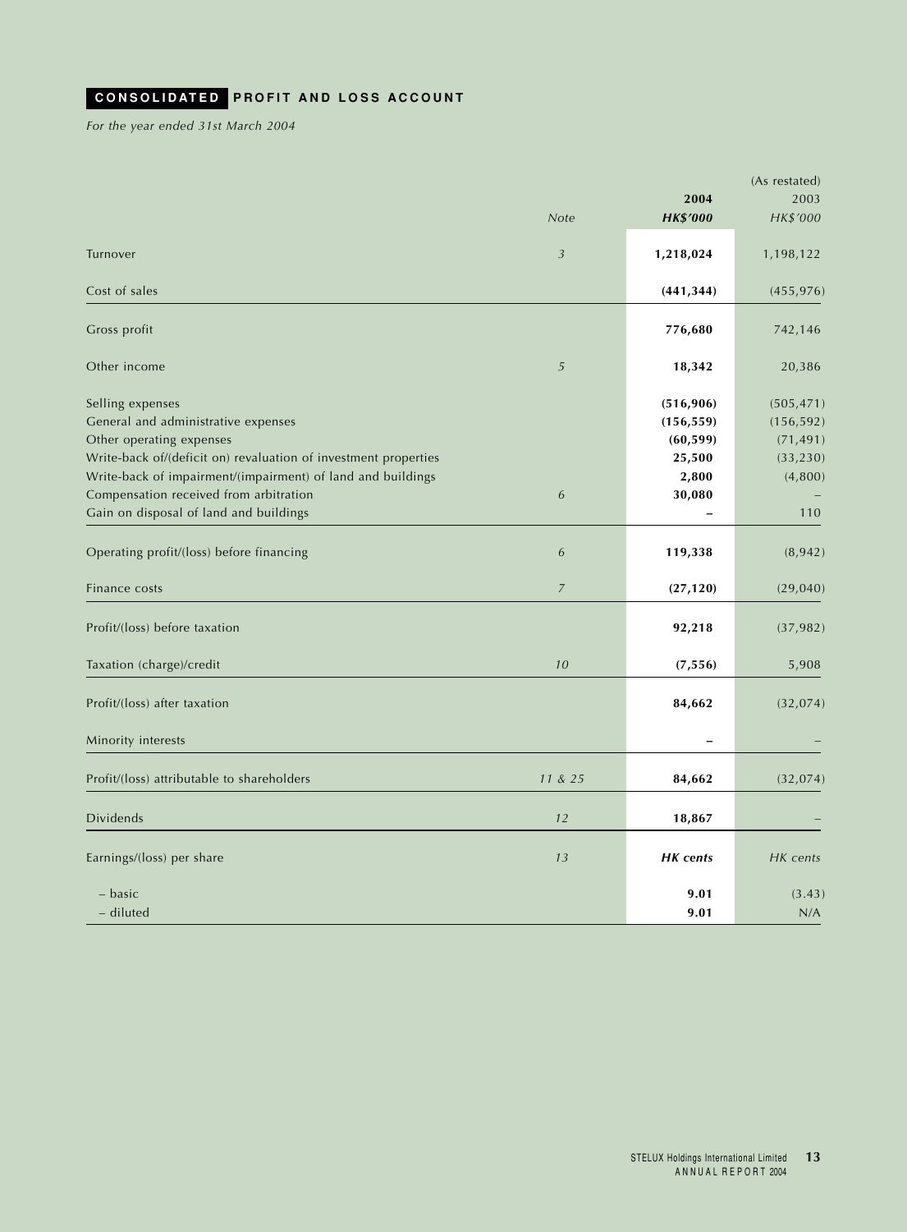## <span id="page-13-0"></span>**CONSOLIDATED PROFIT AND LOSS ACCOUNT**

*For the year ended 31st March 2004*

|                                                                 |                |                 | (As restated) |
|-----------------------------------------------------------------|----------------|-----------------|---------------|
|                                                                 |                | 2004            | 2003          |
|                                                                 | Note           | <b>HK\$'000</b> | HK\$'000      |
| Turnover                                                        | $\mathfrak{Z}$ | 1,218,024       | 1,198,122     |
| Cost of sales                                                   |                | (441, 344)      | (455, 976)    |
| Gross profit                                                    |                | 776,680         | 742,146       |
| Other income                                                    | 5              | 18,342          | 20,386        |
| Selling expenses                                                |                | (516, 906)      | (505, 471)    |
| General and administrative expenses                             |                | (156, 559)      | (156, 592)    |
| Other operating expenses                                        |                | (60, 599)       | (71, 491)     |
| Write-back of/(deficit on) revaluation of investment properties |                | 25,500          | (33, 230)     |
| Write-back of impairment/(impairment) of land and buildings     |                | 2,800           | (4,800)       |
| Compensation received from arbitration                          | 6              | 30,080          |               |
| Gain on disposal of land and buildings                          |                |                 | 110           |
| Operating profit/(loss) before financing                        | 6              | 119,338         | (8, 942)      |
| Finance costs                                                   | $\overline{7}$ | (27, 120)       | (29, 040)     |
| Profit/(loss) before taxation                                   |                | 92,218          | (37, 982)     |
| Taxation (charge)/credit                                        | 10             | (7, 556)        | 5,908         |
| Profit/(loss) after taxation                                    |                | 84,662          | (32,074)      |
| Minority interests                                              |                |                 |               |
| Profit/(loss) attributable to shareholders                      | 11 & 25        | 84,662          | (32, 074)     |
| <b>Dividends</b>                                                | 12             | 18,867          |               |
| Earnings/(loss) per share                                       | 13             | <b>HK</b> cents | HK cents      |
|                                                                 |                |                 |               |
| - basic                                                         |                | 9.01            | (3.43)        |
| - diluted                                                       |                | 9.01            | N/A           |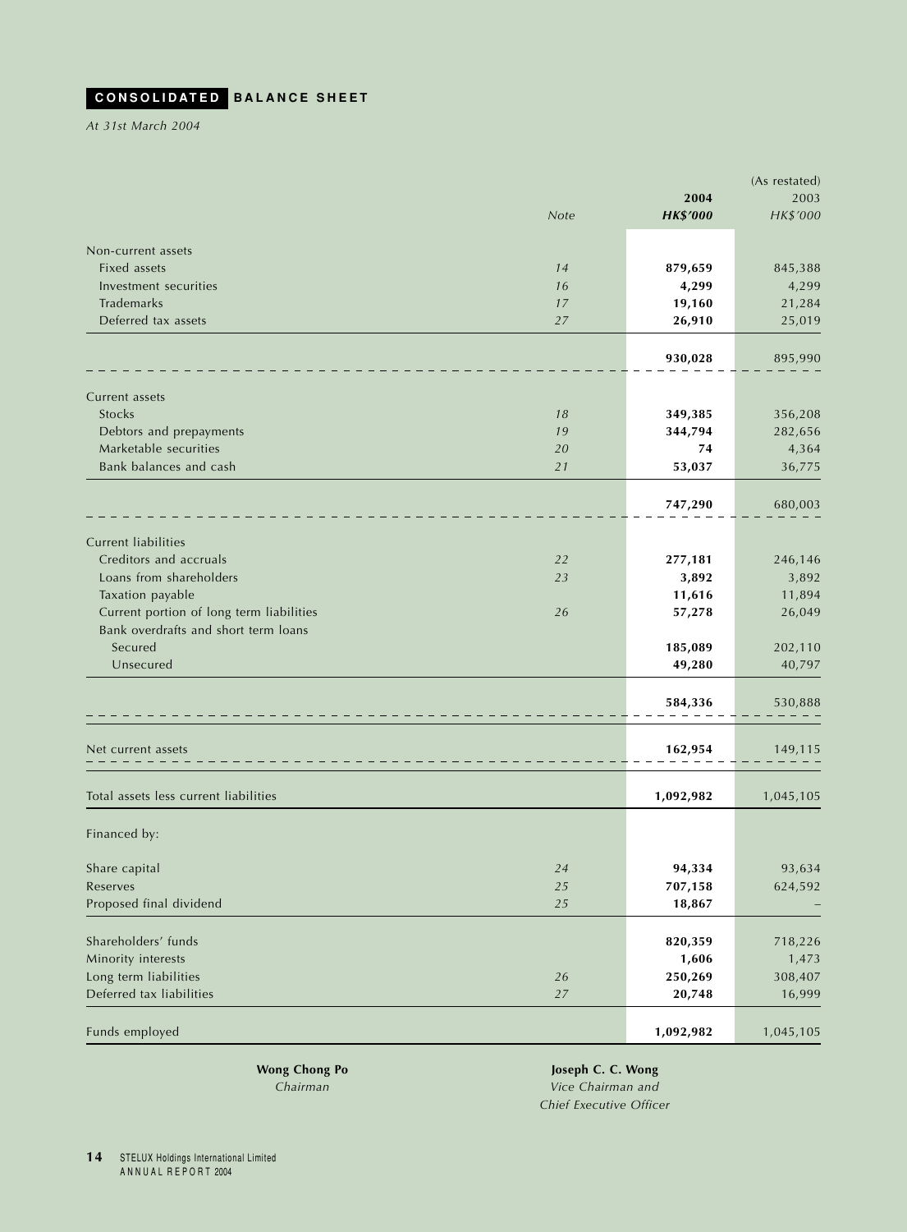## <span id="page-14-0"></span>**CONSOLIDATED BALANCE SHEET**

*At 31st March 2004*

|                                          |        |                 | (As restated) |
|------------------------------------------|--------|-----------------|---------------|
|                                          |        | 2004            | 2003          |
|                                          | Note   | <b>HK\$'000</b> | HK\$'000      |
| Non-current assets                       |        |                 |               |
| <b>Fixed assets</b>                      | 14     | 879,659         | 845,388       |
| Investment securities                    | 16     | 4,299           | 4,299         |
| Trademarks                               | 17     | 19,160          | 21,284        |
| Deferred tax assets                      | 27     | 26,910          | 25,019        |
|                                          |        |                 |               |
|                                          |        | 930,028         | 895,990       |
|                                          |        |                 |               |
| Current assets                           |        |                 |               |
| <b>Stocks</b>                            | 18     | 349,385         | 356,208       |
| Debtors and prepayments                  | 19     | 344,794         | 282,656       |
| Marketable securities                    | 20     | 74              | 4,364         |
| Bank balances and cash                   | 21     | 53,037          | 36,775        |
|                                          |        |                 |               |
|                                          |        | 747,290         | 680,003       |
| <b>Current liabilities</b>               |        |                 |               |
| Creditors and accruals                   | 22     | 277,181         | 246,146       |
| Loans from shareholders                  | 23     | 3,892           | 3,892         |
| Taxation payable                         |        | 11,616          | 11,894        |
| Current portion of long term liabilities | 26     | 57,278          | 26,049        |
| Bank overdrafts and short term loans     |        |                 |               |
| Secured                                  |        | 185,089         | 202,110       |
| Unsecured                                |        | 49,280          | 40,797        |
|                                          |        |                 |               |
|                                          |        | 584,336         | 530,888       |
|                                          |        |                 |               |
| Net current assets                       |        | 162,954         | 149,115       |
| Total assets less current liabilities    |        | 1,092,982       | 1,045,105     |
| Financed by:                             |        |                 |               |
| Share capital                            | 24     | 94,334          | 93,634        |
| Reserves                                 | 25     | 707,158         | 624,592       |
| Proposed final dividend                  | 25     | 18,867          |               |
|                                          |        |                 |               |
| Shareholders' funds                      |        | 820,359         | 718,226       |
| Minority interests                       |        | 1,606           | 1,473         |
| Long term liabilities                    | 26     | 250,269         | 308,407       |
| Deferred tax liabilities                 | $27\,$ | 20,748          | 16,999        |
|                                          |        |                 |               |
| Funds employed                           |        | 1,092,982       | 1,045,105     |
|                                          |        |                 |               |

**Wong Chong Po Joseph C. C. Wong** *Chairman Vice Chairman and Chief Executive Officer*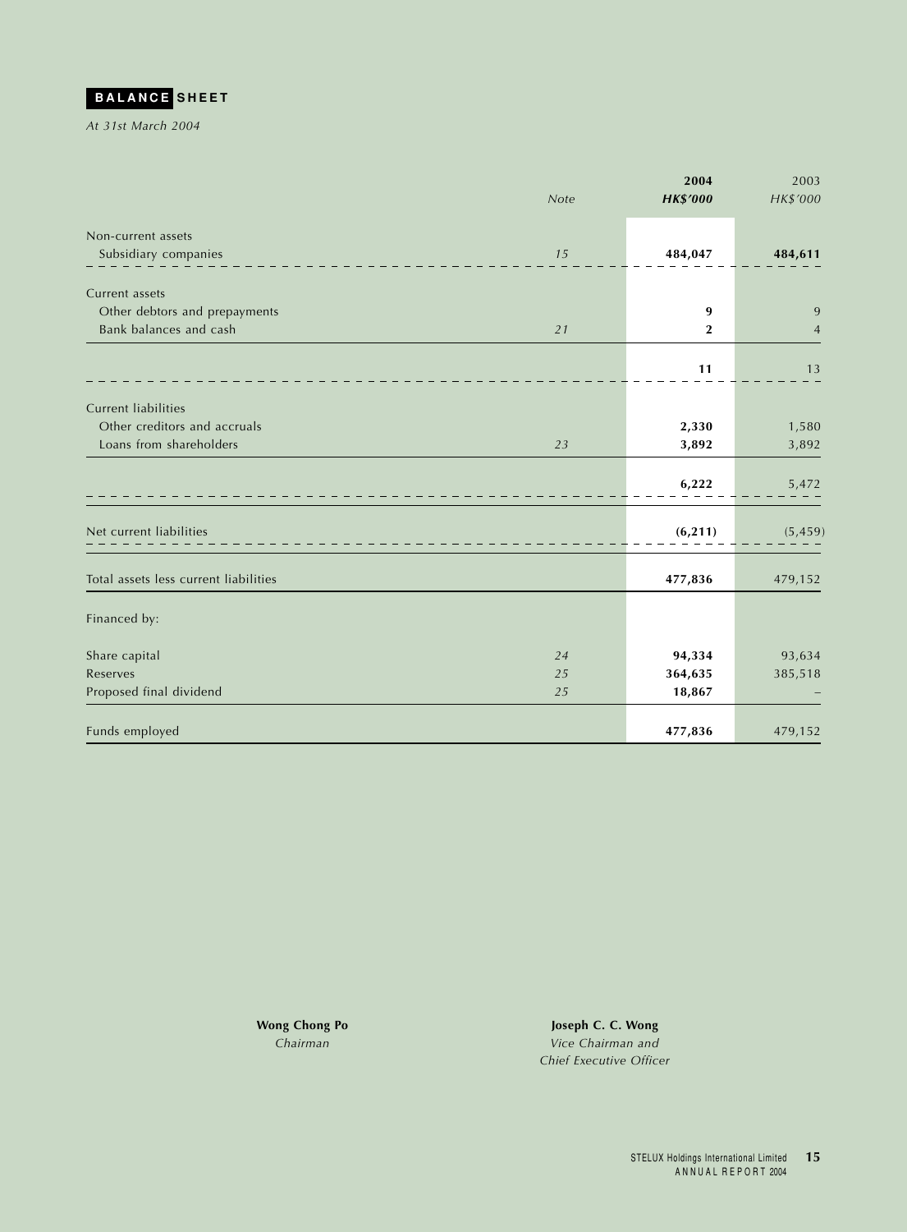<span id="page-15-0"></span>

*At 31st March 2004*

|                                       | Note | 2004            | 2003<br>HK\$'000 |
|---------------------------------------|------|-----------------|------------------|
|                                       |      | <b>HK\$'000</b> |                  |
| Non-current assets                    |      |                 |                  |
| Subsidiary companies                  | 15   | 484,047         | 484,611          |
|                                       |      |                 |                  |
| Current assets                        |      |                 |                  |
| Other debtors and prepayments         |      | 9               | 9                |
| Bank balances and cash                | 21   | $\mathbf{2}$    | $\overline{4}$   |
|                                       |      |                 |                  |
|                                       |      | 11              | 13               |
| <b>Current liabilities</b>            |      |                 |                  |
| Other creditors and accruals          |      | 2,330           | 1,580            |
| Loans from shareholders               | 23   | 3,892           | 3,892            |
|                                       |      |                 |                  |
|                                       |      | 6,222           | 5,472            |
|                                       |      |                 |                  |
|                                       |      |                 |                  |
| Net current liabilities               |      | (6, 211)        | (5, 459)         |
|                                       |      |                 |                  |
| Total assets less current liabilities |      | 477,836         | 479,152          |
|                                       |      |                 |                  |
| Financed by:                          |      |                 |                  |
| Share capital                         | 24   | 94,334          | 93,634           |
| Reserves                              | 25   | 364,635         | 385,518          |
| Proposed final dividend               | 25   | 18,867          |                  |
|                                       |      |                 |                  |
| Funds employed                        |      | 477,836         | 479,152          |

**Wong Chong Po Joseph C. C. Wong** *Chairman Vice Chairman and Chief Executive Officer*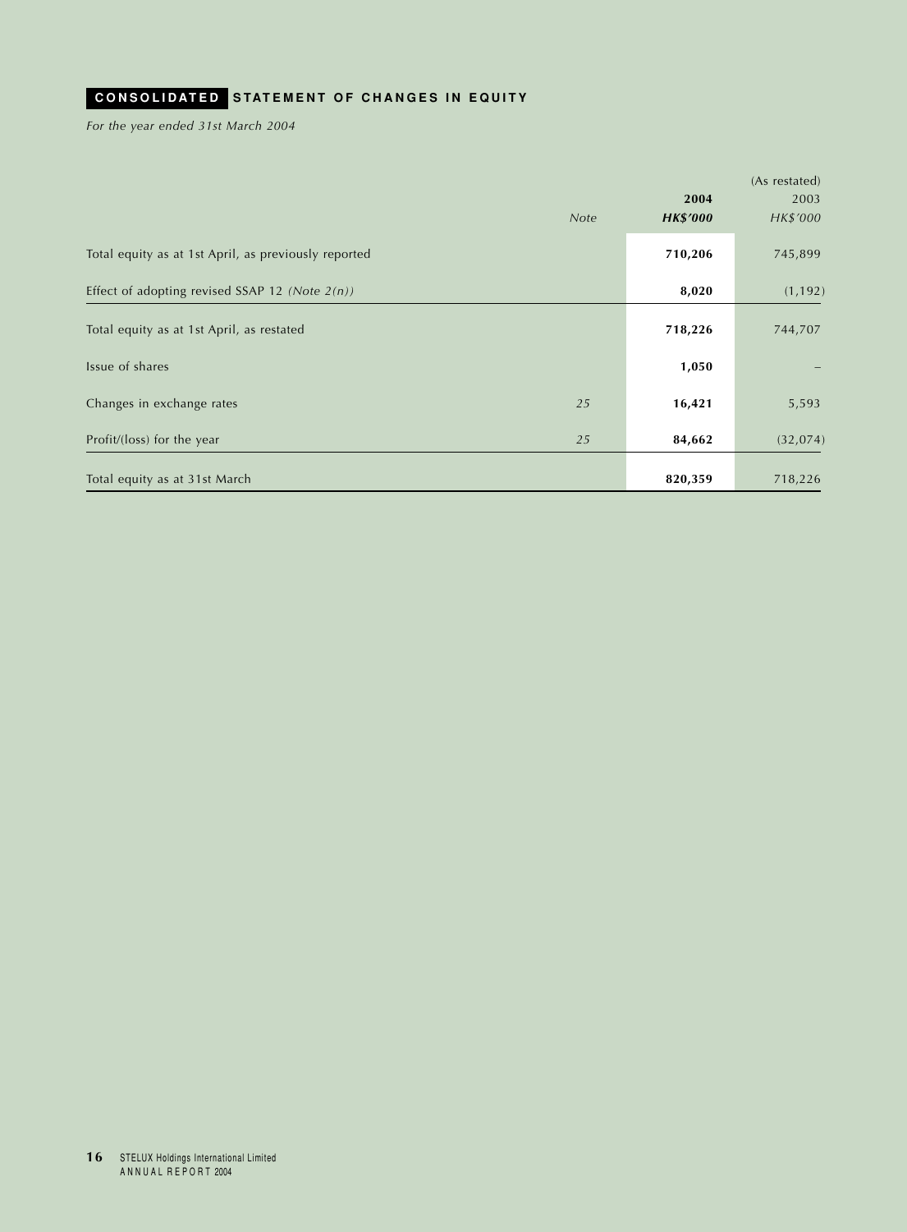## <span id="page-16-0"></span>**CONSOLIDATED STATEMENT OF CHANGES IN EQUITY**

*For the year ended 31st March 2004*

|                                                      |      |                 | (As restated) |
|------------------------------------------------------|------|-----------------|---------------|
|                                                      |      | 2004            | 2003          |
|                                                      | Note | <b>HK\$'000</b> | HK\$'000      |
| Total equity as at 1st April, as previously reported |      | 710,206         | 745,899       |
| Effect of adopting revised SSAP 12 (Note $2(n)$ )    |      | 8,020           | (1, 192)      |
| Total equity as at 1st April, as restated            |      | 718,226         | 744,707       |
| Issue of shares                                      |      | 1,050           |               |
| Changes in exchange rates                            | 25   | 16,421          | 5,593         |
| Profit/(loss) for the year                           | 25   | 84,662          | (32, 074)     |
| Total equity as at 31st March                        |      | 820,359         | 718,226       |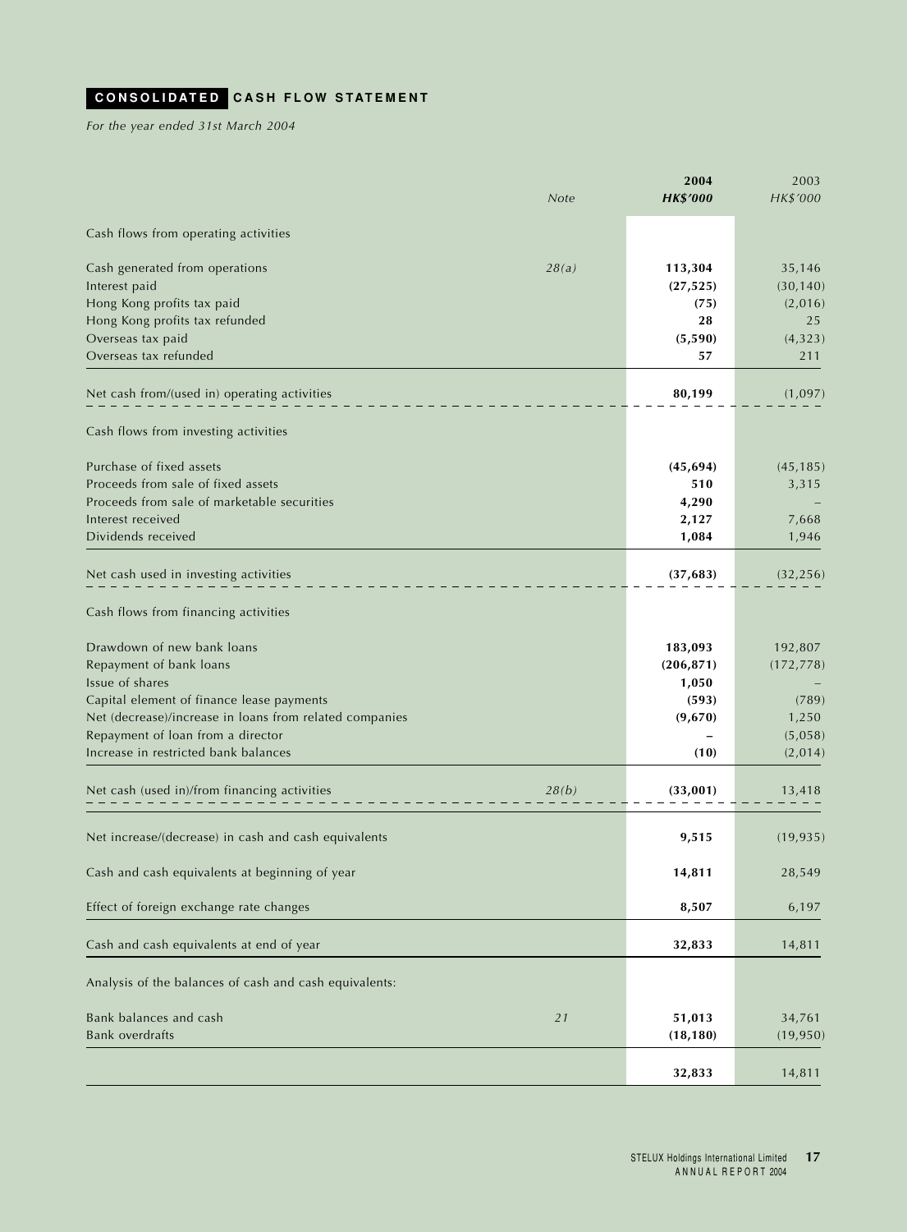## <span id="page-17-0"></span>**CONSOLIDATED CASH FLOW STATEMENT**

*For the year ended 31st March 2004*

|                                                         | <b>Note</b> | 2004<br><b>HK\$'000</b> | 2003<br>HK\$'000 |
|---------------------------------------------------------|-------------|-------------------------|------------------|
| Cash flows from operating activities                    |             |                         |                  |
| Cash generated from operations                          | 28(a)       | 113,304                 | 35,146           |
| Interest paid                                           |             | (27, 525)               | (30, 140)        |
| Hong Kong profits tax paid                              |             | (75)                    | (2,016)          |
| Hong Kong profits tax refunded                          |             | 28                      | 25               |
| Overseas tax paid                                       |             | (5,590)                 | (4, 323)         |
| Overseas tax refunded                                   |             | 57                      | 211              |
| Net cash from/(used in) operating activities            |             | 80,199                  | (1,097)          |
| Cash flows from investing activities                    |             |                         |                  |
| Purchase of fixed assets                                |             | (45, 694)               | (45, 185)        |
| Proceeds from sale of fixed assets                      |             | 510                     | 3,315            |
| Proceeds from sale of marketable securities             |             | 4,290                   |                  |
| Interest received                                       |             | 2,127                   | 7,668            |
| Dividends received                                      |             | 1,084                   | 1,946            |
| Net cash used in investing activities                   |             | (37, 683)               | (32, 256)        |
| Cash flows from financing activities                    |             |                         |                  |
| Drawdown of new bank loans                              |             | 183,093                 | 192,807          |
| Repayment of bank loans                                 |             | (206, 871)              | (172, 778)       |
| Issue of shares                                         |             | 1,050                   |                  |
| Capital element of finance lease payments               |             | (593)                   | (789)            |
| Net (decrease)/increase in loans from related companies |             | (9,670)                 | 1,250            |
| Repayment of loan from a director                       |             |                         | (5,058)          |
| Increase in restricted bank balances                    |             | (10)                    | (2,014)          |
| Net cash (used in)/from financing activities            | 28(b)       | (33,001)                | 13,418           |
| Net increase/(decrease) in cash and cash equivalents    |             | 9,515                   | (19, 935)        |
| Cash and cash equivalents at beginning of year          |             | 14,811                  | 28,549           |
| Effect of foreign exchange rate changes                 |             | 8,507                   | 6,197            |
| Cash and cash equivalents at end of year                |             | 32,833                  | 14,811           |
| Analysis of the balances of cash and cash equivalents:  |             |                         |                  |
| Bank balances and cash                                  | 21          | 51,013                  | 34,761           |
| <b>Bank overdrafts</b>                                  |             | (18, 180)               | (19, 950)        |
|                                                         |             | 32,833                  | 14,811           |
|                                                         |             |                         |                  |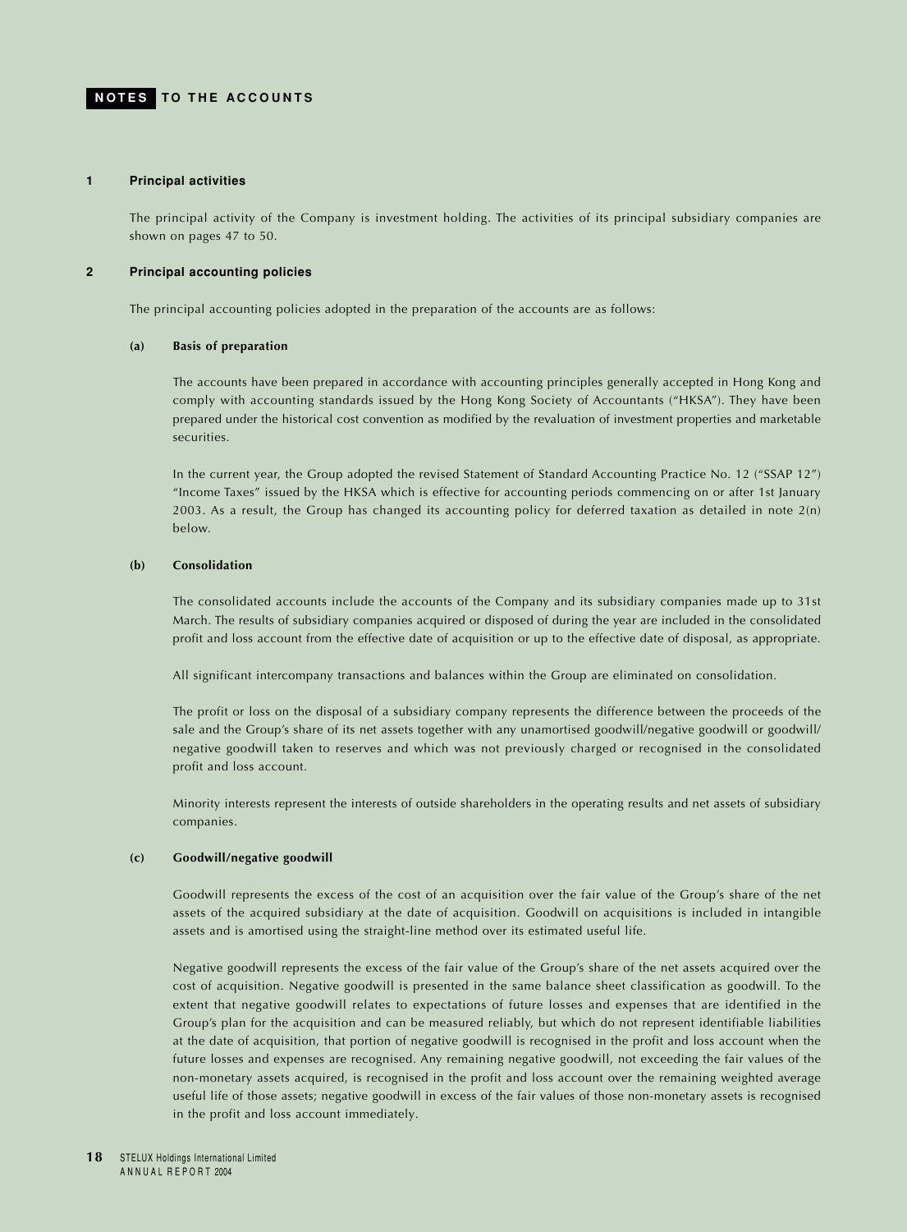#### <span id="page-18-0"></span>**1 Principal activities**

The principal activity of the Company is investment holding. The activities of its principal subsidiary companies are shown on pages 47 to 50.

### **2 Principal accounting policies**

The principal accounting policies adopted in the preparation of the accounts are as follows:

#### **(a) Basis of preparation**

The accounts have been prepared in accordance with accounting principles generally accepted in Hong Kong and comply with accounting standards issued by the Hong Kong Society of Accountants ("HKSA"). They have been prepared under the historical cost convention as modified by the revaluation of investment properties and marketable securities.

In the current year, the Group adopted the revised Statement of Standard Accounting Practice No. 12 ("SSAP 12") "Income Taxes" issued by the HKSA which is effective for accounting periods commencing on or after 1st January 2003. As a result, the Group has changed its accounting policy for deferred taxation as detailed in note 2(n) below.

### **(b) Consolidation**

The consolidated accounts include the accounts of the Company and its subsidiary companies made up to 31st March. The results of subsidiary companies acquired or disposed of during the year are included in the consolidated profit and loss account from the effective date of acquisition or up to the effective date of disposal, as appropriate.

All significant intercompany transactions and balances within the Group are eliminated on consolidation.

The profit or loss on the disposal of a subsidiary company represents the difference between the proceeds of the sale and the Group's share of its net assets together with any unamortised goodwill/negative goodwill or goodwill/ negative goodwill taken to reserves and which was not previously charged or recognised in the consolidated profit and loss account.

Minority interests represent the interests of outside shareholders in the operating results and net assets of subsidiary companies.

#### **(c) Goodwill/negative goodwill**

Goodwill represents the excess of the cost of an acquisition over the fair value of the Group's share of the net assets of the acquired subsidiary at the date of acquisition. Goodwill on acquisitions is included in intangible assets and is amortised using the straight-line method over its estimated useful life.

Negative goodwill represents the excess of the fair value of the Group's share of the net assets acquired over the cost of acquisition. Negative goodwill is presented in the same balance sheet classification as goodwill. To the extent that negative goodwill relates to expectations of future losses and expenses that are identified in the Group's plan for the acquisition and can be measured reliably, but which do not represent identifiable liabilities at the date of acquisition, that portion of negative goodwill is recognised in the profit and loss account when the future losses and expenses are recognised. Any remaining negative goodwill, not exceeding the fair values of the non-monetary assets acquired, is recognised in the profit and loss account over the remaining weighted average useful life of those assets; negative goodwill in excess of the fair values of those non-monetary assets is recognised in the profit and loss account immediately.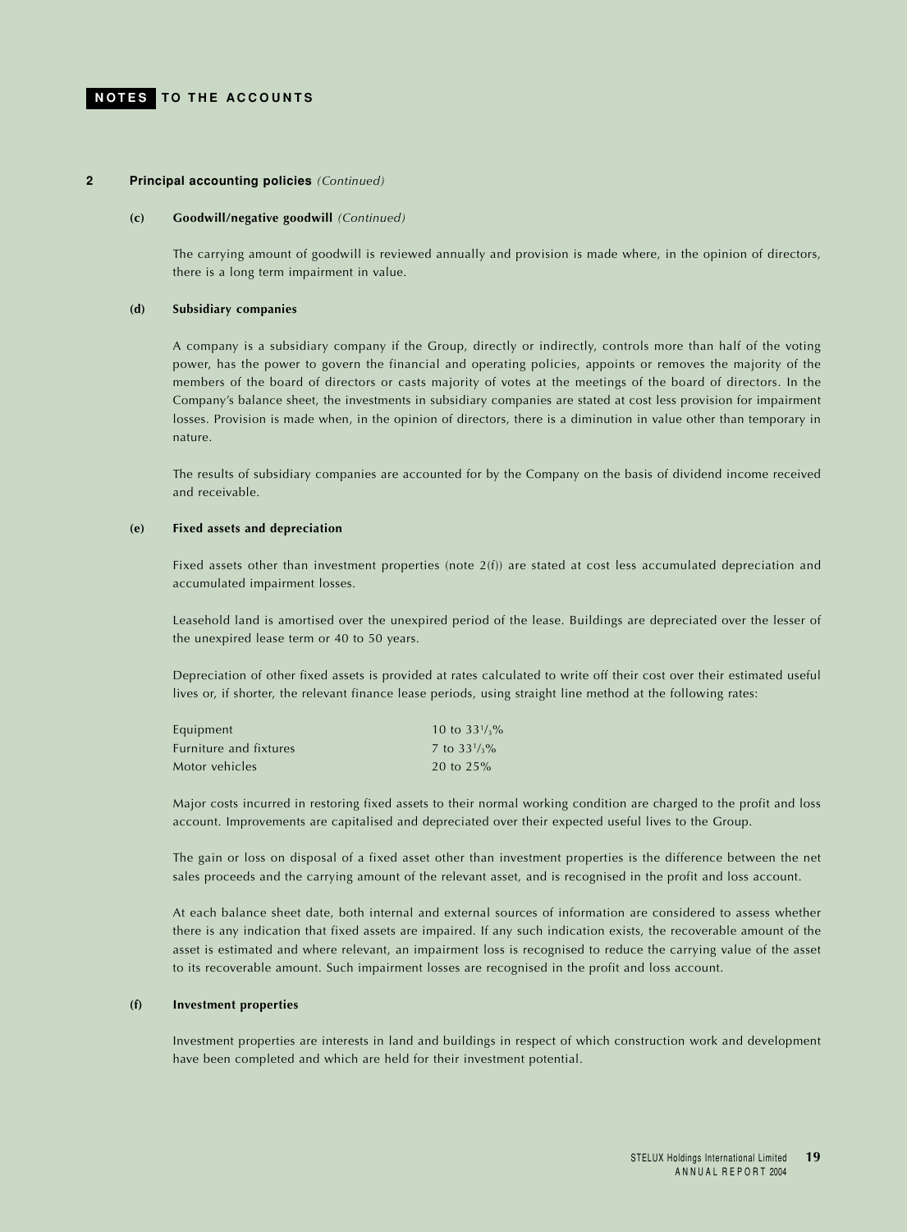#### **2 Principal accounting policies** *(Continued)*

#### **(c) Goodwill/negative goodwill** *(Continued)*

The carrying amount of goodwill is reviewed annually and provision is made where, in the opinion of directors, there is a long term impairment in value.

#### **(d) Subsidiary companies**

A company is a subsidiary company if the Group, directly or indirectly, controls more than half of the voting power, has the power to govern the financial and operating policies, appoints or removes the majority of the members of the board of directors or casts majority of votes at the meetings of the board of directors. In the Company's balance sheet, the investments in subsidiary companies are stated at cost less provision for impairment losses. Provision is made when, in the opinion of directors, there is a diminution in value other than temporary in nature.

The results of subsidiary companies are accounted for by the Company on the basis of dividend income received and receivable.

#### **(e) Fixed assets and depreciation**

Fixed assets other than investment properties (note  $2(f)$ ) are stated at cost less accumulated depreciation and accumulated impairment losses.

Leasehold land is amortised over the unexpired period of the lease. Buildings are depreciated over the lesser of the unexpired lease term or 40 to 50 years.

Depreciation of other fixed assets is provided at rates calculated to write off their cost over their estimated useful lives or, if shorter, the relevant finance lease periods, using straight line method at the following rates:

| Equipment              | 10 to $33\frac{1}{3}\%$ |
|------------------------|-------------------------|
| Furniture and fixtures | 7 to $33\frac{1}{3}\%$  |
| Motor vehicles         | 20 to $25%$             |

Major costs incurred in restoring fixed assets to their normal working condition are charged to the profit and loss account. Improvements are capitalised and depreciated over their expected useful lives to the Group.

The gain or loss on disposal of a fixed asset other than investment properties is the difference between the net sales proceeds and the carrying amount of the relevant asset, and is recognised in the profit and loss account.

At each balance sheet date, both internal and external sources of information are considered to assess whether there is any indication that fixed assets are impaired. If any such indication exists, the recoverable amount of the asset is estimated and where relevant, an impairment loss is recognised to reduce the carrying value of the asset to its recoverable amount. Such impairment losses are recognised in the profit and loss account.

#### **(f) Investment properties**

Investment properties are interests in land and buildings in respect of which construction work and development have been completed and which are held for their investment potential.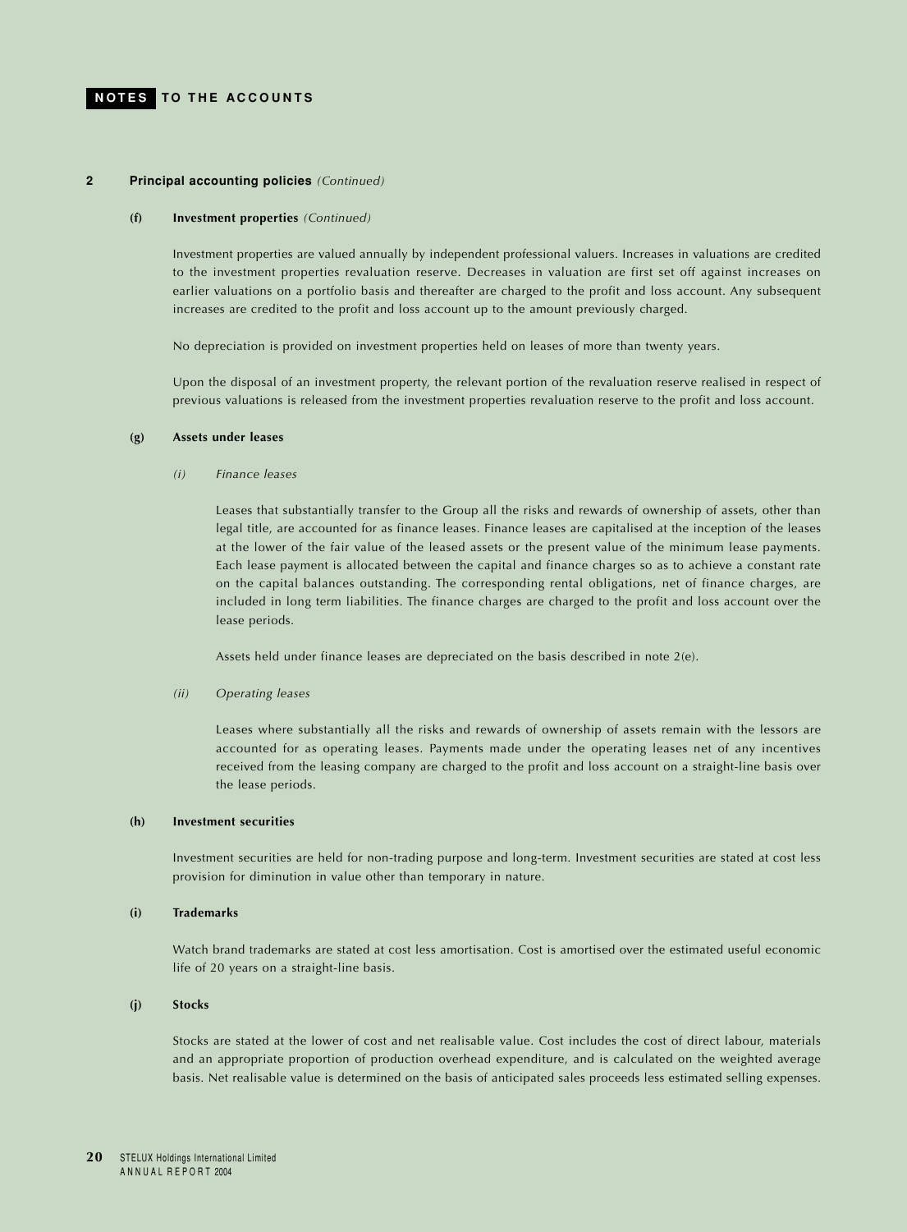#### **2 Principal accounting policies** *(Continued)*

#### **(f) Investment properties** *(Continued)*

Investment properties are valued annually by independent professional valuers. Increases in valuations are credited to the investment properties revaluation reserve. Decreases in valuation are first set off against increases on earlier valuations on a portfolio basis and thereafter are charged to the profit and loss account. Any subsequent increases are credited to the profit and loss account up to the amount previously charged.

No depreciation is provided on investment properties held on leases of more than twenty years.

Upon the disposal of an investment property, the relevant portion of the revaluation reserve realised in respect of previous valuations is released from the investment properties revaluation reserve to the profit and loss account.

#### **(g) Assets under leases**

*(i) Finance leases*

Leases that substantially transfer to the Group all the risks and rewards of ownership of assets, other than legal title, are accounted for as finance leases. Finance leases are capitalised at the inception of the leases at the lower of the fair value of the leased assets or the present value of the minimum lease payments. Each lease payment is allocated between the capital and finance charges so as to achieve a constant rate on the capital balances outstanding. The corresponding rental obligations, net of finance charges, are included in long term liabilities. The finance charges are charged to the profit and loss account over the lease periods.

Assets held under finance leases are depreciated on the basis described in note 2(e).

*(ii) Operating leases*

Leases where substantially all the risks and rewards of ownership of assets remain with the lessors are accounted for as operating leases. Payments made under the operating leases net of any incentives received from the leasing company are charged to the profit and loss account on a straight-line basis over the lease periods.

#### **(h) Investment securities**

Investment securities are held for non-trading purpose and long-term. Investment securities are stated at cost less provision for diminution in value other than temporary in nature.

#### **(i) Trademarks**

Watch brand trademarks are stated at cost less amortisation. Cost is amortised over the estimated useful economic life of 20 years on a straight-line basis.

### **(j) Stocks**

Stocks are stated at the lower of cost and net realisable value. Cost includes the cost of direct labour, materials and an appropriate proportion of production overhead expenditure, and is calculated on the weighted average basis. Net realisable value is determined on the basis of anticipated sales proceeds less estimated selling expenses.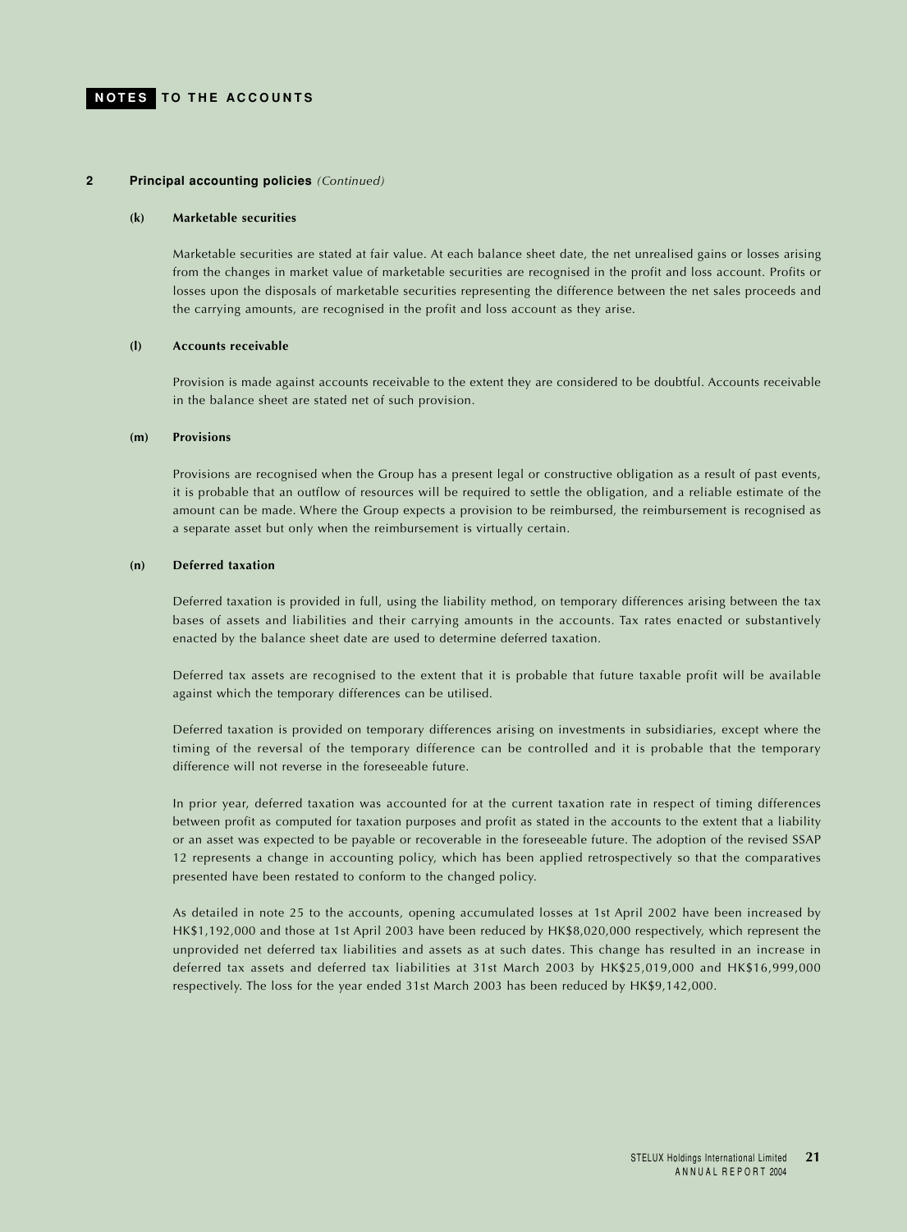#### **2 Principal accounting policies** *(Continued)*

#### **(k) Marketable securities**

Marketable securities are stated at fair value. At each balance sheet date, the net unrealised gains or losses arising from the changes in market value of marketable securities are recognised in the profit and loss account. Profits or losses upon the disposals of marketable securities representing the difference between the net sales proceeds and the carrying amounts, are recognised in the profit and loss account as they arise.

#### **(l) Accounts receivable**

Provision is made against accounts receivable to the extent they are considered to be doubtful. Accounts receivable in the balance sheet are stated net of such provision.

#### **(m) Provisions**

Provisions are recognised when the Group has a present legal or constructive obligation as a result of past events, it is probable that an outflow of resources will be required to settle the obligation, and a reliable estimate of the amount can be made. Where the Group expects a provision to be reimbursed, the reimbursement is recognised as a separate asset but only when the reimbursement is virtually certain.

#### **(n) Deferred taxation**

Deferred taxation is provided in full, using the liability method, on temporary differences arising between the tax bases of assets and liabilities and their carrying amounts in the accounts. Tax rates enacted or substantively enacted by the balance sheet date are used to determine deferred taxation.

Deferred tax assets are recognised to the extent that it is probable that future taxable profit will be available against which the temporary differences can be utilised.

Deferred taxation is provided on temporary differences arising on investments in subsidiaries, except where the timing of the reversal of the temporary difference can be controlled and it is probable that the temporary difference will not reverse in the foreseeable future.

In prior year, deferred taxation was accounted for at the current taxation rate in respect of timing differences between profit as computed for taxation purposes and profit as stated in the accounts to the extent that a liability or an asset was expected to be payable or recoverable in the foreseeable future. The adoption of the revised SSAP 12 represents a change in accounting policy, which has been applied retrospectively so that the comparatives presented have been restated to conform to the changed policy.

As detailed in note 25 to the accounts, opening accumulated losses at 1st April 2002 have been increased by HK\$1,192,000 and those at 1st April 2003 have been reduced by HK\$8,020,000 respectively, which represent the unprovided net deferred tax liabilities and assets as at such dates. This change has resulted in an increase in deferred tax assets and deferred tax liabilities at 31st March 2003 by HK\$25,019,000 and HK\$16,999,000 respectively. The loss for the year ended 31st March 2003 has been reduced by HK\$9,142,000.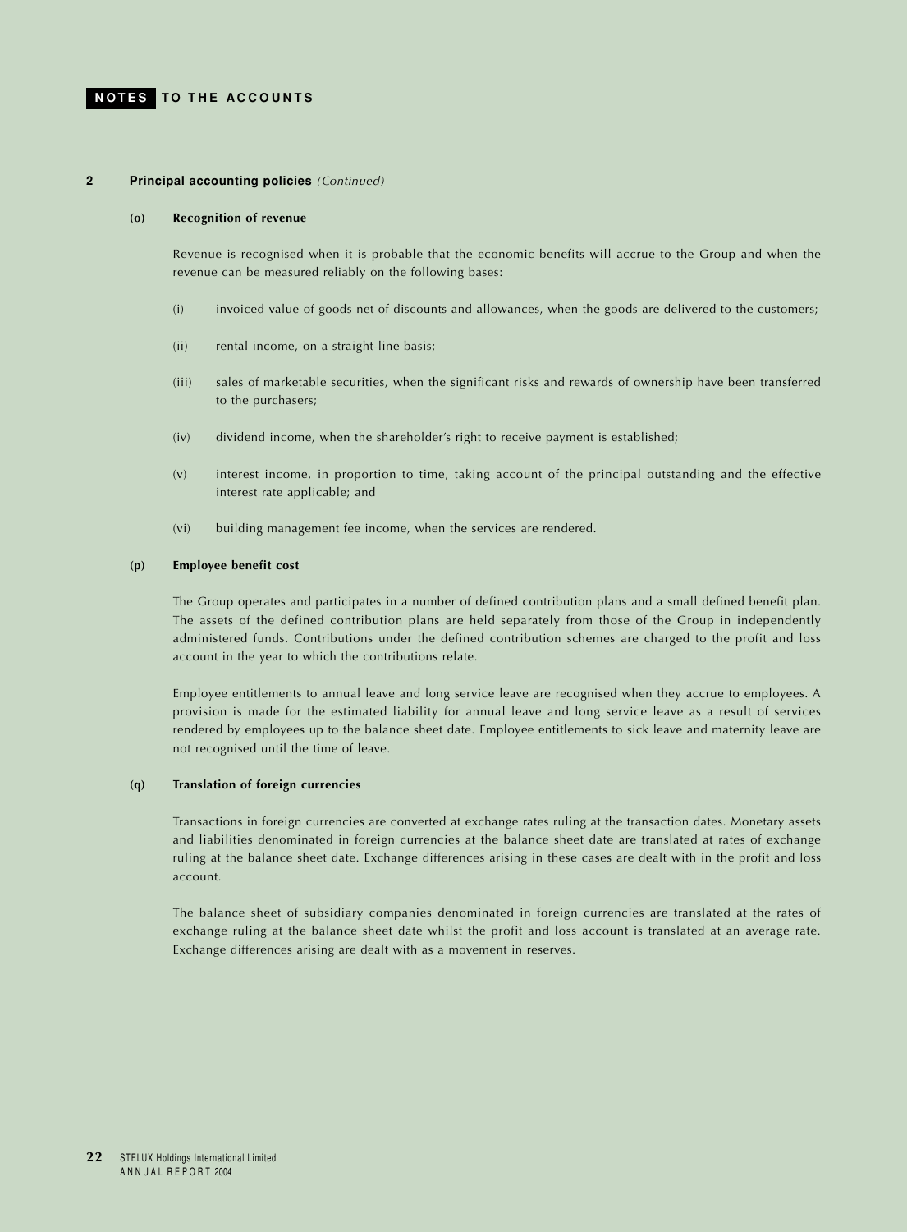#### **2 Principal accounting policies** *(Continued)*

#### **(o) Recognition of revenue**

Revenue is recognised when it is probable that the economic benefits will accrue to the Group and when the revenue can be measured reliably on the following bases:

- (i) invoiced value of goods net of discounts and allowances, when the goods are delivered to the customers;
- (ii) rental income, on a straight-line basis;
- (iii) sales of marketable securities, when the significant risks and rewards of ownership have been transferred to the purchasers;
- (iv) dividend income, when the shareholder's right to receive payment is established;
- (v) interest income, in proportion to time, taking account of the principal outstanding and the effective interest rate applicable; and
- (vi) building management fee income, when the services are rendered.

#### **(p) Employee benefit cost**

The Group operates and participates in a number of defined contribution plans and a small defined benefit plan. The assets of the defined contribution plans are held separately from those of the Group in independently administered funds. Contributions under the defined contribution schemes are charged to the profit and loss account in the year to which the contributions relate.

Employee entitlements to annual leave and long service leave are recognised when they accrue to employees. A provision is made for the estimated liability for annual leave and long service leave as a result of services rendered by employees up to the balance sheet date. Employee entitlements to sick leave and maternity leave are not recognised until the time of leave.

## **(q) Translation of foreign currencies**

Transactions in foreign currencies are converted at exchange rates ruling at the transaction dates. Monetary assets and liabilities denominated in foreign currencies at the balance sheet date are translated at rates of exchange ruling at the balance sheet date. Exchange differences arising in these cases are dealt with in the profit and loss account.

The balance sheet of subsidiary companies denominated in foreign currencies are translated at the rates of exchange ruling at the balance sheet date whilst the profit and loss account is translated at an average rate. Exchange differences arising are dealt with as a movement in reserves.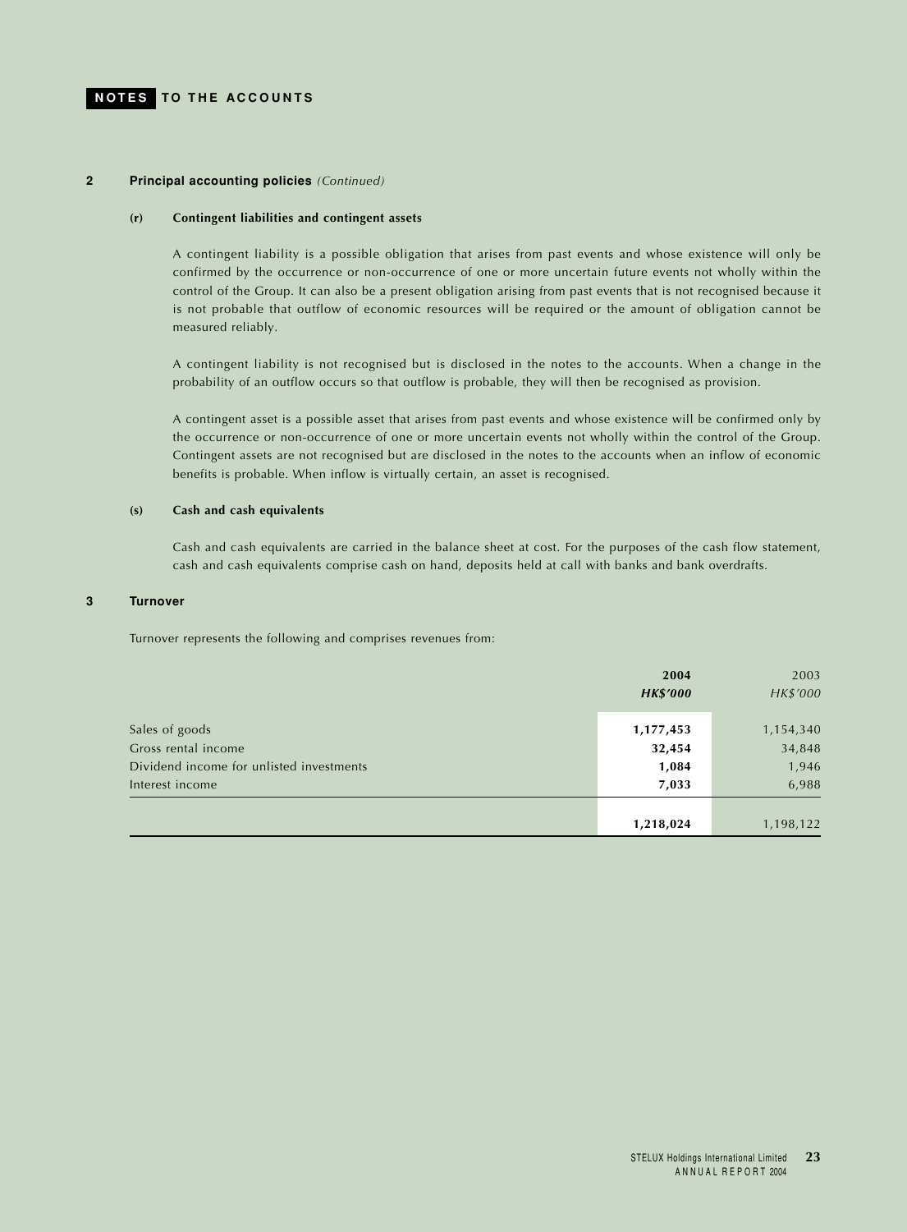#### **2 Principal accounting policies** *(Continued)*

#### **(r) Contingent liabilities and contingent assets**

A contingent liability is a possible obligation that arises from past events and whose existence will only be confirmed by the occurrence or non-occurrence of one or more uncertain future events not wholly within the control of the Group. It can also be a present obligation arising from past events that is not recognised because it is not probable that outflow of economic resources will be required or the amount of obligation cannot be measured reliably.

A contingent liability is not recognised but is disclosed in the notes to the accounts. When a change in the probability of an outflow occurs so that outflow is probable, they will then be recognised as provision.

A contingent asset is a possible asset that arises from past events and whose existence will be confirmed only by the occurrence or non-occurrence of one or more uncertain events not wholly within the control of the Group. Contingent assets are not recognised but are disclosed in the notes to the accounts when an inflow of economic benefits is probable. When inflow is virtually certain, an asset is recognised.

#### **(s) Cash and cash equivalents**

Cash and cash equivalents are carried in the balance sheet at cost. For the purposes of the cash flow statement, cash and cash equivalents comprise cash on hand, deposits held at call with banks and bank overdrafts.

## **3 Turnover**

Turnover represents the following and comprises revenues from:

|                                                                                                      | 2004<br><b>HK\$'000</b>               | 2003<br>HK\$'000                      |
|------------------------------------------------------------------------------------------------------|---------------------------------------|---------------------------------------|
| Sales of goods<br>Gross rental income<br>Dividend income for unlisted investments<br>Interest income | 1,177,453<br>32,454<br>1,084<br>7,033 | 1,154,340<br>34,848<br>1,946<br>6,988 |
|                                                                                                      | 1,218,024                             | 1,198,122                             |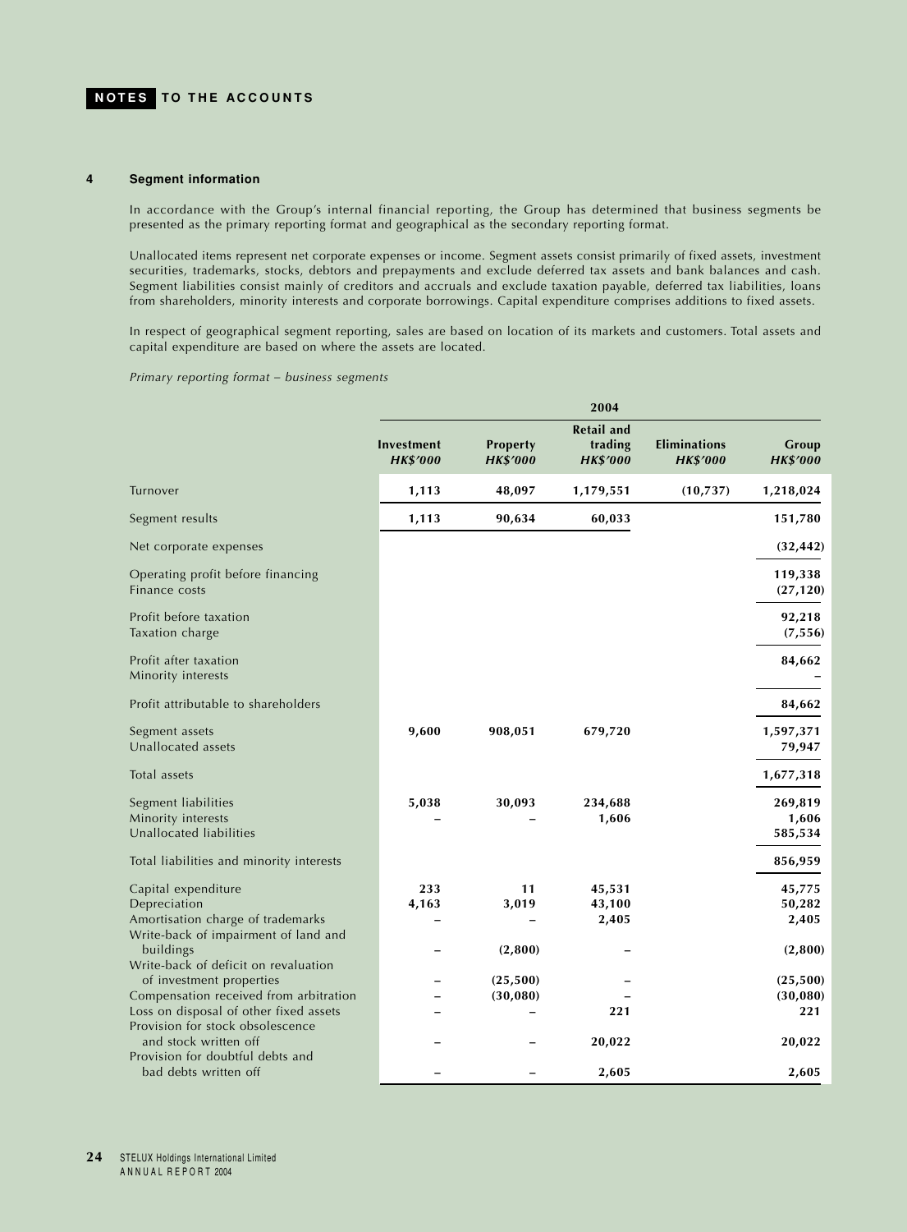#### **4 Segment information**

In accordance with the Group's internal financial reporting, the Group has determined that business segments be presented as the primary reporting format and geographical as the secondary reporting format.

Unallocated items represent net corporate expenses or income. Segment assets consist primarily of fixed assets, investment securities, trademarks, stocks, debtors and prepayments and exclude deferred tax assets and bank balances and cash. Segment liabilities consist mainly of creditors and accruals and exclude taxation payable, deferred tax liabilities, loans from shareholders, minority interests and corporate borrowings. Capital expenditure comprises additions to fixed assets.

In respect of geographical segment reporting, sales are based on location of its markets and customers. Total assets and capital expenditure are based on where the assets are located.

*Primary reporting format – business segments*

|                                                                                                                                                      | 2004                          |                             |                                                 |                                        |                                        |
|------------------------------------------------------------------------------------------------------------------------------------------------------|-------------------------------|-----------------------------|-------------------------------------------------|----------------------------------------|----------------------------------------|
|                                                                                                                                                      | Investment<br><b>HK\$'000</b> | Property<br><b>HK\$'000</b> | <b>Retail and</b><br>trading<br><b>HK\$'000</b> | <b>Eliminations</b><br><b>HK\$'000</b> | Group<br><b>HK\$'000</b>               |
| Turnover                                                                                                                                             | 1,113                         | 48,097                      | 1,179,551                                       | (10, 737)                              | 1,218,024                              |
| Segment results                                                                                                                                      | 1,113                         | 90,634                      | 60,033                                          |                                        | 151,780                                |
| Net corporate expenses                                                                                                                               |                               |                             |                                                 |                                        | (32, 442)                              |
| Operating profit before financing<br>Finance costs                                                                                                   |                               |                             |                                                 |                                        | 119,338<br>(27, 120)                   |
| Profit before taxation<br>Taxation charge                                                                                                            |                               |                             |                                                 |                                        | 92,218<br>(7, 556)                     |
| Profit after taxation<br>Minority interests                                                                                                          |                               |                             |                                                 |                                        | 84,662                                 |
| Profit attributable to shareholders                                                                                                                  |                               |                             |                                                 |                                        | 84,662                                 |
| Segment assets<br>Unallocated assets                                                                                                                 | 9,600                         | 908,051                     | 679,720                                         |                                        | 1,597,371<br>79,947                    |
| Total assets                                                                                                                                         |                               |                             |                                                 |                                        | 1,677,318                              |
| Segment liabilities<br>Minority interests<br>Unallocated liabilities<br>Total liabilities and minority interests                                     | 5,038                         | 30,093                      | 234,688<br>1,606                                |                                        | 269,819<br>1,606<br>585,534<br>856,959 |
| Capital expenditure<br>Depreciation<br>Amortisation charge of trademarks                                                                             | 233<br>4,163                  | 11<br>3,019                 | 45,531<br>43,100<br>2,405                       |                                        | 45,775<br>50,282<br>2,405              |
| Write-back of impairment of land and<br>buildings                                                                                                    |                               | (2,800)                     |                                                 |                                        | (2,800)                                |
| Write-back of deficit on revaluation<br>of investment properties<br>Compensation received from arbitration<br>Loss on disposal of other fixed assets |                               | (25, 500)<br>(30, 080)      | 221                                             |                                        | (25, 500)<br>(30,080)<br>221           |
| Provision for stock obsolescence<br>and stock written off                                                                                            |                               |                             | 20,022                                          |                                        | 20,022                                 |
| Provision for doubtful debts and<br>bad debts written off                                                                                            |                               |                             | 2,605                                           |                                        | 2,605                                  |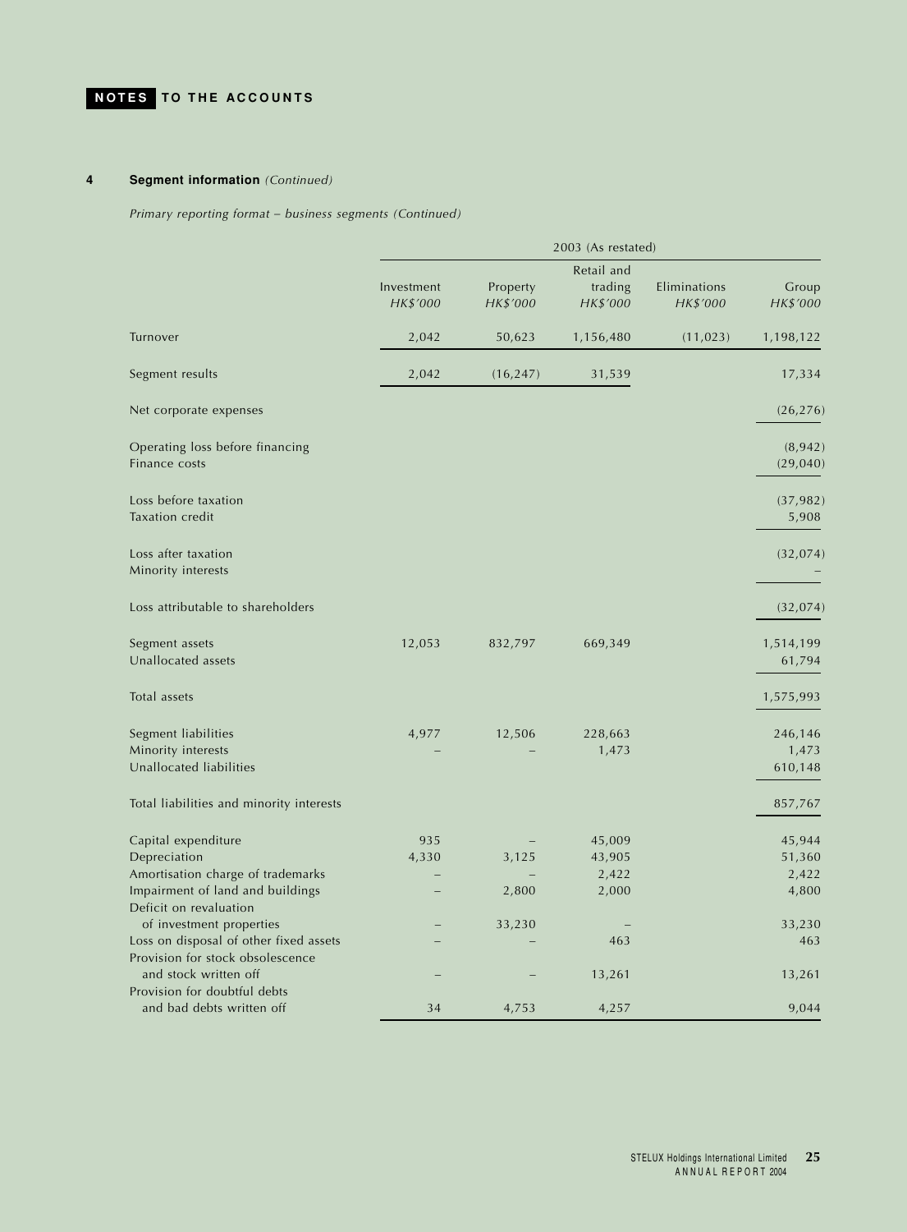## **4 Segment information** *(Continued)*

*Primary reporting format – business segments (Continued)*

|                                                                                                     | 2003 (As restated)     |                      |                                   |                          |                             |
|-----------------------------------------------------------------------------------------------------|------------------------|----------------------|-----------------------------------|--------------------------|-----------------------------|
|                                                                                                     | Investment<br>HK\$'000 | Property<br>HK\$'000 | Retail and<br>trading<br>HK\$'000 | Eliminations<br>HK\$'000 | Group<br>HK\$'000           |
| Turnover                                                                                            | 2,042                  | 50,623               | 1,156,480                         | (11, 023)                | 1,198,122                   |
| Segment results                                                                                     | 2,042                  | (16, 247)            | 31,539                            |                          | 17,334                      |
| Net corporate expenses                                                                              |                        |                      |                                   |                          | (26, 276)                   |
| Operating loss before financing<br>Finance costs                                                    |                        |                      |                                   |                          | (8, 942)<br>(29, 040)       |
| Loss before taxation<br><b>Taxation</b> credit                                                      |                        |                      |                                   |                          | (37, 982)<br>5,908          |
| Loss after taxation<br>Minority interests                                                           |                        |                      |                                   |                          | (32, 074)                   |
| Loss attributable to shareholders                                                                   |                        |                      |                                   |                          | (32, 074)                   |
| Segment assets<br>Unallocated assets                                                                | 12,053                 | 832,797              | 669,349                           |                          | 1,514,199<br>61,794         |
| Total assets                                                                                        |                        |                      |                                   |                          | 1,575,993                   |
| Segment liabilities<br>Minority interests<br>Unallocated liabilities                                | 4,977                  | 12,506               | 228,663<br>1,473                  |                          | 246,146<br>1,473<br>610,148 |
| Total liabilities and minority interests                                                            |                        |                      |                                   |                          | 857,767                     |
| Capital expenditure<br>Depreciation<br>Amortisation charge of trademarks                            | 935<br>4,330           | 3,125                | 45,009<br>43,905<br>2,422         |                          | 45,944<br>51,360<br>2,422   |
| Impairment of land and buildings<br>Deficit on revaluation<br>of investment properties              |                        | 2,800<br>33,230      | 2,000                             |                          | 4,800<br>33,230             |
| Loss on disposal of other fixed assets<br>Provision for stock obsolescence<br>and stock written off |                        |                      | 463<br>13,261                     |                          | 463<br>13,261               |
| Provision for doubtful debts<br>and bad debts written off                                           | 34                     | 4,753                | 4,257                             |                          | 9,044                       |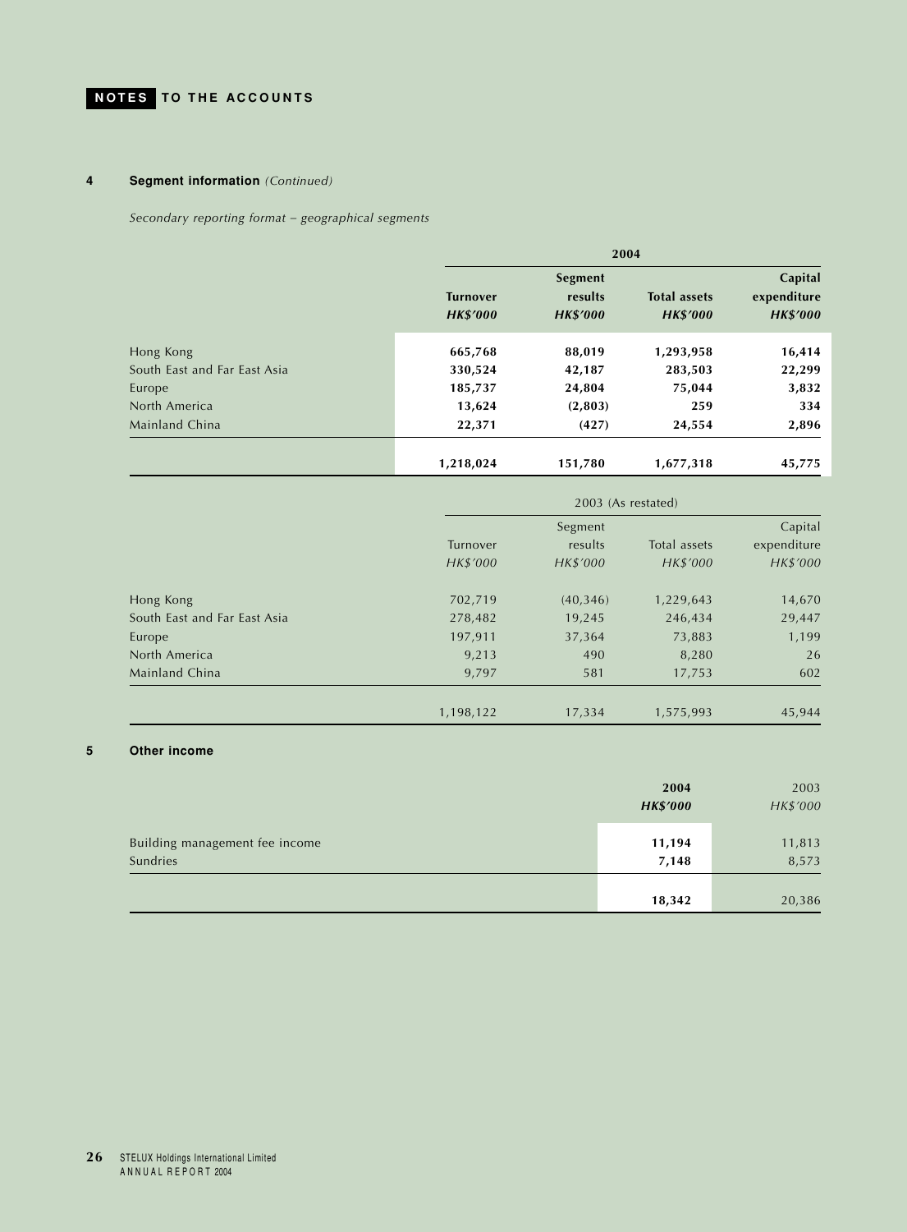## **4 Segment information** *(Continued)*

*Secondary reporting format – geographical segments*

|                              | 2004                               |                                       |                                        |                                           |
|------------------------------|------------------------------------|---------------------------------------|----------------------------------------|-------------------------------------------|
|                              | <b>Turnover</b><br><b>HK\$'000</b> | Segment<br>results<br><b>HK\$'000</b> | <b>Total assets</b><br><b>HK\$'000</b> | Capital<br>expenditure<br><b>HK\$'000</b> |
| Hong Kong                    | 665,768                            | 88,019                                | 1,293,958                              | 16,414                                    |
| South East and Far East Asia | 330,524                            | 42,187                                | 283,503                                | 22,299                                    |
| Europe                       | 185,737                            | 24,804                                | 75,044                                 | 3,832                                     |
| North America                | 13,624                             | (2,803)                               | 259                                    | 334                                       |
| Mainland China               | 22,371                             | (427)                                 | 24,554                                 | 2,896                                     |
|                              | 1,218,024                          | 151,780                               | 1,677,318                              | 45,775                                    |

|                              | 2003 (As restated) |           |              |             |
|------------------------------|--------------------|-----------|--------------|-------------|
|                              | Segment            |           |              | Capital     |
|                              | Turnover           | results   | Total assets | expenditure |
|                              | HK\$'000           | HK\$'000  | HK\$'000     | HK\$'000    |
| Hong Kong                    | 702,719            | (40, 346) | 1,229,643    | 14,670      |
| South East and Far East Asia | 278,482            | 19,245    | 246,434      | 29,447      |
| Europe                       | 197,911            | 37,364    | 73,883       | 1,199       |
| North America                | 9,213              | 490       | 8,280        | 26          |
| Mainland China               | 9,797              | 581       | 17,753       | 602         |
|                              | 1,198,122          | 17,334    | 1,575,993    | 45,944      |

### **5 Other income**

|                                            | 2004<br><b>HK\$'000</b> | 2003<br>HK\$'000 |
|--------------------------------------------|-------------------------|------------------|
| Building management fee income<br>Sundries | 11,194<br>7,148         | 11,813<br>8,573  |
|                                            | 18,342                  | 20,386           |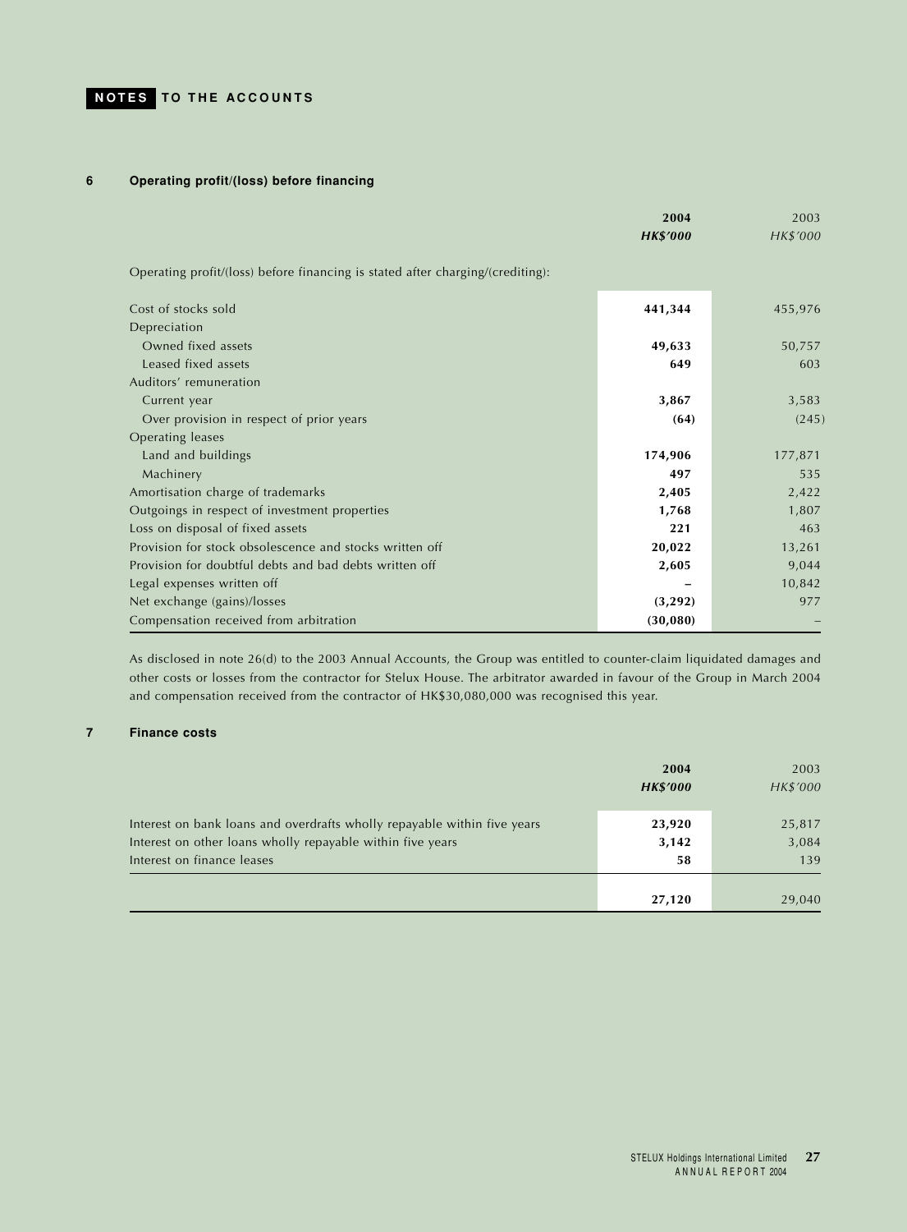## **6 Operating profit/(loss) before financing**

|                                                                                | 2004<br><b>HK\$'000</b> | 2003<br>HK\$'000 |
|--------------------------------------------------------------------------------|-------------------------|------------------|
| Operating profit/(loss) before financing is stated after charging/(crediting): |                         |                  |
| Cost of stocks sold                                                            | 441,344                 | 455,976          |
| Depreciation                                                                   |                         |                  |
| Owned fixed assets                                                             | 49,633                  | 50,757           |
| Leased fixed assets                                                            | 649                     | 603              |
| Auditors' remuneration                                                         |                         |                  |
| Current year                                                                   | 3,867                   | 3,583            |
| Over provision in respect of prior years                                       | (64)                    | (245)            |
| <b>Operating leases</b>                                                        |                         |                  |
| Land and buildings                                                             | 174,906                 | 177,871          |
| Machinery                                                                      | 497                     | 535              |
| Amortisation charge of trademarks                                              | 2,405                   | 2,422            |
| Outgoings in respect of investment properties                                  | 1,768                   | 1,807            |
| Loss on disposal of fixed assets                                               | 221                     | 463              |
| Provision for stock obsolescence and stocks written off                        | 20,022                  | 13,261           |
| Provision for doubtful debts and bad debts written off                         | 2,605                   | 9,044            |
| Legal expenses written off                                                     |                         | 10,842           |
| Net exchange (gains)/losses                                                    | (3, 292)                | 977              |
| Compensation received from arbitration                                         | (30, 080)               |                  |

As disclosed in note 26(d) to the 2003 Annual Accounts, the Group was entitled to counter-claim liquidated damages and other costs or losses from the contractor for Stelux House. The arbitrator awarded in favour of the Group in March 2004 and compensation received from the contractor of HK\$30,080,000 was recognised this year.

## **7 Finance costs**

|                                                                                                                                                                      | 2004<br><b>HK\$'000</b> | 2003<br>HK\$'000       |
|----------------------------------------------------------------------------------------------------------------------------------------------------------------------|-------------------------|------------------------|
| Interest on bank loans and overdrafts wholly repayable within five years<br>Interest on other loans wholly repayable within five years<br>Interest on finance leases | 23,920<br>3,142<br>58   | 25,817<br>3,084<br>139 |
|                                                                                                                                                                      | 27,120                  | 29,040                 |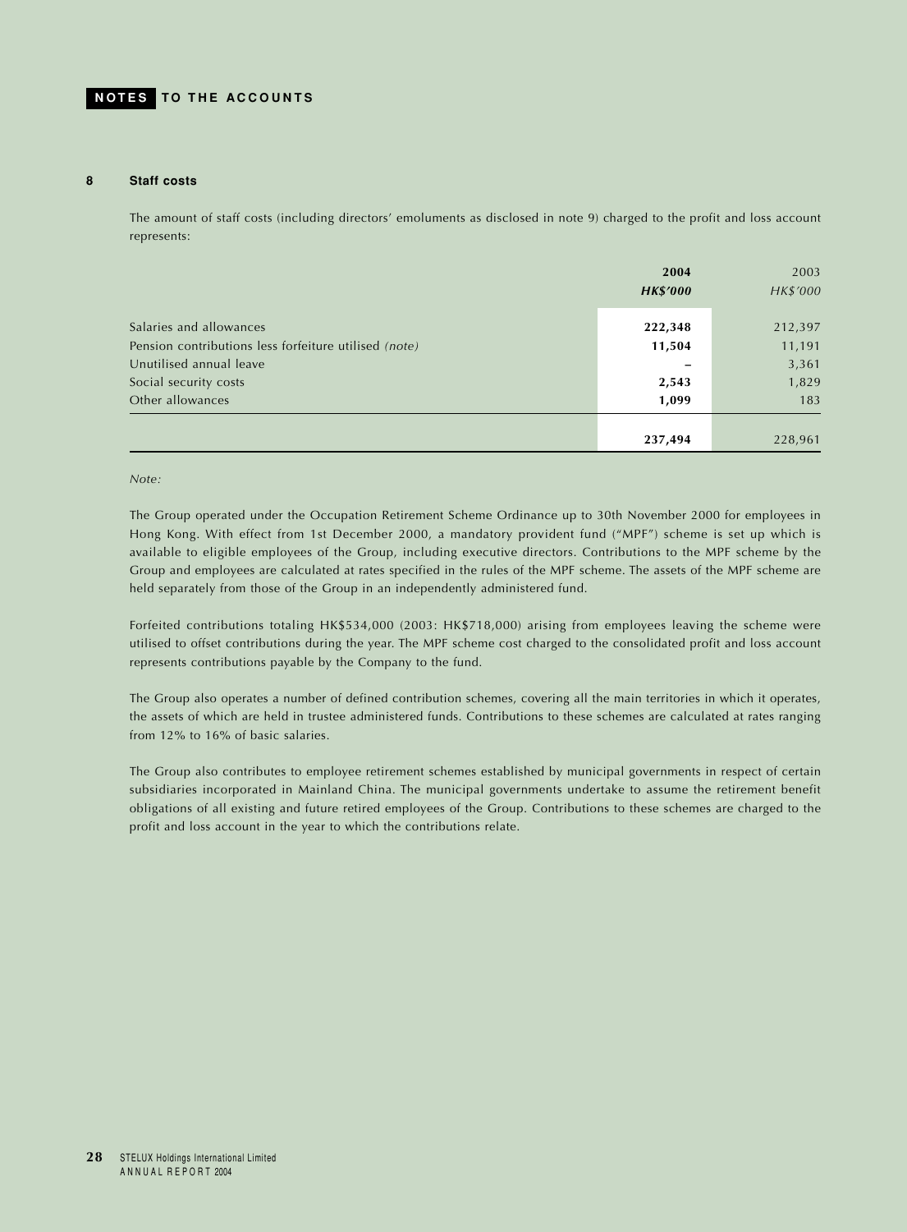#### **8 Staff costs**

The amount of staff costs (including directors' emoluments as disclosed in note 9) charged to the profit and loss account represents:

|                                                       | 2004<br><b>HK\$'000</b> | 2003<br>HK\$'000 |
|-------------------------------------------------------|-------------------------|------------------|
| Salaries and allowances                               | 222,348                 | 212,397          |
| Pension contributions less forfeiture utilised (note) | 11,504                  | 11,191           |
| Unutilised annual leave                               |                         | 3,361            |
| Social security costs                                 | 2,543                   | 1,829            |
| Other allowances                                      | 1,099                   | 183              |
|                                                       |                         |                  |
|                                                       | 237,494                 | 228,961          |

#### *Note:*

The Group operated under the Occupation Retirement Scheme Ordinance up to 30th November 2000 for employees in Hong Kong. With effect from 1st December 2000, a mandatory provident fund ("MPF") scheme is set up which is available to eligible employees of the Group, including executive directors. Contributions to the MPF scheme by the Group and employees are calculated at rates specified in the rules of the MPF scheme. The assets of the MPF scheme are held separately from those of the Group in an independently administered fund.

Forfeited contributions totaling HK\$534,000 (2003: HK\$718,000) arising from employees leaving the scheme were utilised to offset contributions during the year. The MPF scheme cost charged to the consolidated profit and loss account represents contributions payable by the Company to the fund.

The Group also operates a number of defined contribution schemes, covering all the main territories in which it operates, the assets of which are held in trustee administered funds. Contributions to these schemes are calculated at rates ranging from 12% to 16% of basic salaries.

The Group also contributes to employee retirement schemes established by municipal governments in respect of certain subsidiaries incorporated in Mainland China. The municipal governments undertake to assume the retirement benefit obligations of all existing and future retired employees of the Group. Contributions to these schemes are charged to the profit and loss account in the year to which the contributions relate.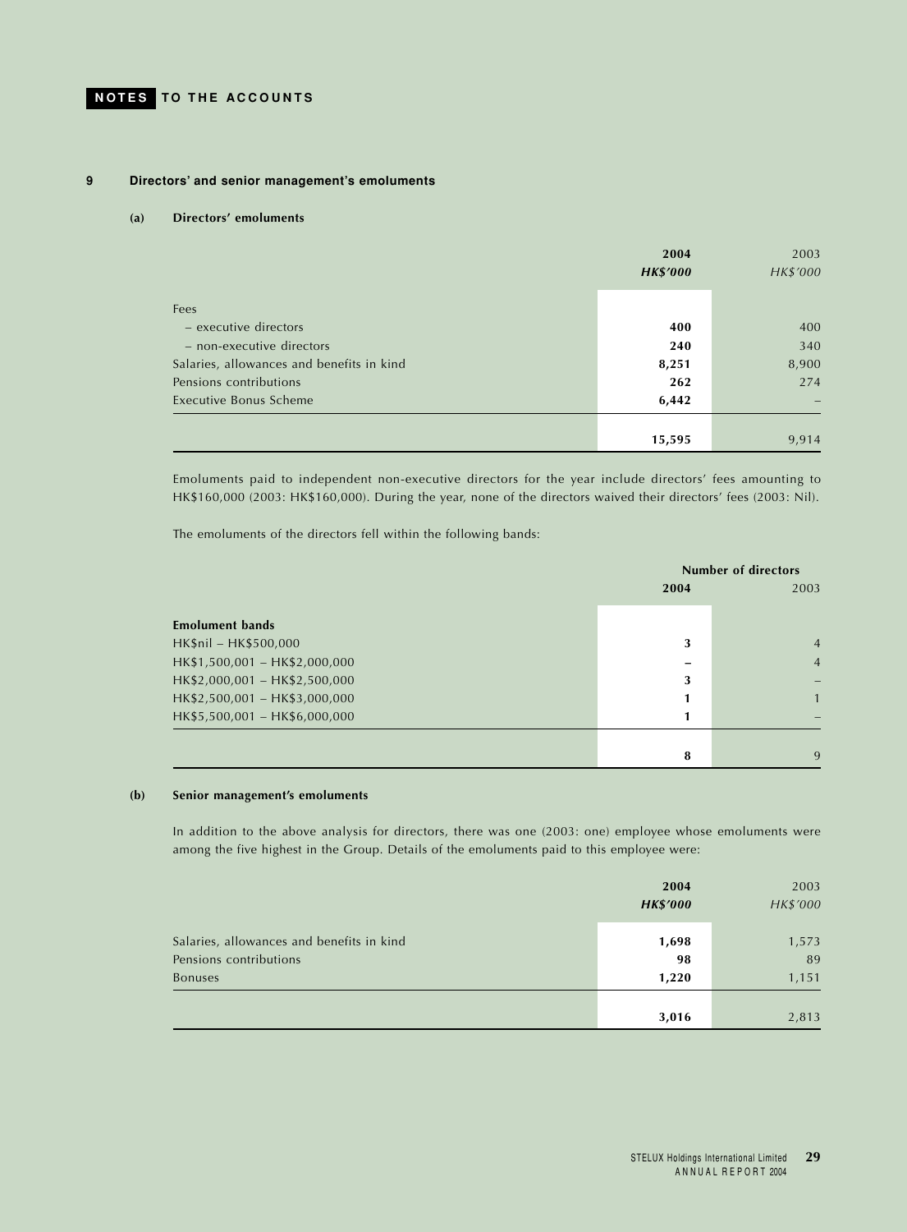### **9 Directors' and senior management's emoluments**

#### **(a) Directors' emoluments**

|                                           | 2004            | 2003     |
|-------------------------------------------|-----------------|----------|
|                                           | <b>HK\$'000</b> | HK\$'000 |
|                                           |                 |          |
| Fees                                      |                 |          |
| - executive directors                     | 400             | 400      |
| - non-executive directors                 | 240             | 340      |
| Salaries, allowances and benefits in kind | 8,251           | 8,900    |
| Pensions contributions                    | 262             | 274      |
| Executive Bonus Scheme                    | 6,442           |          |
|                                           |                 |          |
|                                           | 15,595          | 9,914    |

Emoluments paid to independent non-executive directors for the year include directors' fees amounting to HK\$160,000 (2003: HK\$160,000). During the year, none of the directors waived their directors' fees (2003: Nil).

The emoluments of the directors fell within the following bands:

|                               |      | <b>Number of directors</b> |                |
|-------------------------------|------|----------------------------|----------------|
|                               | 2004 |                            | 2003           |
| <b>Emolument bands</b>        |      |                            |                |
| HK\$nil - HK\$500,000         |      | 3                          | $\overline{4}$ |
| HK\$1,500,001 - HK\$2,000,000 |      |                            | $\overline{4}$ |
| HK\$2,000,001 - HK\$2,500,000 |      | 3                          |                |
| HK\$2,500,001 - HK\$3,000,000 |      |                            | $\mathbf{1}$   |
| HK\$5,500,001 - HK\$6,000,000 |      |                            |                |
|                               |      |                            |                |
|                               |      | 8                          | 9              |

### **(b) Senior management's emoluments**

In addition to the above analysis for directors, there was one (2003: one) employee whose emoluments were among the five highest in the Group. Details of the emoluments paid to this employee were:

|                                                                                       | 2004<br><b>HK\$'000</b> | 2003<br>HK\$'000     |
|---------------------------------------------------------------------------------------|-------------------------|----------------------|
| Salaries, allowances and benefits in kind<br>Pensions contributions<br><b>Bonuses</b> | 1,698<br>98<br>1,220    | 1,573<br>89<br>1,151 |
|                                                                                       | 3,016                   | 2,813                |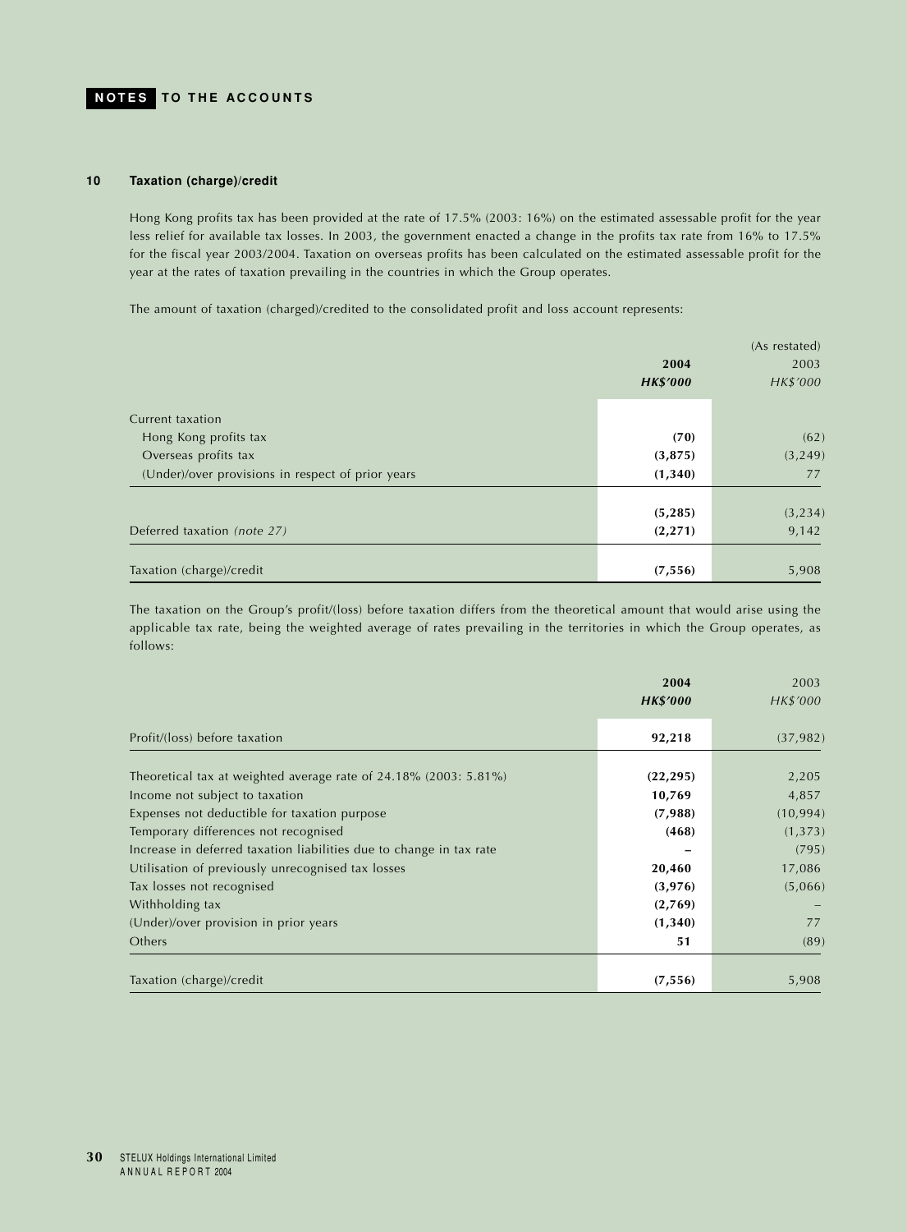#### **10 Taxation (charge)/credit**

Hong Kong profits tax has been provided at the rate of 17.5% (2003: 16%) on the estimated assessable profit for the year less relief for available tax losses. In 2003, the government enacted a change in the profits tax rate from 16% to 17.5% for the fiscal year 2003/2004. Taxation on overseas profits has been calculated on the estimated assessable profit for the year at the rates of taxation prevailing in the countries in which the Group operates.

The amount of taxation (charged)/credited to the consolidated profit and loss account represents:

|                                                   | 2004<br><b>HK\$'000</b> | (As restated)<br>2003<br>HK\$'000 |
|---------------------------------------------------|-------------------------|-----------------------------------|
| Current taxation                                  |                         |                                   |
| Hong Kong profits tax                             | (70)                    | (62)                              |
| Overseas profits tax                              | (3,875)                 | (3, 249)                          |
| (Under)/over provisions in respect of prior years | (1,340)                 | 77                                |
|                                                   |                         |                                   |
|                                                   | (5, 285)                | (3, 234)                          |
| Deferred taxation (note 27)                       | (2, 271)                | 9,142                             |
| Taxation (charge)/credit                          | (7, 556)                | 5,908                             |

The taxation on the Group's profit/(loss) before taxation differs from the theoretical amount that would arise using the applicable tax rate, being the weighted average of rates prevailing in the territories in which the Group operates, as follows:

|                                                                                                                          | 2004<br><b>HK\$'000</b> | 2003<br>HK\$'000   |
|--------------------------------------------------------------------------------------------------------------------------|-------------------------|--------------------|
| Profit/(loss) before taxation                                                                                            | 92,218                  | (37, 982)          |
| Theoretical tax at weighted average rate of 24.18% (2003: 5.81%)                                                         | (22, 295)               | 2,205              |
| Income not subject to taxation<br>Expenses not deductible for taxation purpose                                           | 10,769<br>(7,988)       | 4,857<br>(10, 994) |
| Temporary differences not recognised                                                                                     | (468)                   | (1, 373)           |
| Increase in deferred taxation liabilities due to change in tax rate<br>Utilisation of previously unrecognised tax losses | 20,460                  | (795)<br>17,086    |
| Tax losses not recognised                                                                                                | (3,976)                 | (5,066)            |
| Withholding tax<br>(Under)/over provision in prior years                                                                 | (2,769)<br>(1,340)      | 77                 |
| Others                                                                                                                   | 51                      | (89)               |
| Taxation (charge)/credit                                                                                                 | (7, 556)                | 5,908              |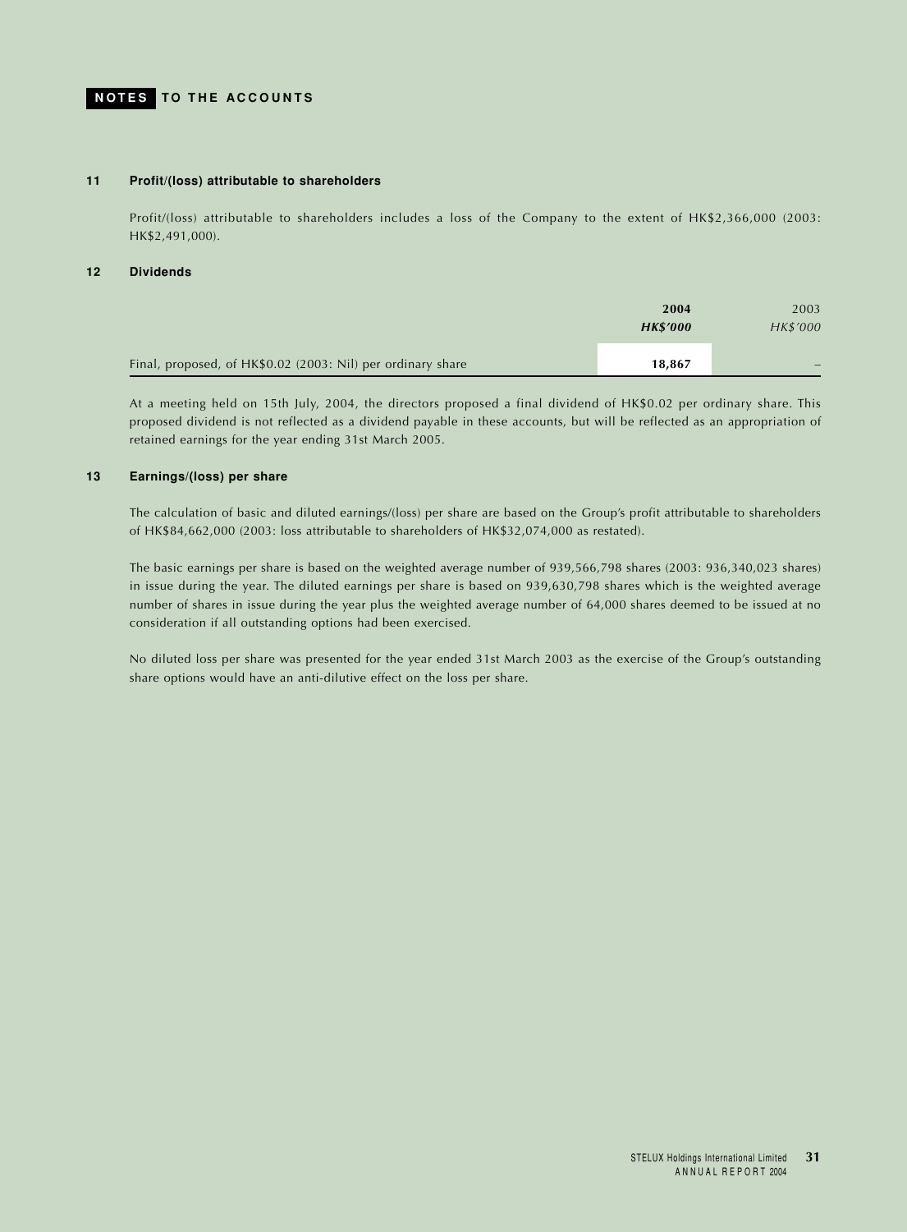#### **11 Profit/(loss) attributable to shareholders**

Profit/(loss) attributable to shareholders includes a loss of the Company to the extent of HK\$2,366,000 (2003: HK\$2,491,000).

## **12 Dividends**

|                                                             | 2004<br><b>HK\$'000</b> | 2003<br>HK\$'000 |
|-------------------------------------------------------------|-------------------------|------------------|
| Final, proposed, of HK\$0.02 (2003: Nil) per ordinary share | 18,867                  |                  |

At a meeting held on 15th July, 2004, the directors proposed a final dividend of HK\$0.02 per ordinary share. This proposed dividend is not reflected as a dividend payable in these accounts, but will be reflected as an appropriation of retained earnings for the year ending 31st March 2005.

## **13 Earnings/(loss) per share**

The calculation of basic and diluted earnings/(loss) per share are based on the Group's profit attributable to shareholders of HK\$84,662,000 (2003: loss attributable to shareholders of HK\$32,074,000 as restated).

The basic earnings per share is based on the weighted average number of 939,566,798 shares (2003: 936,340,023 shares) in issue during the year. The diluted earnings per share is based on 939,630,798 shares which is the weighted average number of shares in issue during the year plus the weighted average number of 64,000 shares deemed to be issued at no consideration if all outstanding options had been exercised.

No diluted loss per share was presented for the year ended 31st March 2003 as the exercise of the Group's outstanding share options would have an anti-dilutive effect on the loss per share.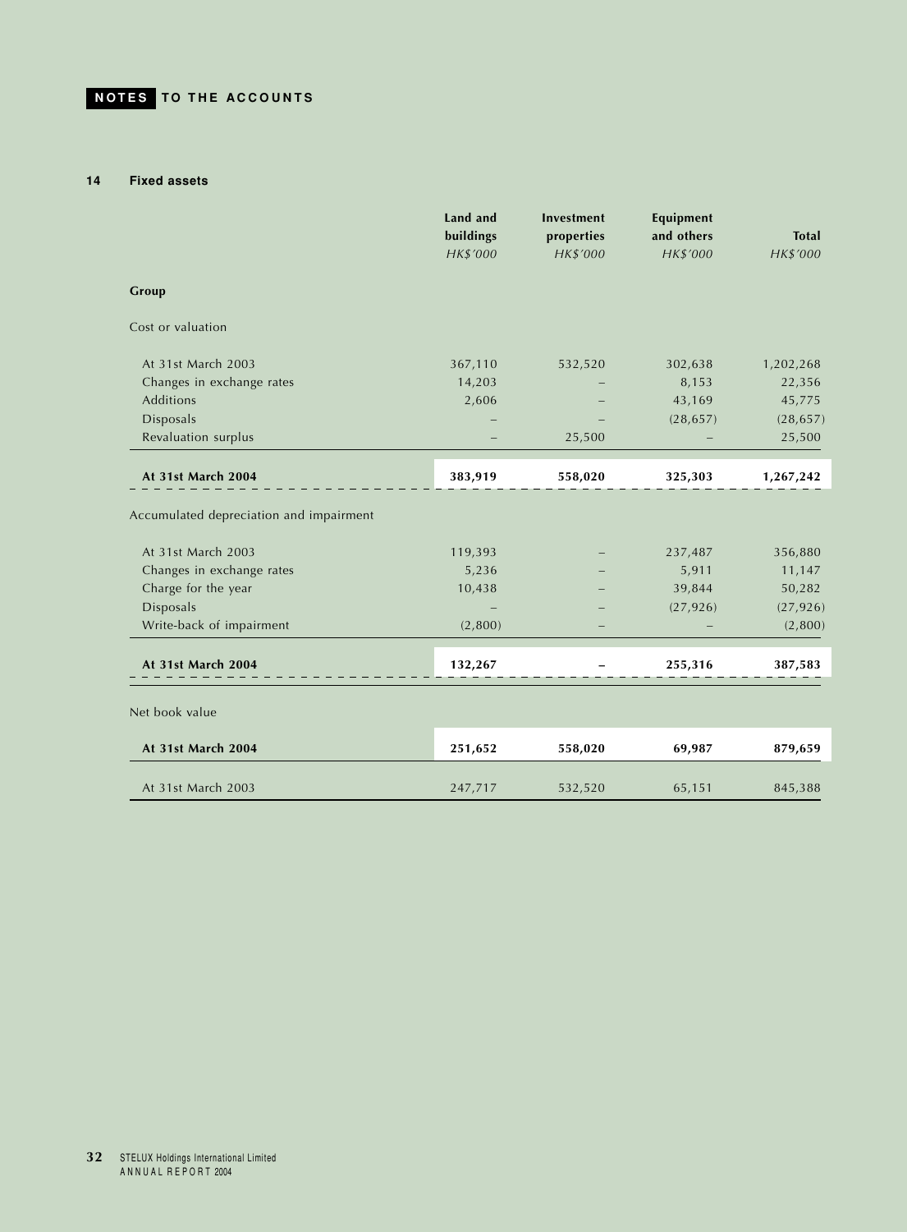### **14 Fixed assets**

|                                         | Land and<br>buildings<br>HK\$'000 | Investment<br>properties<br>HK\$'000 | Equipment<br>and others<br>HK\$'000 | <b>Total</b><br>HK\$'000 |
|-----------------------------------------|-----------------------------------|--------------------------------------|-------------------------------------|--------------------------|
| Group                                   |                                   |                                      |                                     |                          |
| Cost or valuation                       |                                   |                                      |                                     |                          |
| At 31st March 2003                      | 367,110                           | 532,520                              | 302,638                             | 1,202,268                |
| Changes in exchange rates               | 14,203                            |                                      | 8,153                               | 22,356                   |
| Additions                               | 2,606                             |                                      | 43,169                              | 45,775                   |
| Disposals                               |                                   |                                      | (28, 657)                           | (28, 657)                |
| Revaluation surplus                     |                                   | 25,500                               |                                     | 25,500                   |
| At 31st March 2004                      | 383,919                           | 558,020                              | 325,303                             | 1,267,242                |
|                                         |                                   |                                      |                                     |                          |
| Accumulated depreciation and impairment |                                   |                                      |                                     |                          |
| At 31st March 2003                      | 119,393                           |                                      | 237,487                             | 356,880                  |
| Changes in exchange rates               | 5,236                             |                                      | 5,911                               | 11,147                   |
| Charge for the year                     | 10,438                            |                                      | 39,844                              | 50,282                   |
| Disposals                               |                                   |                                      | (27, 926)                           | (27, 926)                |
| Write-back of impairment                | (2,800)                           |                                      |                                     | (2,800)                  |
| At 31st March 2004                      | 132,267                           |                                      | 255,316                             | 387,583                  |
|                                         |                                   |                                      |                                     |                          |
| Net book value                          |                                   |                                      |                                     |                          |
| At 31st March 2004                      | 251,652                           | 558,020                              | 69,987                              | 879,659                  |
| At 31st March 2003                      | 247,717                           | 532,520                              | 65,151                              | 845,388                  |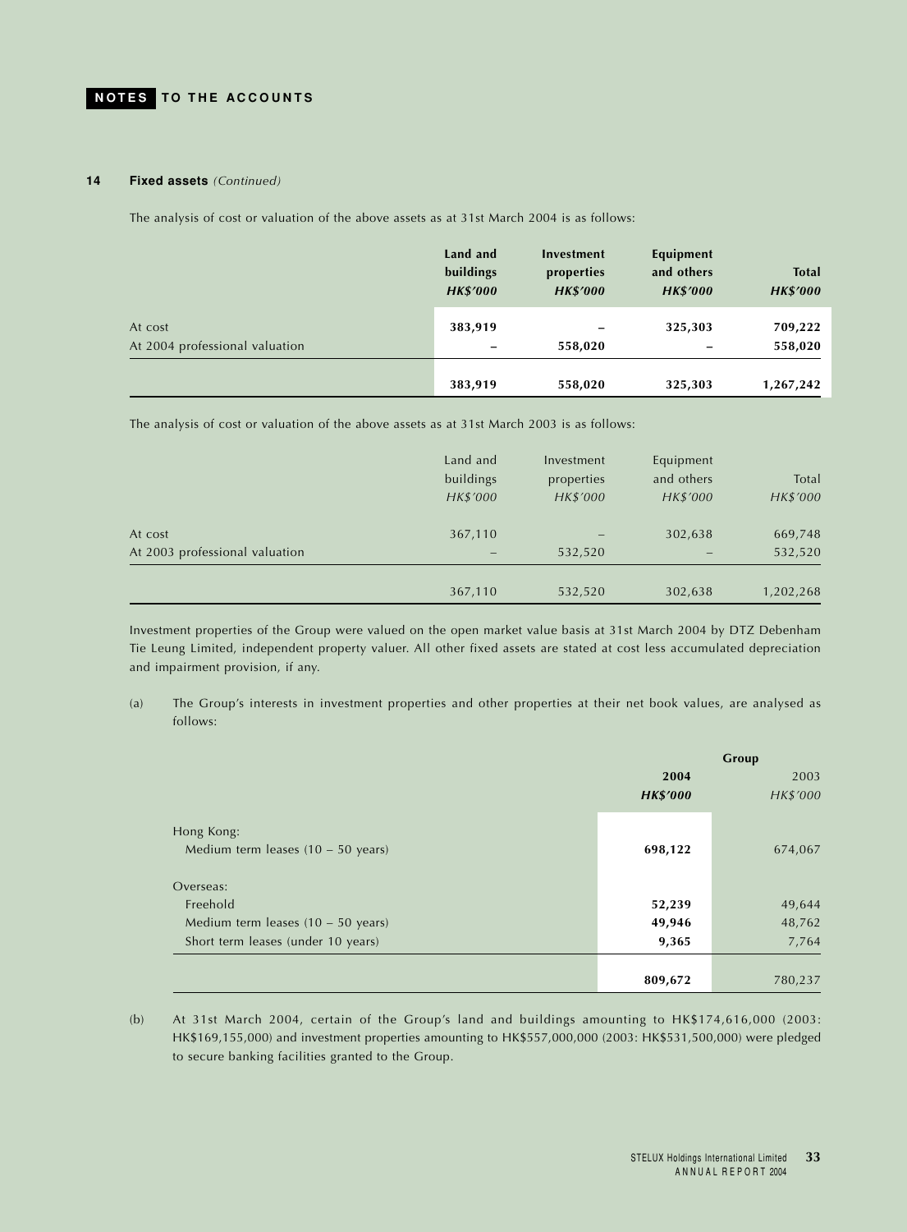#### **14 Fixed assets** *(Continued)*

The analysis of cost or valuation of the above assets as at 31st March 2004 is as follows:

|                                | Land and<br>buildings<br><b>HK\$'000</b> | Investment<br>properties<br><b>HK\$'000</b> | Equipment<br>and others<br><b>HK\$'000</b> | <b>Total</b><br><b>HK\$'000</b> |
|--------------------------------|------------------------------------------|---------------------------------------------|--------------------------------------------|---------------------------------|
| At cost                        | 383,919                                  |                                             | 325,303                                    | 709,222                         |
| At 2004 professional valuation |                                          | 558,020                                     |                                            | 558,020                         |
|                                | 383,919                                  | 558,020                                     | 325,303                                    | 1,267,242                       |

The analysis of cost or valuation of the above assets as at 31st March 2003 is as follows:

|                                | Land and<br>buildings<br>HK\$'000 | Investment<br>properties<br>HK\$'000 | Equipment<br>and others<br>HK\$'000 | Total<br>HK\$'000 |
|--------------------------------|-----------------------------------|--------------------------------------|-------------------------------------|-------------------|
| At cost                        | 367,110                           |                                      | 302,638                             | 669,748           |
| At 2003 professional valuation |                                   | 532,520                              |                                     | 532,520           |
|                                | 367,110                           | 532,520                              | 302,638                             | 1,202,268         |

Investment properties of the Group were valued on the open market value basis at 31st March 2004 by DTZ Debenham Tie Leung Limited, independent property valuer. All other fixed assets are stated at cost less accumulated depreciation and impairment provision, if any.

(a) The Group's interests in investment properties and other properties at their net book values, are analysed as follows:

|                                      | Group           |          |
|--------------------------------------|-----------------|----------|
|                                      | 2004            |          |
|                                      | <b>HK\$'000</b> | HK\$'000 |
| Hong Kong:                           |                 |          |
| Medium term leases $(10 - 50$ years) | 698,122         | 674,067  |
| Overseas:                            |                 |          |
| Freehold                             | 52,239          | 49,644   |
| Medium term leases $(10 - 50$ years) | 49,946          | 48,762   |
| Short term leases (under 10 years)   | 9,365           | 7,764    |
|                                      |                 |          |
|                                      | 809,672         | 780,237  |

(b) At 31st March 2004, certain of the Group's land and buildings amounting to HK\$174,616,000 (2003: HK\$169,155,000) and investment properties amounting to HK\$557,000,000 (2003: HK\$531,500,000) were pledged to secure banking facilities granted to the Group.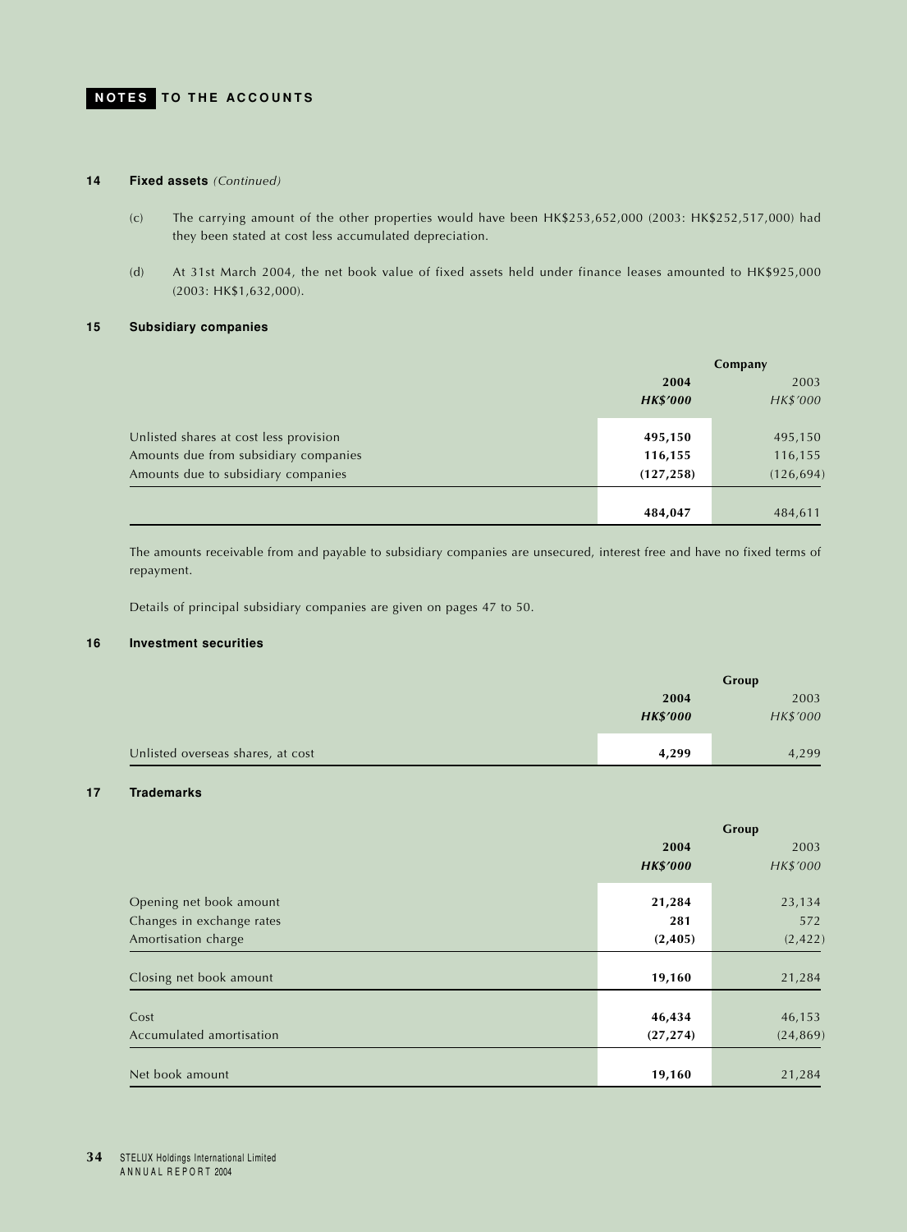## **14 Fixed assets** *(Continued)*

- (c) The carrying amount of the other properties would have been HK\$253,652,000 (2003: HK\$252,517,000) had they been stated at cost less accumulated depreciation.
- (d) At 31st March 2004, the net book value of fixed assets held under finance leases amounted to HK\$925,000 (2003: HK\$1,632,000).

## **15 Subsidiary companies**

|                                        | Company         |            |
|----------------------------------------|-----------------|------------|
|                                        | 2004            |            |
|                                        | <b>HK\$'000</b> | HK\$'000   |
|                                        |                 |            |
| Unlisted shares at cost less provision | 495,150         | 495,150    |
| Amounts due from subsidiary companies  | 116,155         | 116,155    |
| Amounts due to subsidiary companies    | (127, 258)      | (126, 694) |
|                                        |                 |            |
|                                        | 484,047         | 484,611    |

The amounts receivable from and payable to subsidiary companies are unsecured, interest free and have no fixed terms of repayment.

Details of principal subsidiary companies are given on pages 47 to 50.

## **16 Investment securities**

|                                   | Group           |          |
|-----------------------------------|-----------------|----------|
|                                   | 2004            | 2003     |
|                                   | <b>HK\$'000</b> | HK\$'000 |
|                                   |                 |          |
| Unlisted overseas shares, at cost | 4,299           | 4,299    |

## **17 Trademarks**

|                           | Group           |           |  |
|---------------------------|-----------------|-----------|--|
|                           | 2004            | 2003      |  |
|                           | <b>HK\$'000</b> | HK\$'000  |  |
| Opening net book amount   | 21,284          | 23,134    |  |
| Changes in exchange rates | 281             | 572       |  |
| Amortisation charge       | (2, 405)        | (2, 422)  |  |
|                           |                 |           |  |
| Closing net book amount   | 19,160          | 21,284    |  |
|                           |                 |           |  |
| Cost                      | 46,434          | 46,153    |  |
| Accumulated amortisation  | (27, 274)       | (24, 869) |  |
|                           |                 |           |  |
| Net book amount           | 19,160          | 21,284    |  |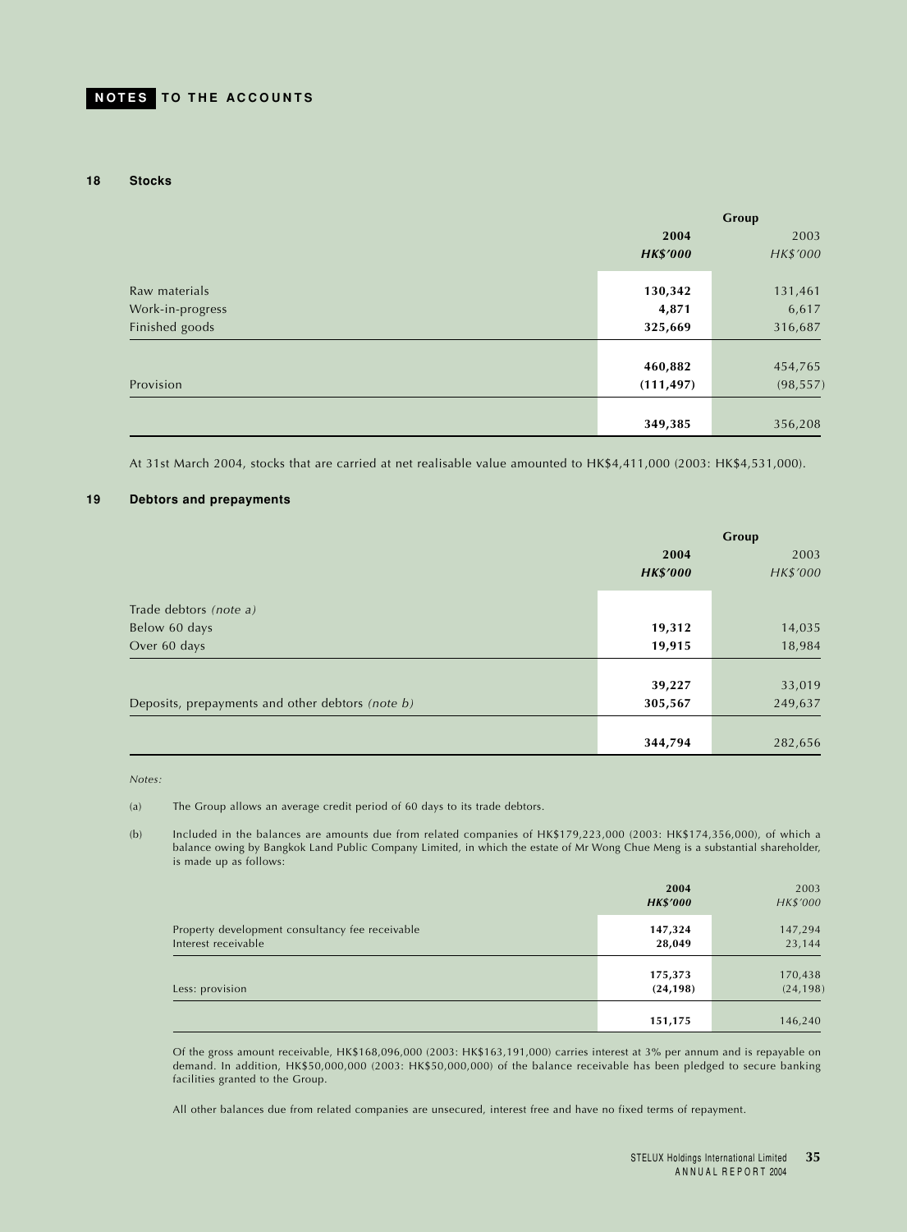#### **18 Stocks**

|                  | Group           |           |  |
|------------------|-----------------|-----------|--|
|                  | 2004            | 2003      |  |
|                  | <b>HK\$'000</b> | HK\$'000  |  |
|                  |                 |           |  |
| Raw materials    | 130,342         | 131,461   |  |
| Work-in-progress | 4,871           | 6,617     |  |
| Finished goods   | 325,669         | 316,687   |  |
|                  |                 |           |  |
|                  | 460,882         | 454,765   |  |
| Provision        | (111, 497)      | (98, 557) |  |
|                  |                 |           |  |
|                  | 349,385         | 356,208   |  |

At 31st March 2004, stocks that are carried at net realisable value amounted to HK\$4,411,000 (2003: HK\$4,531,000).

#### **19 Debtors and prepayments**

|                                                  | Group           |          |  |
|--------------------------------------------------|-----------------|----------|--|
|                                                  | 2004            | 2003     |  |
|                                                  | <b>HK\$'000</b> | HK\$'000 |  |
| Trade debtors (note a)                           |                 |          |  |
| Below 60 days                                    | 19,312          | 14,035   |  |
| Over 60 days                                     | 19,915          | 18,984   |  |
|                                                  |                 |          |  |
|                                                  | 39,227          | 33,019   |  |
| Deposits, prepayments and other debtors (note b) | 305,567         | 249,637  |  |
|                                                  |                 |          |  |
|                                                  | 344,794         | 282,656  |  |

*Notes:*

(a) The Group allows an average credit period of 60 days to its trade debtors.

(b) Included in the balances are amounts due from related companies of HK\$179,223,000 (2003: HK\$174,356,000), of which a balance owing by Bangkok Land Public Company Limited, in which the estate of Mr Wong Chue Meng is a substantial shareholder, is made up as follows:

|                                                                        | 2004<br><b>HK\$'000</b> | 2003<br>HK\$'000     |
|------------------------------------------------------------------------|-------------------------|----------------------|
| Property development consultancy fee receivable<br>Interest receivable | 147,324<br>28,049       | 147,294<br>23,144    |
| Less: provision                                                        | 175,373<br>(24, 198)    | 170,438<br>(24, 198) |
|                                                                        | 151,175                 | 146,240              |

Of the gross amount receivable, HK\$168,096,000 (2003: HK\$163,191,000) carries interest at 3% per annum and is repayable on demand. In addition, HK\$50,000,000 (2003: HK\$50,000,000) of the balance receivable has been pledged to secure banking facilities granted to the Group.

All other balances due from related companies are unsecured, interest free and have no fixed terms of repayment.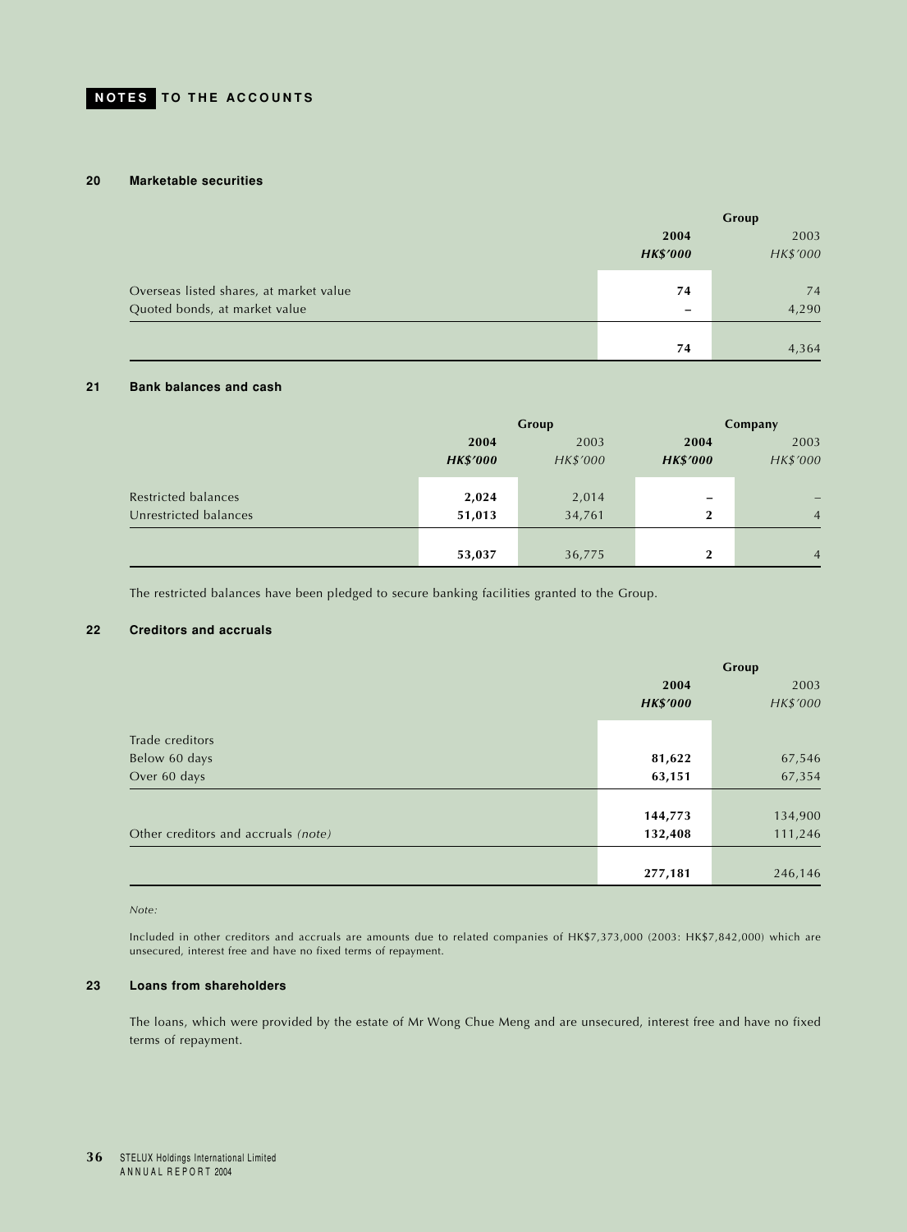### **20 Marketable securities**

|                                         | Group                        |          |  |
|-----------------------------------------|------------------------------|----------|--|
|                                         | 2004<br><b>HK\$'000</b>      |          |  |
|                                         |                              | HK\$'000 |  |
| Overseas listed shares, at market value | 74                           | 74       |  |
| Quoted bonds, at market value           | $\qquad \qquad \blacksquare$ | 4,290    |  |
|                                         |                              |          |  |
|                                         | 74                           | 4,364    |  |

## **21 Bank balances and cash**

|                       |                 | Group    | Company          |                |  |
|-----------------------|-----------------|----------|------------------|----------------|--|
|                       | 2004            | 2003     | 2004             | 2003           |  |
|                       | <b>HK\$'000</b> | HK\$'000 | <b>HK\$'000</b>  | HK\$'000       |  |
| Restricted balances   | 2,024           | 2,014    | -                |                |  |
| Unrestricted balances | 51,013          | 34,761   | $\boldsymbol{2}$ | $\overline{4}$ |  |
|                       |                 |          |                  |                |  |
|                       | 53,037          | 36,775   | $\overline{2}$   | $\overline{4}$ |  |

The restricted balances have been pledged to secure banking facilities granted to the Group.

## **22 Creditors and accruals**

|                                     | Group           |          |  |
|-------------------------------------|-----------------|----------|--|
|                                     | 2004            | 2003     |  |
|                                     | <b>HK\$'000</b> | HK\$'000 |  |
| Trade creditors                     |                 |          |  |
| Below 60 days                       | 81,622          | 67,546   |  |
| Over 60 days                        | 63,151          | 67,354   |  |
|                                     |                 |          |  |
|                                     | 144,773         | 134,900  |  |
| Other creditors and accruals (note) | 132,408         | 111,246  |  |
|                                     |                 |          |  |
|                                     | 277,181         | 246,146  |  |

*Note:*

Included in other creditors and accruals are amounts due to related companies of HK\$7,373,000 (2003: HK\$7,842,000) which are unsecured, interest free and have no fixed terms of repayment.

## **23 Loans from shareholders**

The loans, which were provided by the estate of Mr Wong Chue Meng and are unsecured, interest free and have no fixed terms of repayment.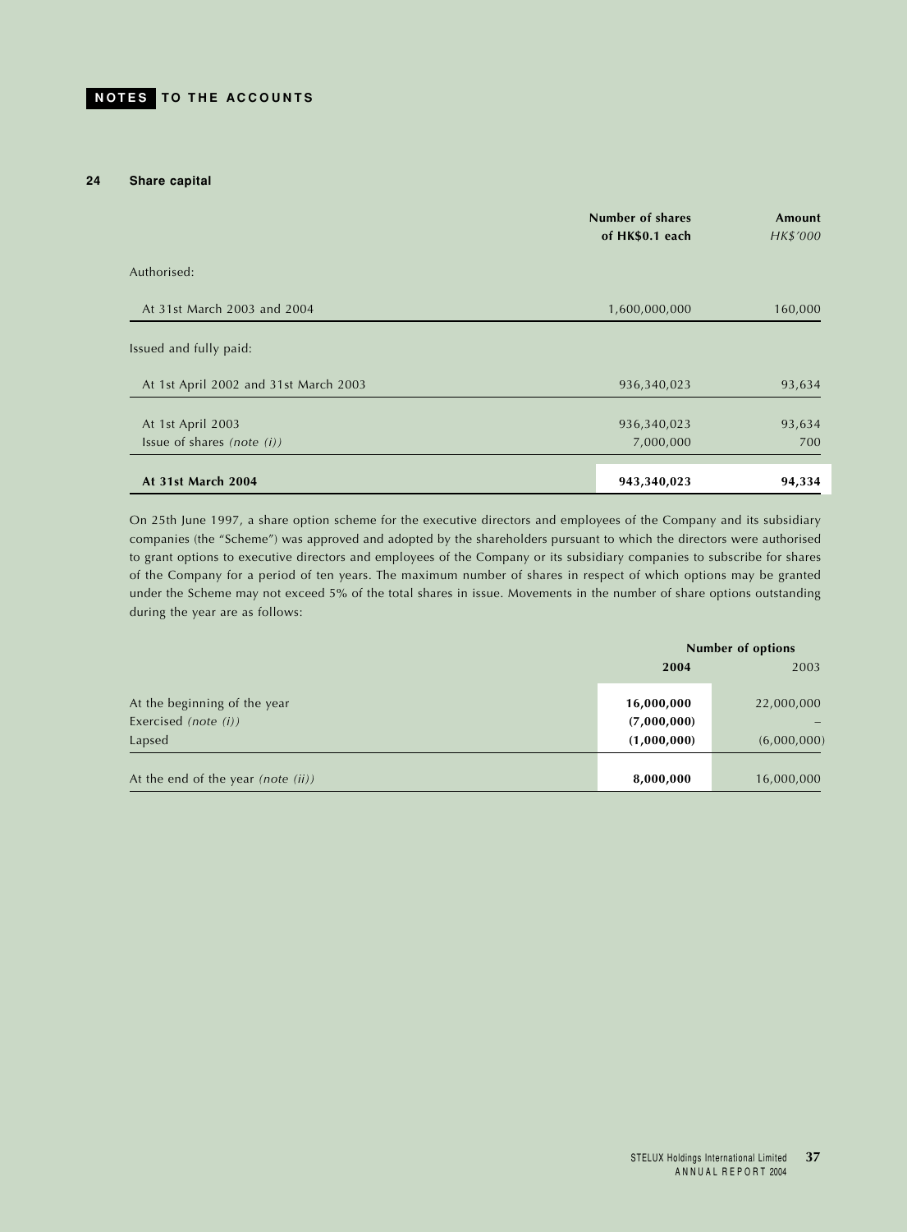#### **24 Share capital**

|                                       | Number of shares<br>of HK\$0.1 each | Amount<br>HK\$'000 |
|---------------------------------------|-------------------------------------|--------------------|
| Authorised:                           |                                     |                    |
| At 31st March 2003 and 2004           | 1,600,000,000                       | 160,000            |
| Issued and fully paid:                |                                     |                    |
| At 1st April 2002 and 31st March 2003 | 936,340,023                         | 93,634             |
| At 1st April 2003                     | 936,340,023                         | 93,634             |
| Issue of shares (note $(i)$ )         | 7,000,000                           | 700                |
| At 31st March 2004                    | 943,340,023                         | 94,334             |

On 25th June 1997, a share option scheme for the executive directors and employees of the Company and its subsidiary companies (the "Scheme") was approved and adopted by the shareholders pursuant to which the directors were authorised to grant options to executive directors and employees of the Company or its subsidiary companies to subscribe for shares of the Company for a period of ten years. The maximum number of shares in respect of which options may be granted under the Scheme may not exceed 5% of the total shares in issue. Movements in the number of share options outstanding during the year are as follows:

|                                                      | <b>Number of options</b>  |             |  |
|------------------------------------------------------|---------------------------|-------------|--|
|                                                      | 2003<br>2004              |             |  |
| At the beginning of the year<br>Exercised (note (i)) | 16,000,000<br>(7,000,000) | 22,000,000  |  |
| Lapsed                                               | (1,000,000)               | (6,000,000) |  |
| At the end of the year (note $(ii)$ )                | 8,000,000                 | 16,000,000  |  |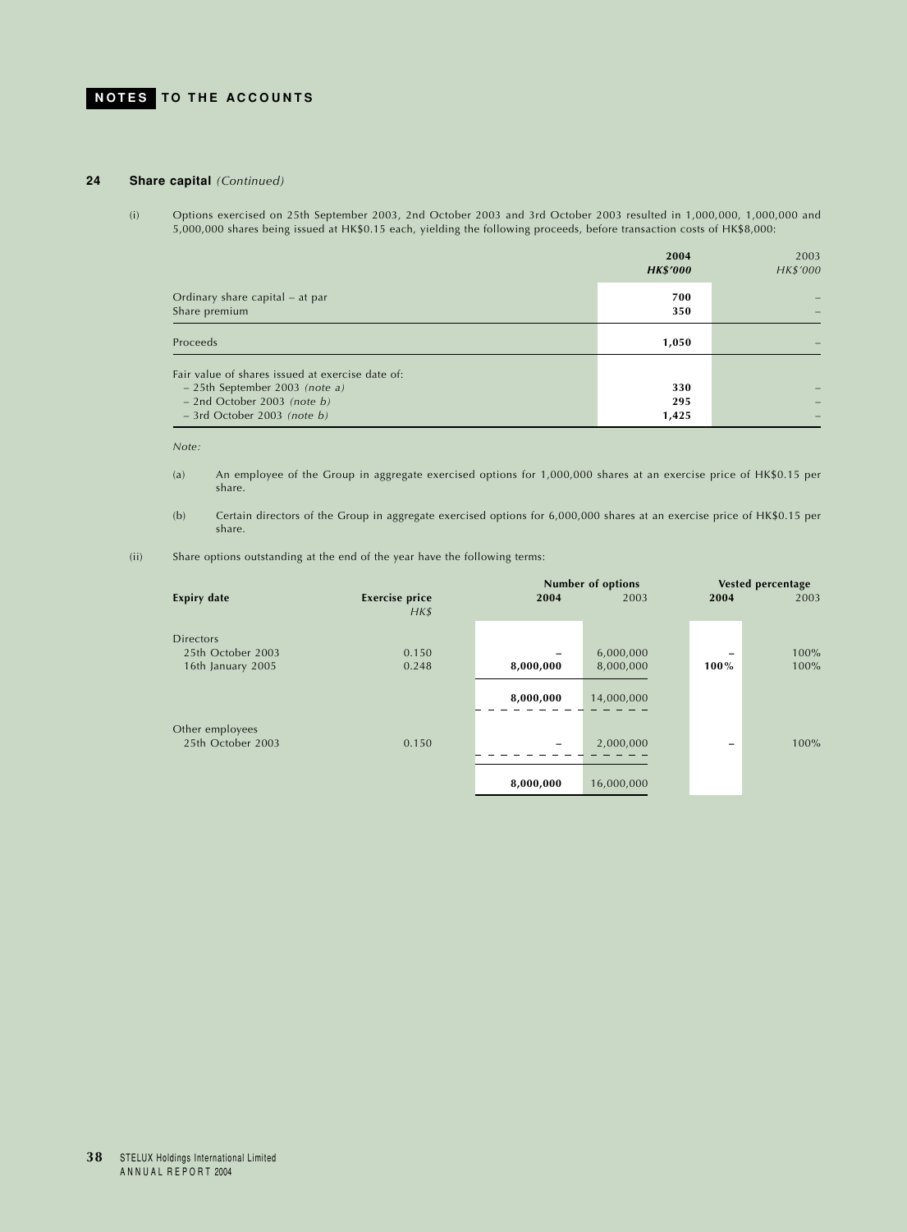## **24 Share capital** *(Continued)*

(i) Options exercised on 25th September 2003, 2nd October 2003 and 3rd October 2003 resulted in 1,000,000, 1,000,000 and 5,000,000 shares being issued at HK\$0.15 each, yielding the following proceeds, before transaction costs of HK\$8,000:

|                                                                                                                                                        | 2004<br><b>HK\$'000</b> | 2003<br>HK\$'000 |
|--------------------------------------------------------------------------------------------------------------------------------------------------------|-------------------------|------------------|
| Ordinary share capital – at par<br>Share premium                                                                                                       | 700<br>350              |                  |
| Proceeds                                                                                                                                               | 1,050                   |                  |
| Fair value of shares issued at exercise date of:<br>$-25$ th September 2003 (note a)<br>$-$ 2nd October 2003 (note b)<br>$-$ 3rd October 2003 (note b) | 330<br>295<br>1,425     |                  |

*Note:*

- (a) An employee of the Group in aggregate exercised options for 1,000,000 shares at an exercise price of HK\$0.15 per share.
- (b) Certain directors of the Group in aggregate exercised options for 6,000,000 shares at an exercise price of HK\$0.15 per share.
- (ii) Share options outstanding at the end of the year have the following terms:

|                    |                                   | <b>Number of options</b> |            |      | <b>Vested percentage</b> |
|--------------------|-----------------------------------|--------------------------|------------|------|--------------------------|
| <b>Expiry date</b> | <b>Exercise price</b><br>$H K$ \$ | 2004                     | 2003       | 2004 | 2003                     |
| <b>Directors</b>   |                                   |                          |            |      |                          |
| 25th October 2003  | 0.150                             |                          | 6,000,000  |      | $100\%$                  |
| 16th January 2005  | 0.248                             | 8,000,000                | 8,000,000  | 100% | 100%                     |
|                    |                                   | 8,000,000                | 14,000,000 |      |                          |
| Other employees    |                                   |                          |            |      |                          |
| 25th October 2003  | 0.150                             |                          | 2,000,000  | -    | $100\%$                  |
|                    |                                   | 8,000,000                | 16,000,000 |      |                          |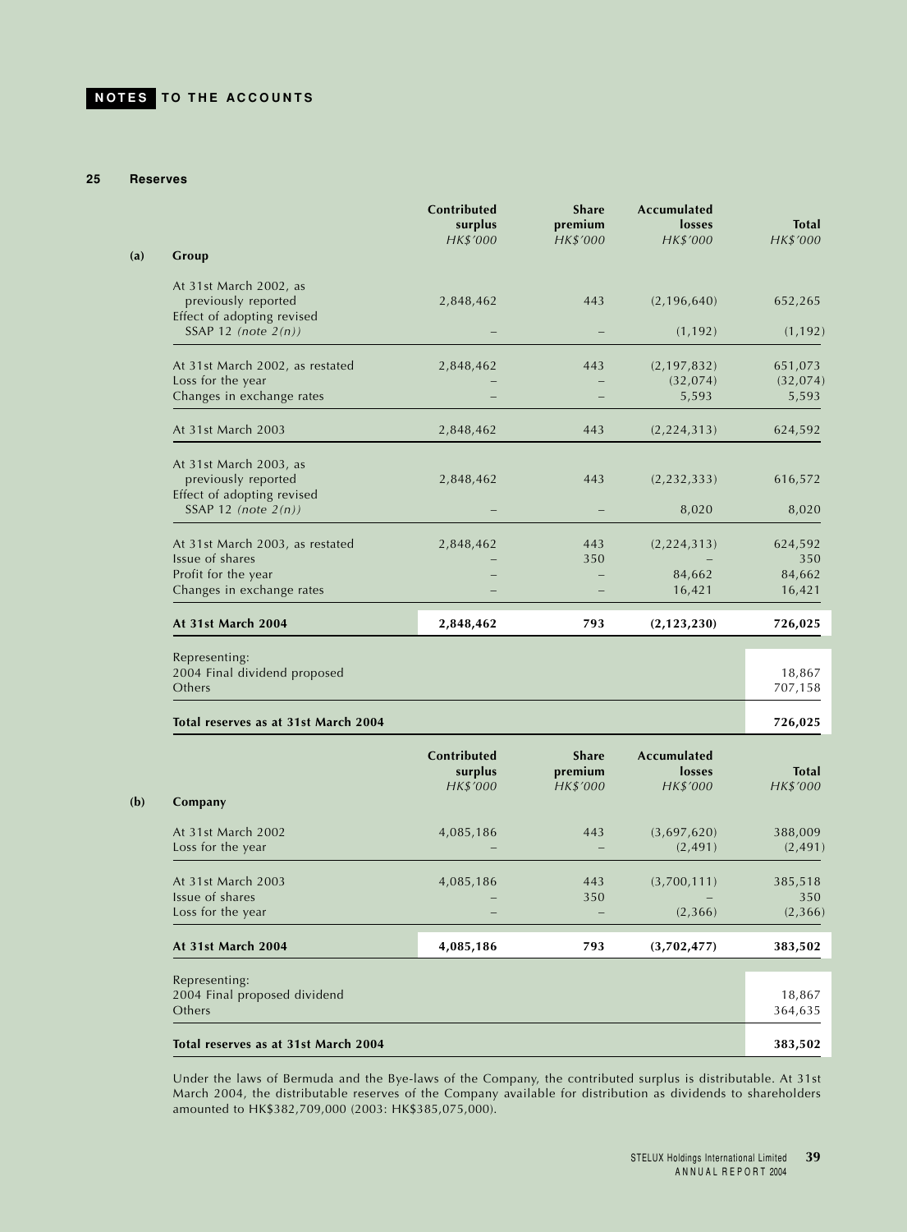### **25 Reserves**

|                                                                             | Contributed<br>surplus<br>HK\$'000 | <b>Share</b><br>premium<br>HK\$'000 | Accumulated<br>losses<br>HK\$'000 | <b>Total</b><br>HK\$'000 |
|-----------------------------------------------------------------------------|------------------------------------|-------------------------------------|-----------------------------------|--------------------------|
| Group                                                                       |                                    |                                     |                                   |                          |
| At 31st March 2002, as<br>previously reported<br>Effect of adopting revised | 2,848,462                          | 443                                 | (2, 196, 640)                     | 652,265                  |
| SSAP 12 (note $2(n)$ )                                                      |                                    |                                     | (1, 192)                          | (1, 192)                 |
| At 31st March 2002, as restated                                             | 2,848,462                          | 443                                 | (2, 197, 832)                     | 651,073                  |
| Loss for the year<br>Changes in exchange rates                              |                                    |                                     | (32, 074)<br>5,593                | (32, 074)<br>5,593       |
| At 31st March 2003                                                          | 2,848,462                          | 443                                 | (2, 224, 313)                     | 624,592                  |
| At 31st March 2003, as<br>previously reported                               | 2,848,462                          | 443                                 | (2, 232, 333)                     | 616,572                  |
| Effect of adopting revised<br>SSAP 12 (note $2(n)$ )                        |                                    |                                     | 8,020                             | 8,020                    |
| At 31st March 2003, as restated                                             | 2,848,462                          | 443                                 | (2, 224, 313)                     | 624,592                  |
| Issue of shares<br>Profit for the year                                      |                                    | 350                                 | 84,662                            | 350<br>84,662            |
| Changes in exchange rates                                                   |                                    |                                     | 16,421                            | 16,421                   |
| At 31st March 2004                                                          | 2,848,462                          | 793                                 | (2, 123, 230)                     | 726,025                  |
| Representing:<br>2004 Final dividend proposed                               |                                    |                                     |                                   | 18,867                   |
| Others                                                                      |                                    |                                     |                                   | 707,158                  |
| Total reserves as at 31st March 2004                                        |                                    |                                     |                                   | 726,025                  |
|                                                                             | Contributed<br>surplus             | <b>Share</b><br>premium             | Accumulated<br>losses             | <b>Total</b>             |
|                                                                             | HK\$'000                           | HK\$'000                            | HK\$'000                          | HK\$'000                 |
| Company                                                                     |                                    |                                     |                                   |                          |
| At 31st March 2002<br>متحمد بمطه ممكسمين                                    | 4,085,186                          | 443                                 | (3,697,620)<br>(2.401)            | 388,009<br>(2.101)       |

| At 31st March 2002                            | 4,085,186 | 443 | (3,697,620) | 388,009  |
|-----------------------------------------------|-----------|-----|-------------|----------|
| Loss for the year                             |           |     | (2, 491)    | (2, 491) |
| At 31st March 2003                            | 4,085,186 | 443 | (3,700,111) | 385,518  |
| Issue of shares                               |           | 350 |             | 350      |
| Loss for the year                             |           |     | (2,366)     | (2,366)  |
| At 31st March 2004                            | 4,085,186 | 793 | (3,702,477) | 383,502  |
|                                               |           |     |             |          |
| Representing:<br>2004 Final proposed dividend |           |     |             | 18,867   |
| Others                                        |           |     |             | 364,635  |
| Total reserves as at 31st March 2004          |           |     |             | 383,502  |

Under the laws of Bermuda and the Bye-laws of the Company, the contributed surplus is distributable. At 31st March 2004, the distributable reserves of the Company available for distribution as dividends to shareholders amounted to HK\$382,709,000 (2003: HK\$385,075,000).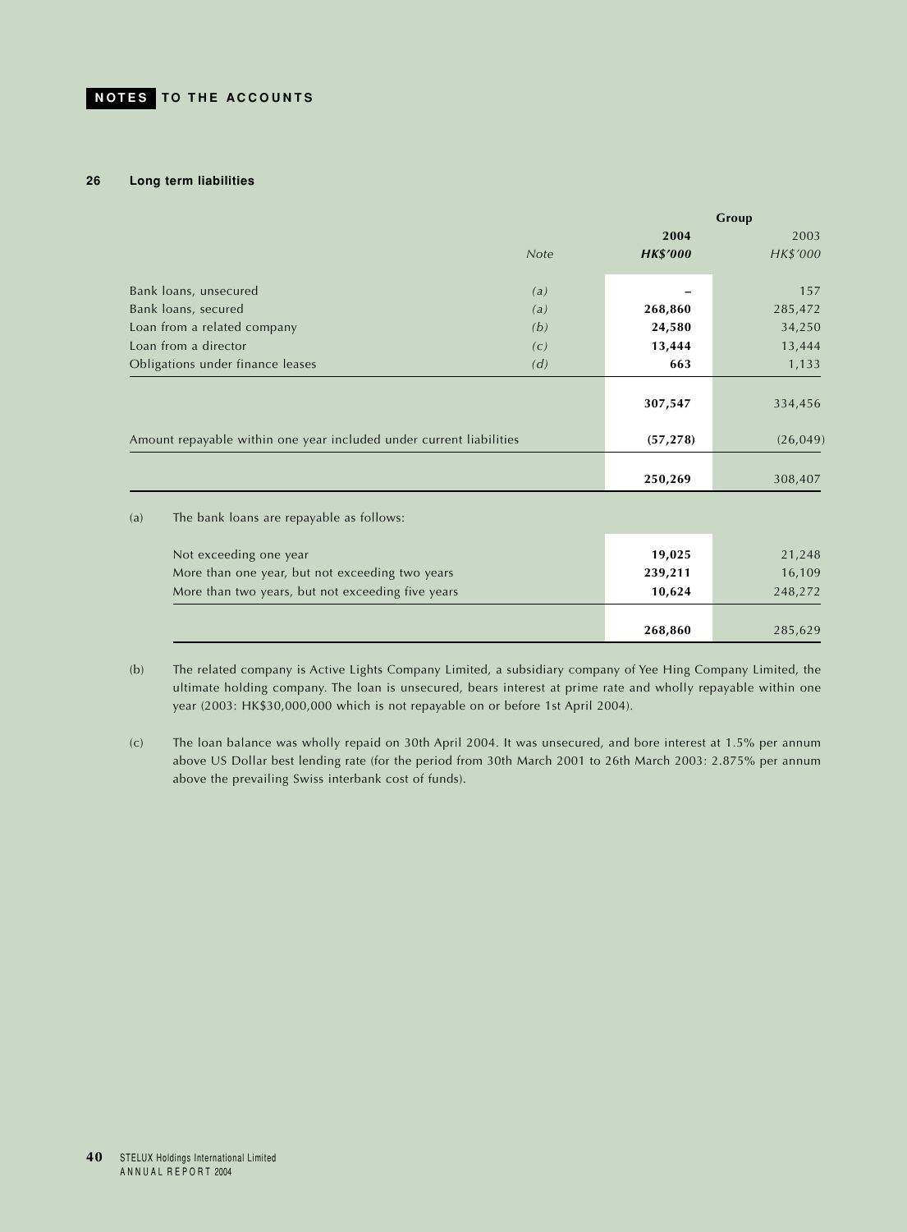### **26 Long term liabilities**

|     |                                                                     |             |                 | Group     |
|-----|---------------------------------------------------------------------|-------------|-----------------|-----------|
|     |                                                                     |             | 2004            | 2003      |
|     |                                                                     | <b>Note</b> | <b>HK\$'000</b> | HK\$'000  |
|     | Bank loans, unsecured                                               | (a)         |                 | 157       |
|     | Bank loans, secured                                                 | (a)         | 268,860         | 285,472   |
|     | Loan from a related company                                         | (b)         | 24,580          | 34,250    |
|     | Loan from a director                                                | (c)         | 13,444          | 13,444    |
|     | Obligations under finance leases                                    | (d)         | 663             | 1,133     |
|     |                                                                     |             | 307,547         | 334,456   |
|     | Amount repayable within one year included under current liabilities |             | (57, 278)       | (26, 049) |
|     |                                                                     |             | 250,269         | 308,407   |
| (a) | The bank loans are repayable as follows:                            |             |                 |           |
|     | Not exceeding one year                                              |             | 19,025          | 21,248    |
|     | More than one year, but not exceeding two years                     |             | 239,211         | 16,109    |
|     | More than two years, but not exceeding five years                   |             | 10,624          | 248,272   |
|     |                                                                     |             | 268,860         | 285,629   |

(b) The related company is Active Lights Company Limited, a subsidiary company of Yee Hing Company Limited, the ultimate holding company. The loan is unsecured, bears interest at prime rate and wholly repayable within one year (2003: HK\$30,000,000 which is not repayable on or before 1st April 2004).

(c) The loan balance was wholly repaid on 30th April 2004. It was unsecured, and bore interest at 1.5% per annum above US Dollar best lending rate (for the period from 30th March 2001 to 26th March 2003: 2.875% per annum above the prevailing Swiss interbank cost of funds).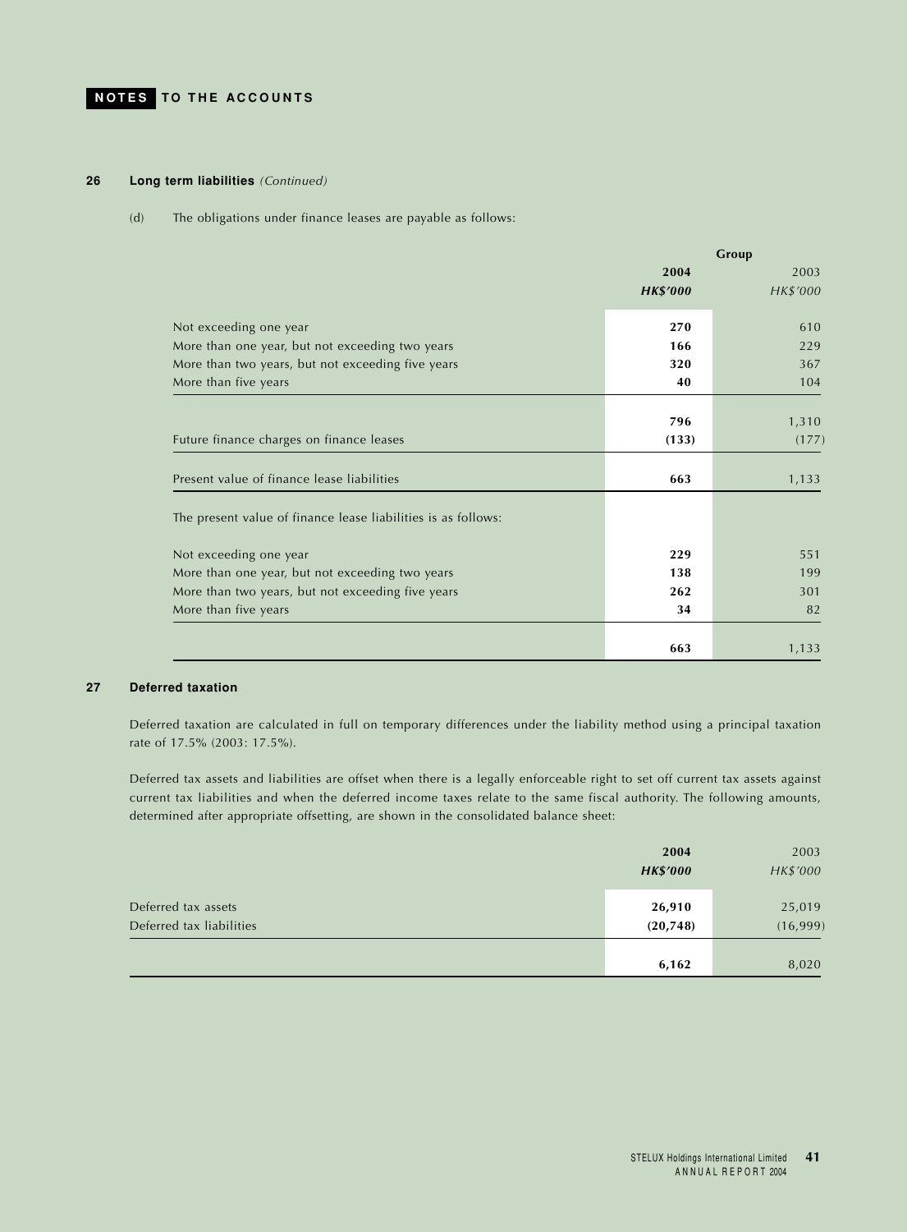## **26 Long term liabilities** *(Continued)*

#### (d) The obligations under finance leases are payable as follows:

|                                                               |                 | Group    |
|---------------------------------------------------------------|-----------------|----------|
|                                                               | 2004            | 2003     |
|                                                               | <b>HK\$'000</b> | HK\$'000 |
| Not exceeding one year                                        | 270             | 610      |
| More than one year, but not exceeding two years               | 166             | 229      |
| More than two years, but not exceeding five years             | 320             | 367      |
| More than five years                                          | 40              | 104      |
|                                                               |                 |          |
|                                                               | 796             | 1,310    |
| Future finance charges on finance leases                      | (133)           | (177)    |
| Present value of finance lease liabilities                    | 663             | 1,133    |
| The present value of finance lease liabilities is as follows: |                 |          |
| Not exceeding one year                                        | 229             | 551      |
| More than one year, but not exceeding two years               | 138             | 199      |
| More than two years, but not exceeding five years             | 262             | 301      |
| More than five years                                          | 34              | 82       |
|                                                               |                 |          |
|                                                               | 663             | 1,133    |

## **27 Deferred taxation**

Deferred taxation are calculated in full on temporary differences under the liability method using a principal taxation rate of 17.5% (2003: 17.5%).

Deferred tax assets and liabilities are offset when there is a legally enforceable right to set off current tax assets against current tax liabilities and when the deferred income taxes relate to the same fiscal authority. The following amounts, determined after appropriate offsetting, are shown in the consolidated balance sheet:

|                          | 2004            | 2003     |
|--------------------------|-----------------|----------|
|                          | <b>HK\$'000</b> | HK\$'000 |
|                          |                 |          |
| Deferred tax assets      | 26,910          | 25,019   |
| Deferred tax liabilities | (20, 748)       | (16,999) |
|                          |                 |          |
|                          | 6,162           | 8,020    |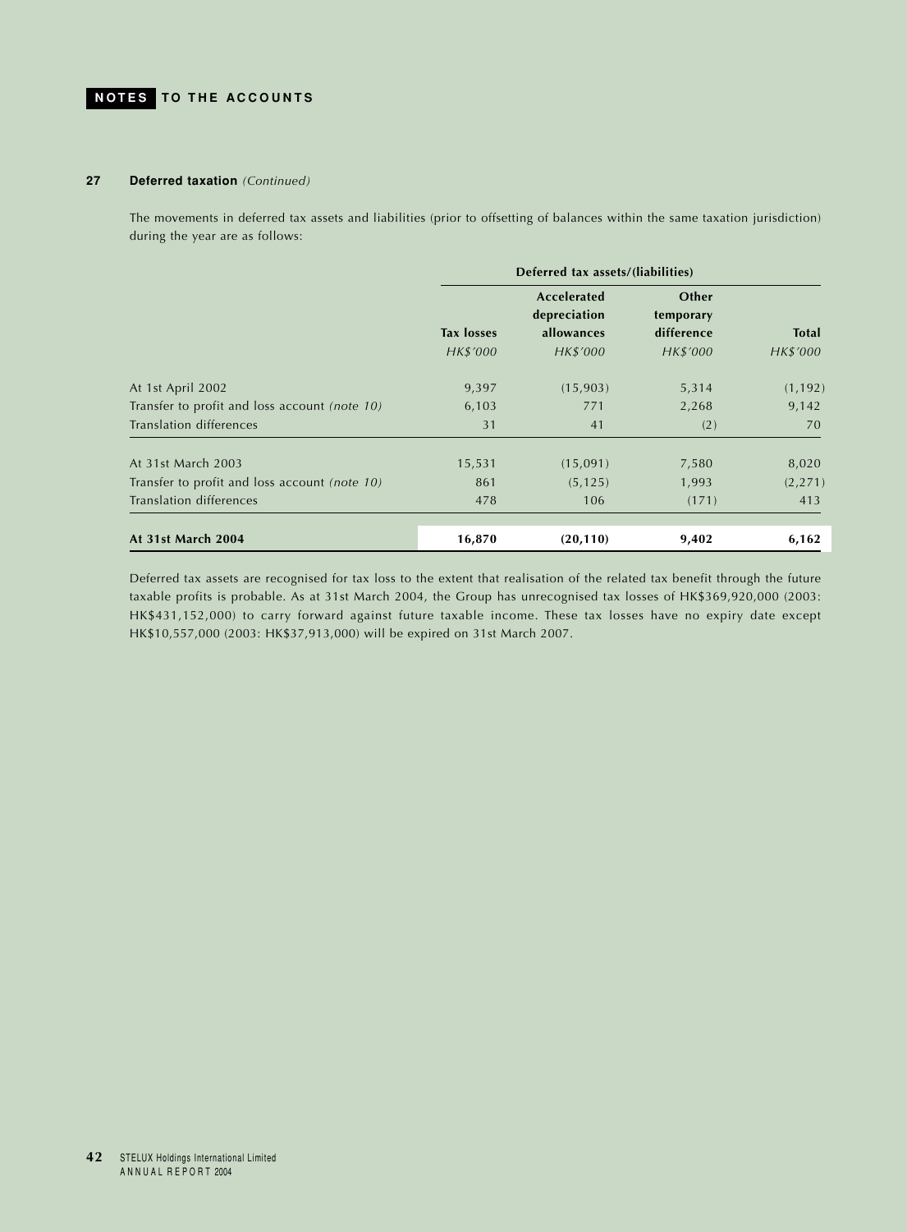## **27 Deferred taxation** *(Continued)*

The movements in deferred tax assets and liabilities (prior to offsetting of balances within the same taxation jurisdiction) during the year are as follows:

|                                               | Deferred tax assets/(liabilities) |                             |                    |              |
|-----------------------------------------------|-----------------------------------|-----------------------------|--------------------|--------------|
|                                               |                                   | Accelerated<br>depreciation | Other<br>temporary |              |
|                                               | <b>Tax losses</b>                 | allowances                  | difference         | <b>Total</b> |
|                                               | HK\$'000                          | HK\$'000                    | HK\$'000           | HK\$'000     |
| At 1st April 2002                             | 9,397                             | (15,903)                    | 5,314              | (1, 192)     |
| Transfer to profit and loss account (note 10) | 6,103                             | 771                         | 2,268              | 9,142        |
| Translation differences                       | 31                                | 41                          | (2)                | 70           |
| At 31st March 2003                            | 15,531                            | (15,091)                    | 7,580              | 8,020        |
| Transfer to profit and loss account (note 10) | 861                               | (5, 125)                    | 1,993              | (2, 271)     |
| Translation differences                       | 478                               | 106                         | (171)              | 413          |
| At 31st March 2004                            | 16,870                            | (20, 110)                   | 9,402              | 6,162        |

Deferred tax assets are recognised for tax loss to the extent that realisation of the related tax benefit through the future taxable profits is probable. As at 31st March 2004, the Group has unrecognised tax losses of HK\$369,920,000 (2003: HK\$431,152,000) to carry forward against future taxable income. These tax losses have no expiry date except HK\$10,557,000 (2003: HK\$37,913,000) will be expired on 31st March 2007.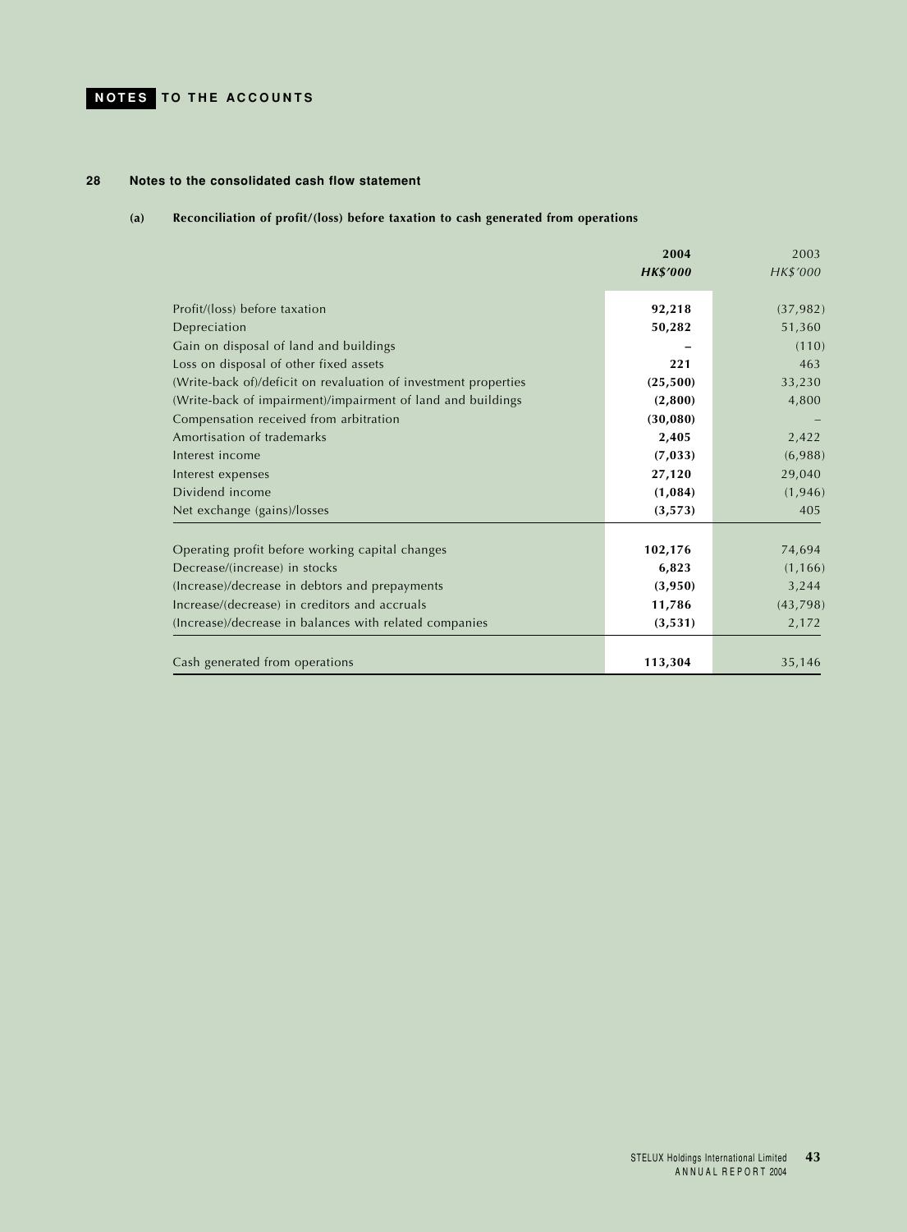## **28 Notes to the consolidated cash flow statement**

## **(a) Reconciliation of profit/(loss) before taxation to cash generated from operations**

|                                                                 | 2004            | 2003      |
|-----------------------------------------------------------------|-----------------|-----------|
|                                                                 | <b>HK\$'000</b> | HK\$'000  |
| Profit/(loss) before taxation                                   | 92,218          | (37, 982) |
| Depreciation                                                    | 50,282          | 51,360    |
| Gain on disposal of land and buildings                          |                 | (110)     |
| Loss on disposal of other fixed assets                          | 221             | 463       |
| (Write-back of)/deficit on revaluation of investment properties | (25,500)        | 33,230    |
| (Write-back of impairment)/impairment of land and buildings     | (2,800)         | 4,800     |
| Compensation received from arbitration                          | (30,080)        |           |
| Amortisation of trademarks                                      | 2,405           | 2,422     |
| Interest income                                                 | (7, 033)        | (6,988)   |
| Interest expenses                                               | 27,120          | 29,040    |
| Dividend income                                                 | (1,084)         | (1, 946)  |
| Net exchange (gains)/losses                                     | (3, 573)        | 405       |
| Operating profit before working capital changes                 | 102,176         | 74,694    |
| Decrease/(increase) in stocks                                   | 6,823           | (1, 166)  |
| (Increase)/decrease in debtors and prepayments                  | (3,950)         | 3,244     |
| Increase/(decrease) in creditors and accruals                   | 11,786          | (43,798)  |
| (Increase)/decrease in balances with related companies          | (3,531)         | 2,172     |
|                                                                 |                 |           |
| Cash generated from operations                                  | 113,304         | 35,146    |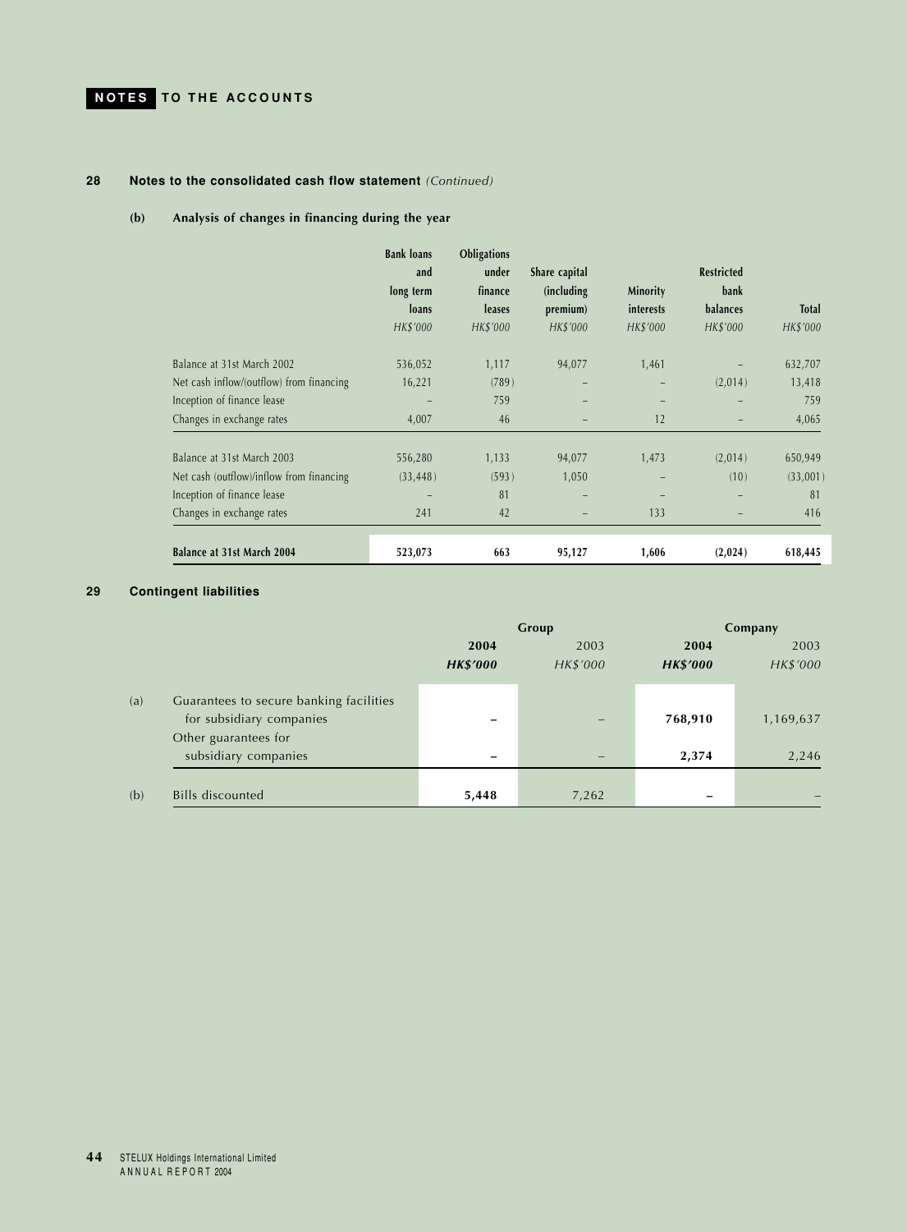## **28 Notes to the consolidated cash flow statement** *(Continued)*

## **(b) Analysis of changes in financing during the year**

|                                          | <b>Bank loans</b> | Obligations |               |                  |                   |              |
|------------------------------------------|-------------------|-------------|---------------|------------------|-------------------|--------------|
|                                          | and               | under       | Share capital |                  | <b>Restricted</b> |              |
|                                          | long term         | finance     | (including)   | Minority         | bank              |              |
|                                          | loans             | leases      | premium)      | <i>interests</i> | balances          | <b>Total</b> |
|                                          | HK\$'000          | HK\$'000    | HK\$'000      | HK\$'000         | HK\$'000          | HK\$'000     |
| Balance at 31st March 2002               | 536,052           | 1,117       | 94,077        | 1,461            |                   | 632,707      |
| Net cash inflow/(outflow) from financing | 16,221            | (789)       |               |                  | (2,014)           | 13,418       |
| Inception of finance lease               |                   | 759         | -             |                  | -                 | 759          |
| Changes in exchange rates                | 4,007             | 46          |               | 12               |                   | 4,065        |
| Balance at 31st March 2003               | 556,280           | 1,133       | 94,077        | 1,473            | (2,014)           | 650,949      |
| Net cash (outflow)/inflow from financing | (33, 448)         | (593)       | 1,050         |                  | (10)              | (33,001)     |
| Inception of finance lease               |                   | 81          | -             |                  | -                 | 81           |
| Changes in exchange rates                | 241               | 42          |               | 133              |                   | 416          |
| Balance at 31st March 2004               | 523,073           | 663         | 95,127        | 1,606            | (2,024)           | 618,445      |

## **29 Contingent liabilities**

|     |                                                                                             | Group                   |                  | Company                 |                  |
|-----|---------------------------------------------------------------------------------------------|-------------------------|------------------|-------------------------|------------------|
|     |                                                                                             | 2004<br><b>HK\$'000</b> | 2003<br>HK\$'000 | 2004<br><b>HK\$'000</b> | 2003<br>HK\$'000 |
| (a) | Guarantees to secure banking facilities<br>for subsidiary companies<br>Other guarantees for |                         |                  | 768,910                 | 1,169,637        |
|     | subsidiary companies                                                                        | -                       |                  | 2,374                   | 2,246            |
| (b) | <b>Bills discounted</b>                                                                     | 5,448                   | 7,262            | -                       |                  |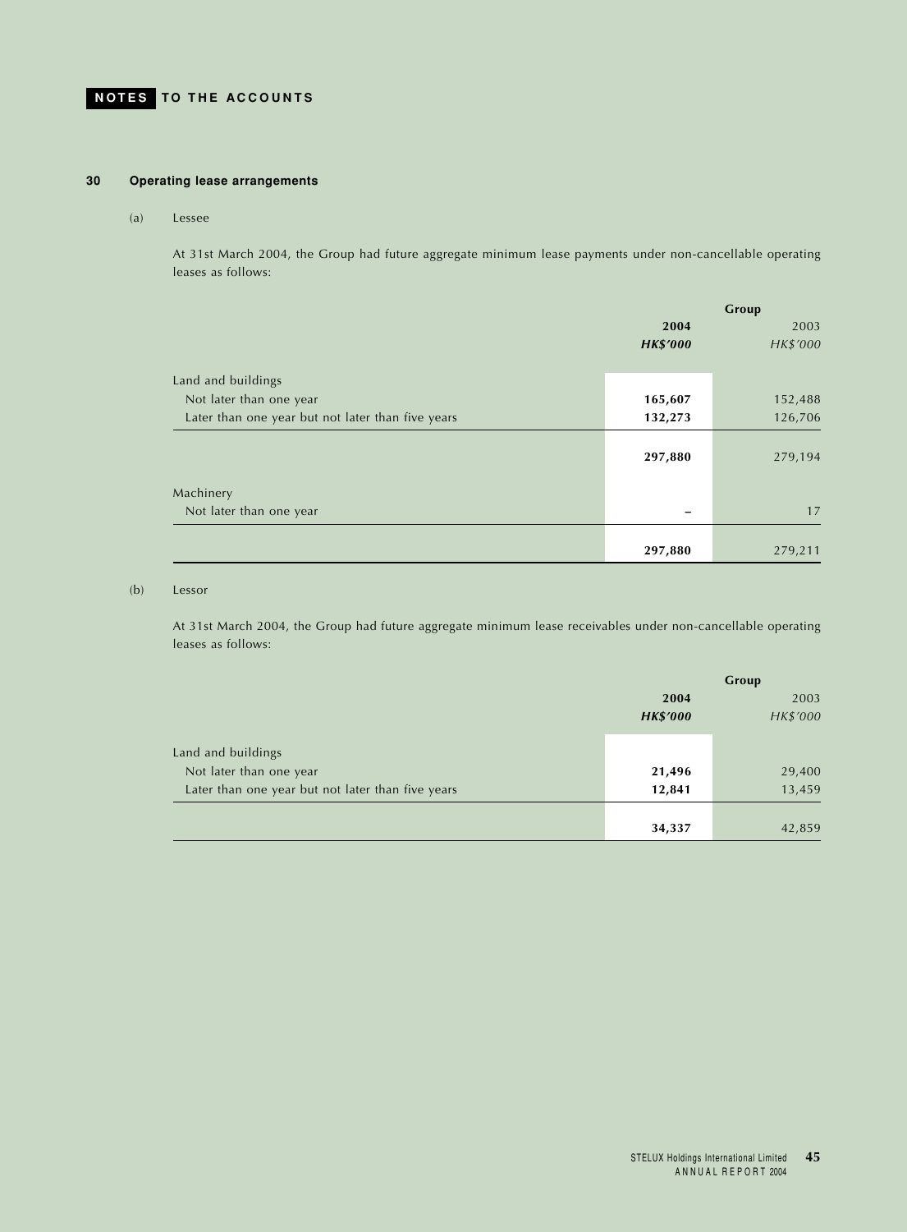## **30 Operating lease arrangements**

#### (a) Lessee

At 31st March 2004, the Group had future aggregate minimum lease payments under non-cancellable operating leases as follows:

|                                                   | Group           |          |  |
|---------------------------------------------------|-----------------|----------|--|
|                                                   | 2004            | 2003     |  |
|                                                   | <b>HK\$'000</b> | HK\$'000 |  |
| Land and buildings                                |                 |          |  |
| Not later than one year                           | 165,607         | 152,488  |  |
| Later than one year but not later than five years | 132,273         | 126,706  |  |
|                                                   | 297,880         | 279,194  |  |
| Machinery                                         |                 |          |  |
| Not later than one year                           |                 | 17       |  |
|                                                   |                 |          |  |
|                                                   | 297,880         | 279,211  |  |

## (b) Lessor

At 31st March 2004, the Group had future aggregate minimum lease receivables under non-cancellable operating leases as follows:

|                                                   | Group           |          |
|---------------------------------------------------|-----------------|----------|
|                                                   | 2004            | 2003     |
|                                                   | <b>HK\$'000</b> | HK\$'000 |
|                                                   |                 |          |
| Land and buildings                                |                 |          |
| Not later than one year                           | 21,496          | 29,400   |
| Later than one year but not later than five years | 12,841          | 13,459   |
|                                                   |                 |          |
|                                                   | 34,337          | 42,859   |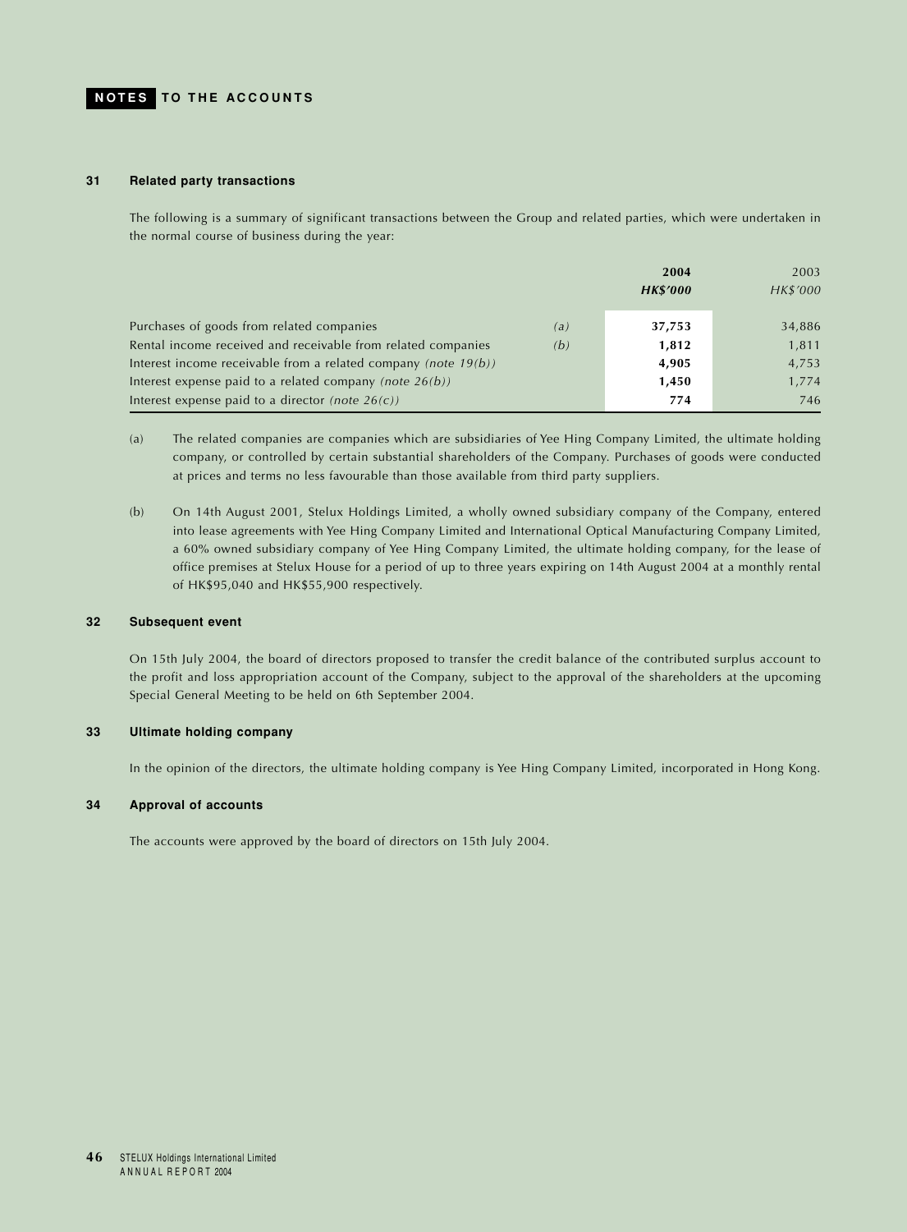#### **31 Related party transactions**

The following is a summary of significant transactions between the Group and related parties, which were undertaken in the normal course of business during the year:

|                                                                     | 2004<br><b>HK\$'000</b> | 2003<br>HK\$'000 |
|---------------------------------------------------------------------|-------------------------|------------------|
| Purchases of goods from related companies<br>(a)                    | 37,753                  | 34,886           |
| Rental income received and receivable from related companies<br>(b) | 1,812                   | 1,811            |
| Interest income receivable from a related company (note $19(b)$ )   | 4,905                   | 4,753            |
| Interest expense paid to a related company (note $26(b)$ )          | 1,450                   | 1,774            |
| Interest expense paid to a director (note $26(c)$ )                 | 774                     | 746              |

- (a) The related companies are companies which are subsidiaries of Yee Hing Company Limited, the ultimate holding company, or controlled by certain substantial shareholders of the Company. Purchases of goods were conducted at prices and terms no less favourable than those available from third party suppliers.
- (b) On 14th August 2001, Stelux Holdings Limited, a wholly owned subsidiary company of the Company, entered into lease agreements with Yee Hing Company Limited and International Optical Manufacturing Company Limited, a 60% owned subsidiary company of Yee Hing Company Limited, the ultimate holding company, for the lease of office premises at Stelux House for a period of up to three years expiring on 14th August 2004 at a monthly rental of HK\$95,040 and HK\$55,900 respectively.

## **32 Subsequent event**

On 15th July 2004, the board of directors proposed to transfer the credit balance of the contributed surplus account to the profit and loss appropriation account of the Company, subject to the approval of the shareholders at the upcoming Special General Meeting to be held on 6th September 2004.

### **33 Ultimate holding company**

In the opinion of the directors, the ultimate holding company is Yee Hing Company Limited, incorporated in Hong Kong.

## **34 Approval of accounts**

The accounts were approved by the board of directors on 15th July 2004.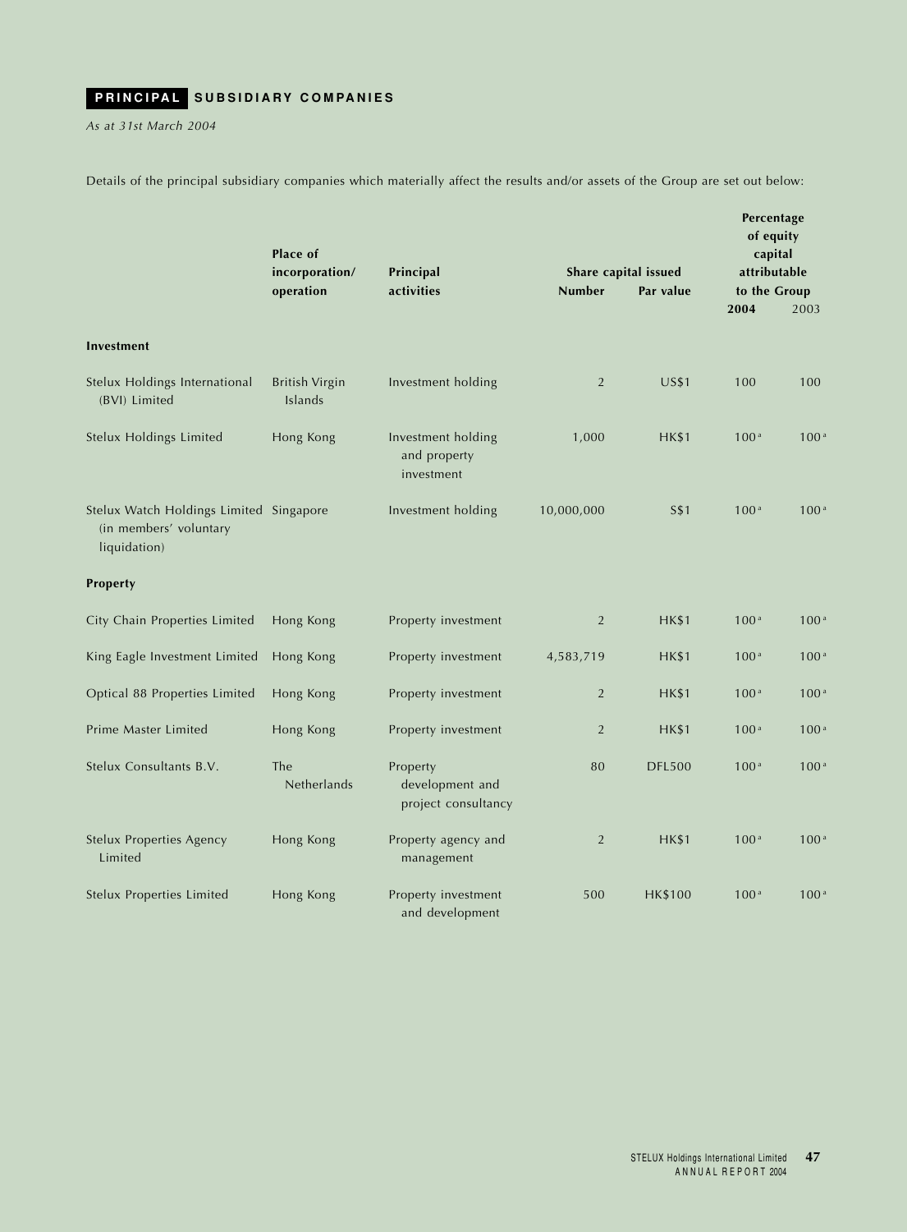<span id="page-47-0"></span>*As at 31st March 2004*

Details of the principal subsidiary companies which materially affect the results and/or assets of the Group are set out below:

|                                                                                   | Place of                         |                                                    |                |                      | Percentage<br>of equity<br>capital |                  |  |
|-----------------------------------------------------------------------------------|----------------------------------|----------------------------------------------------|----------------|----------------------|------------------------------------|------------------|--|
|                                                                                   | incorporation/                   | Principal<br>activities                            |                | Share capital issued |                                    | attributable     |  |
|                                                                                   | operation                        |                                                    | <b>Number</b>  | Par value            | to the Group<br>2004               | 2003             |  |
|                                                                                   |                                  |                                                    |                |                      |                                    |                  |  |
| Investment                                                                        |                                  |                                                    |                |                      |                                    |                  |  |
| Stelux Holdings International<br>(BVI) Limited                                    | <b>British Virgin</b><br>Islands | Investment holding                                 | 2              | <b>US\$1</b>         | 100                                | 100              |  |
| Stelux Holdings Limited                                                           | Hong Kong                        | Investment holding<br>and property<br>investment   | 1,000          | <b>HK\$1</b>         | 100 <sup>a</sup>                   | 100 <sup>a</sup> |  |
| Stelux Watch Holdings Limited Singapore<br>(in members' voluntary<br>liquidation) |                                  | Investment holding                                 | 10,000,000     | <b>S\$1</b>          | 100 <sup>a</sup>                   | 100 <sup>a</sup> |  |
| Property                                                                          |                                  |                                                    |                |                      |                                    |                  |  |
| City Chain Properties Limited                                                     | Hong Kong                        | Property investment                                | 2              | <b>HK\$1</b>         | 100 <sup>a</sup>                   | 100 <sup>a</sup> |  |
| King Eagle Investment Limited                                                     | Hong Kong                        | Property investment                                | 4,583,719      | <b>HK\$1</b>         | 100 <sup>a</sup>                   | 100 <sup>a</sup> |  |
| Optical 88 Properties Limited                                                     | Hong Kong                        | Property investment                                | $\overline{2}$ | <b>HK\$1</b>         | 100 <sup>a</sup>                   | 100 <sup>a</sup> |  |
| Prime Master Limited                                                              | Hong Kong                        | Property investment                                | $\overline{2}$ | HK\$1                | 100 <sup>a</sup>                   | 100 <sup>a</sup> |  |
| Stelux Consultants B.V.                                                           | The<br>Netherlands               | Property<br>development and<br>project consultancy | 80             | <b>DFL500</b>        | 100 <sup>a</sup>                   | 100 <sup>a</sup> |  |
| <b>Stelux Properties Agency</b><br>Limited                                        | Hong Kong                        | Property agency and<br>management                  | $\overline{2}$ | <b>HK\$1</b>         | 100 <sup>a</sup>                   | 100 <sup>a</sup> |  |
| <b>Stelux Properties Limited</b>                                                  | Hong Kong                        | Property investment<br>and development             | 500            | <b>HK\$100</b>       | 100 <sup>a</sup>                   | 100 <sup>a</sup> |  |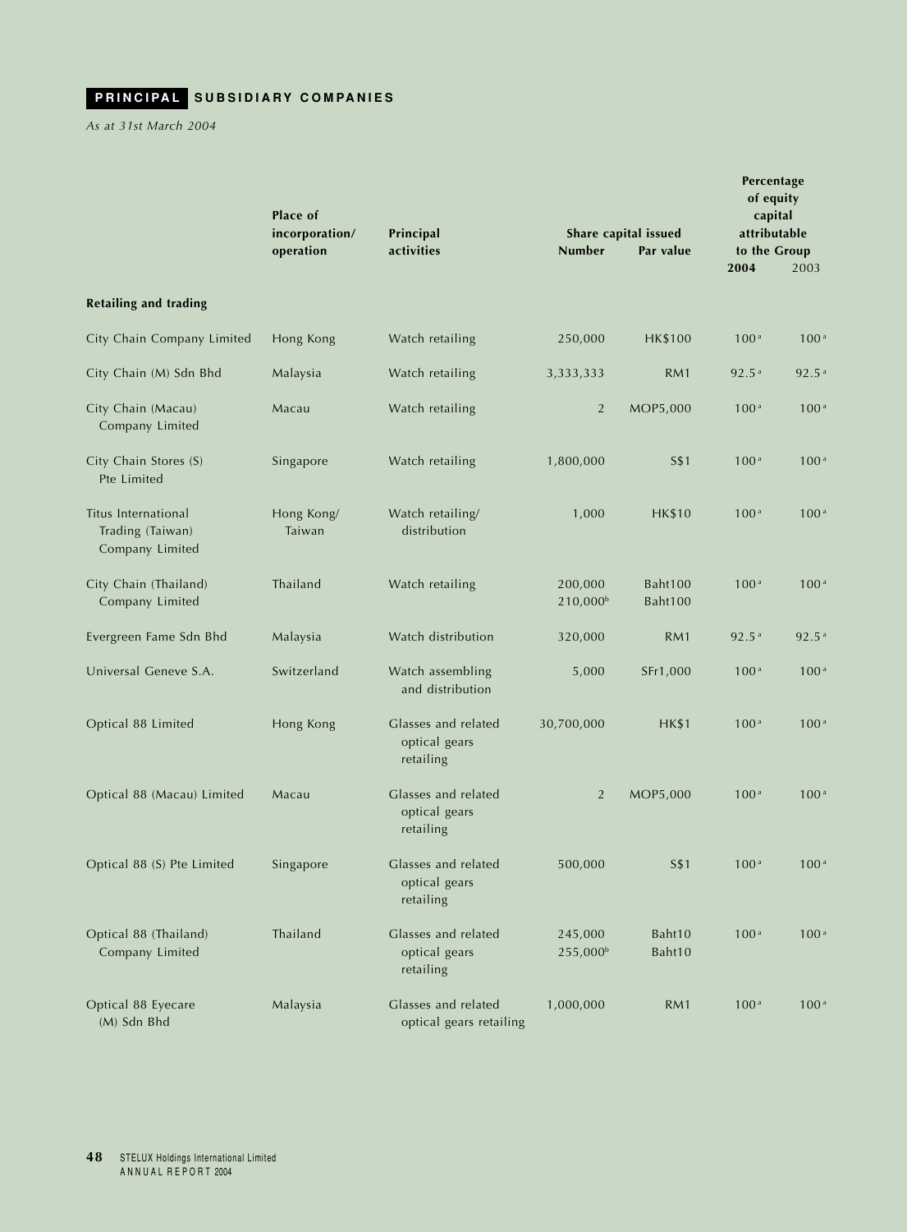*As at 31st March 2004*

|                                                            | Place of<br>incorporation/ | Principal                                         |                                 | Share capital issued | Percentage<br>of equity<br>capital<br>attributable |                   |
|------------------------------------------------------------|----------------------------|---------------------------------------------------|---------------------------------|----------------------|----------------------------------------------------|-------------------|
|                                                            | operation                  | activities                                        | <b>Number</b>                   | Par value            | to the Group                                       |                   |
|                                                            |                            |                                                   |                                 |                      | 2004                                               | 2003              |
| <b>Retailing and trading</b>                               |                            |                                                   |                                 |                      |                                                    |                   |
| City Chain Company Limited                                 | Hong Kong                  | Watch retailing                                   | 250,000                         | <b>HK\$100</b>       | 100 <sup>a</sup>                                   | 100 <sup>a</sup>  |
| City Chain (M) Sdn Bhd                                     | Malaysia                   | Watch retailing                                   | 3,333,333                       | RM1                  | 92.5 <sup>a</sup>                                  | 92.5 <sup>a</sup> |
| City Chain (Macau)<br>Company Limited                      | Macau                      | Watch retailing                                   | $\overline{2}$                  | MOP5,000             | 100 <sup>a</sup>                                   | 100 <sup>a</sup>  |
| City Chain Stores (S)<br>Pte Limited                       | Singapore                  | Watch retailing                                   | 1,800,000                       | S\$1                 | 100 <sup>a</sup>                                   | 100 <sup>a</sup>  |
| Titus International<br>Trading (Taiwan)<br>Company Limited | Hong Kong/<br>Taiwan       | Watch retailing/<br>distribution                  | 1,000                           | <b>HK\$10</b>        | 100 <sup>a</sup>                                   | 100 <sup>a</sup>  |
| City Chain (Thailand)<br>Company Limited                   | Thailand                   | Watch retailing                                   | 200,000<br>210,000 <sup>b</sup> | Baht100<br>Baht100   | 100 <sup>a</sup>                                   | 100 <sup>a</sup>  |
| Evergreen Fame Sdn Bhd                                     | Malaysia                   | Watch distribution                                | 320,000                         | RM1                  | 92.5 <sup>a</sup>                                  | 92.5a             |
| Universal Geneve S.A.                                      | Switzerland                | Watch assembling<br>and distribution              | 5,000                           | SFr1,000             | 100 <sup>a</sup>                                   | 100 <sup>a</sup>  |
| Optical 88 Limited                                         | Hong Kong                  | Glasses and related<br>optical gears<br>retailing | 30,700,000                      | <b>HK\$1</b>         | 100 <sup>a</sup>                                   | 100 <sup>a</sup>  |
| Optical 88 (Macau) Limited                                 | Macau                      | Glasses and related<br>optical gears<br>retailing | $\overline{2}$                  | MOP5,000             | 100 <sup>a</sup>                                   | 100 <sup>a</sup>  |
| Optical 88 (S) Pte Limited                                 | Singapore                  | Glasses and related<br>optical gears<br>retailing | 500,000                         | <b>S\$1</b>          | 100 <sup>a</sup>                                   | 100 <sup>a</sup>  |
| Optical 88 (Thailand)<br>Company Limited                   | Thailand                   | Glasses and related<br>optical gears<br>retailing | 245,000<br>255,000 <sup>b</sup> | Baht10<br>Baht10     | 100 <sup>a</sup>                                   | 100 <sup>a</sup>  |
| Optical 88 Eyecare<br>(M) Sdn Bhd                          | Malaysia                   | Glasses and related<br>optical gears retailing    | 1,000,000                       | RM1                  | 100 <sup>a</sup>                                   | 100 <sup>a</sup>  |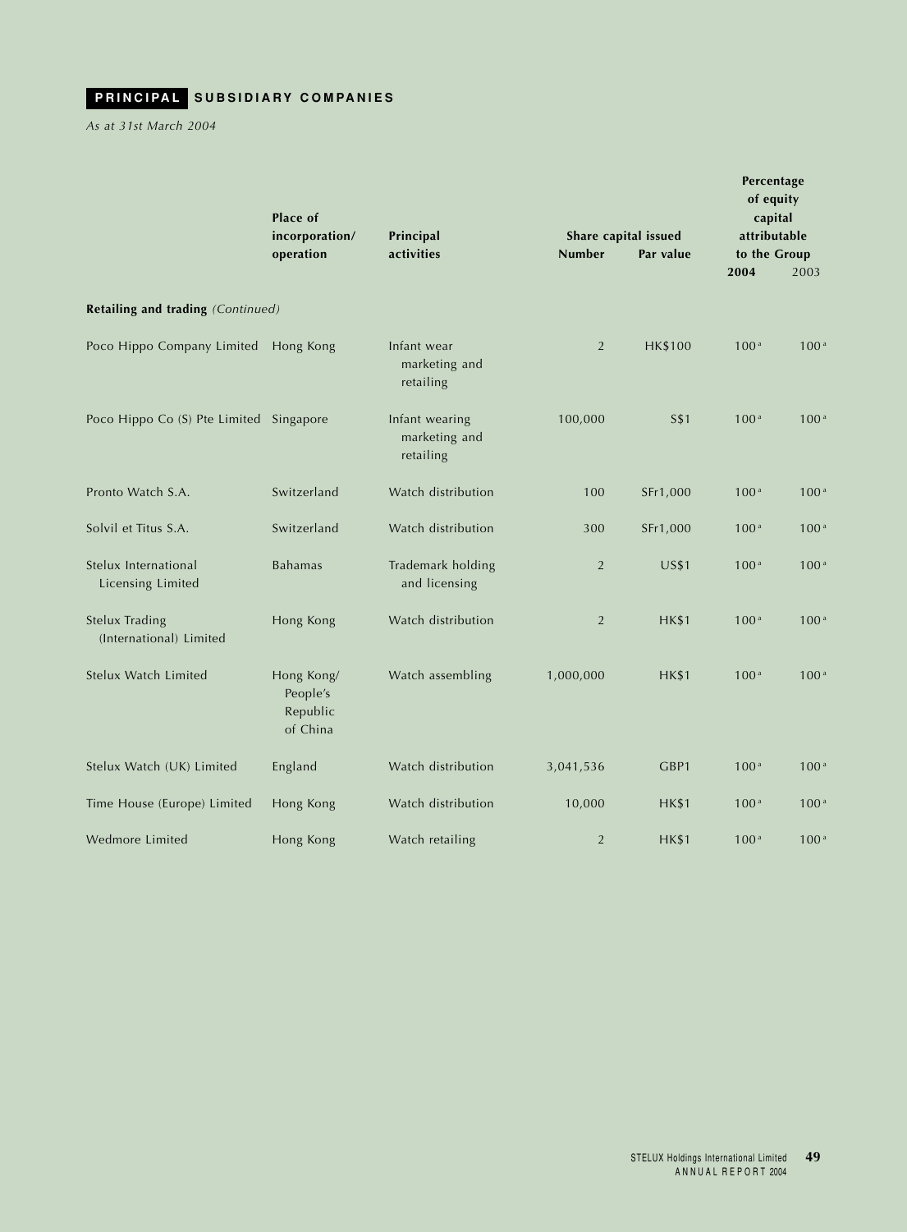*As at 31st March 2004*

|                                                  | Place of                                       |                                              |                |                      | Percentage<br>of equity<br>capital |                              |  |
|--------------------------------------------------|------------------------------------------------|----------------------------------------------|----------------|----------------------|------------------------------------|------------------------------|--|
|                                                  | incorporation/                                 | Principal<br>activities                      | <b>Number</b>  | Share capital issued |                                    | attributable<br>to the Group |  |
|                                                  | operation                                      |                                              |                | Par value            | 2004                               | 2003                         |  |
| Retailing and trading (Continued)                |                                                |                                              |                |                      |                                    |                              |  |
| Poco Hippo Company Limited                       | Hong Kong                                      | Infant wear<br>marketing and<br>retailing    | 2              | <b>HK\$100</b>       | 100 <sup>a</sup>                   | 100 <sup>a</sup>             |  |
| Poco Hippo Co (S) Pte Limited Singapore          |                                                | Infant wearing<br>marketing and<br>retailing | 100,000        | <b>S\$1</b>          | 100 <sup>a</sup>                   | 100 <sup>a</sup>             |  |
| Pronto Watch S.A.                                | Switzerland                                    | Watch distribution                           | 100            | SFr1,000             | 100 <sup>a</sup>                   | 100 <sup>a</sup>             |  |
| Solvil et Titus S.A.                             | Switzerland                                    | Watch distribution                           | 300            | SFr1,000             | 100 <sup>a</sup>                   | 100 <sup>a</sup>             |  |
| Stelux International<br>Licensing Limited        | <b>Bahamas</b>                                 | Trademark holding<br>and licensing           | $\overline{2}$ | <b>US\$1</b>         | 100 <sup>a</sup>                   | 100 <sup>a</sup>             |  |
| <b>Stelux Trading</b><br>(International) Limited | Hong Kong                                      | Watch distribution                           | $\overline{2}$ | <b>HK\$1</b>         | 100 <sup>a</sup>                   | 100 <sup>a</sup>             |  |
| Stelux Watch Limited                             | Hong Kong/<br>People's<br>Republic<br>of China | Watch assembling                             | 1,000,000      | <b>HK\$1</b>         | 100 <sup>a</sup>                   | 100 <sup>a</sup>             |  |
| Stelux Watch (UK) Limited                        | England                                        | Watch distribution                           | 3,041,536      | GBP1                 | 100 <sup>a</sup>                   | 100 <sup>a</sup>             |  |
| Time House (Europe) Limited                      | Hong Kong                                      | Watch distribution                           | 10,000         | <b>HK\$1</b>         | 100 <sup>a</sup>                   | 100 <sup>a</sup>             |  |
| Wedmore Limited                                  | Hong Kong                                      | Watch retailing                              | $\overline{2}$ | <b>HK\$1</b>         | 100 <sup>a</sup>                   | 100 <sup>a</sup>             |  |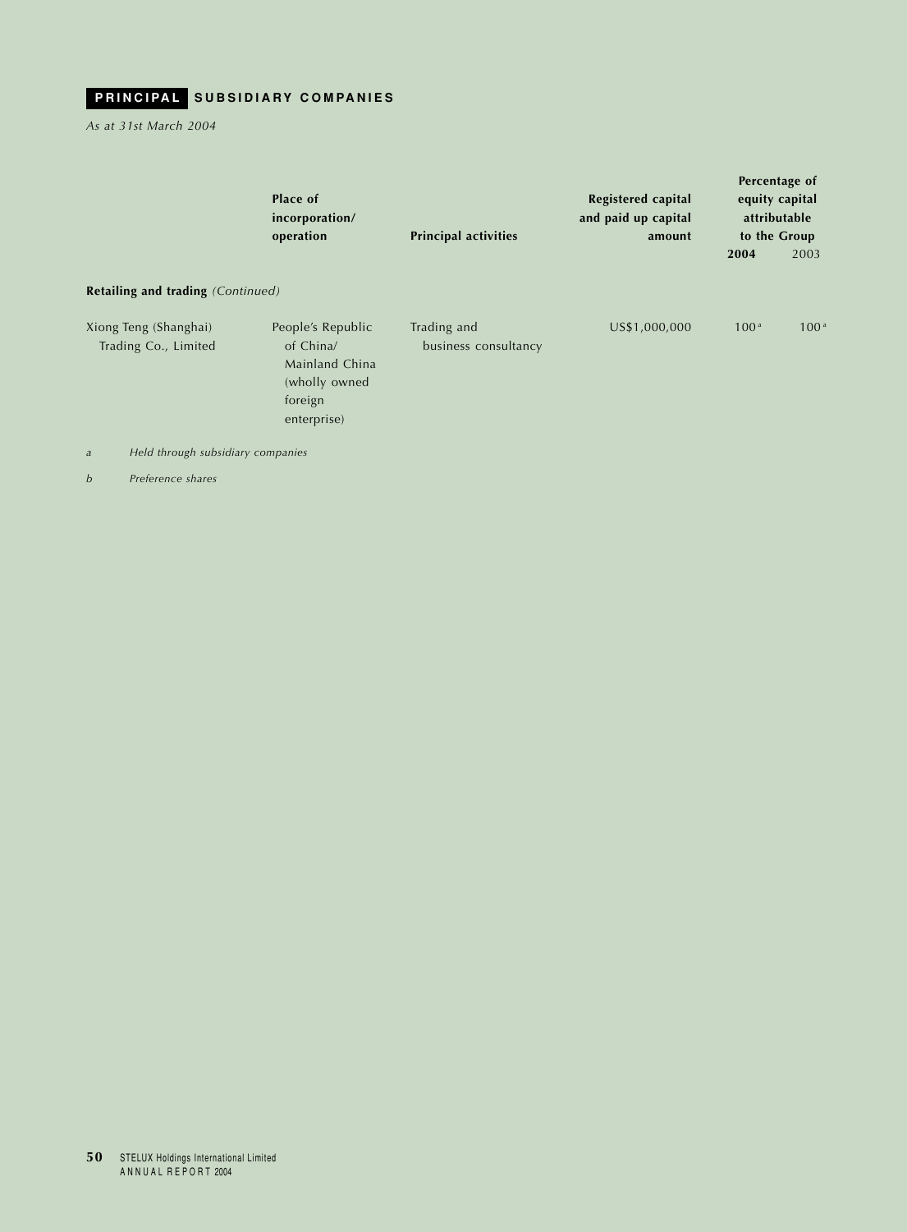*As at 31st March 2004*

| operation                                                                                    | <b>Principal activities</b>                         | <b>Registered capital</b><br>and paid up capital<br>amount | Percentage of<br>equity capital<br>attributable<br>to the Group |                  |
|----------------------------------------------------------------------------------------------|-----------------------------------------------------|------------------------------------------------------------|-----------------------------------------------------------------|------------------|
|                                                                                              |                                                     |                                                            | 2004                                                            | 2003             |
|                                                                                              |                                                     |                                                            |                                                                 |                  |
| People's Republic<br>of China/<br>Mainland China<br>(wholly owned)<br>foreign<br>enterprise) | Trading and<br>business consultancy                 | US\$1,000,000                                              | 100 <sup>a</sup>                                                | 100 <sup>a</sup> |
|                                                                                              | incorporation/<br>Retailing and trading (Continued) |                                                            |                                                                 |                  |

*a Held through subsidiary companies*

*b Preference shares*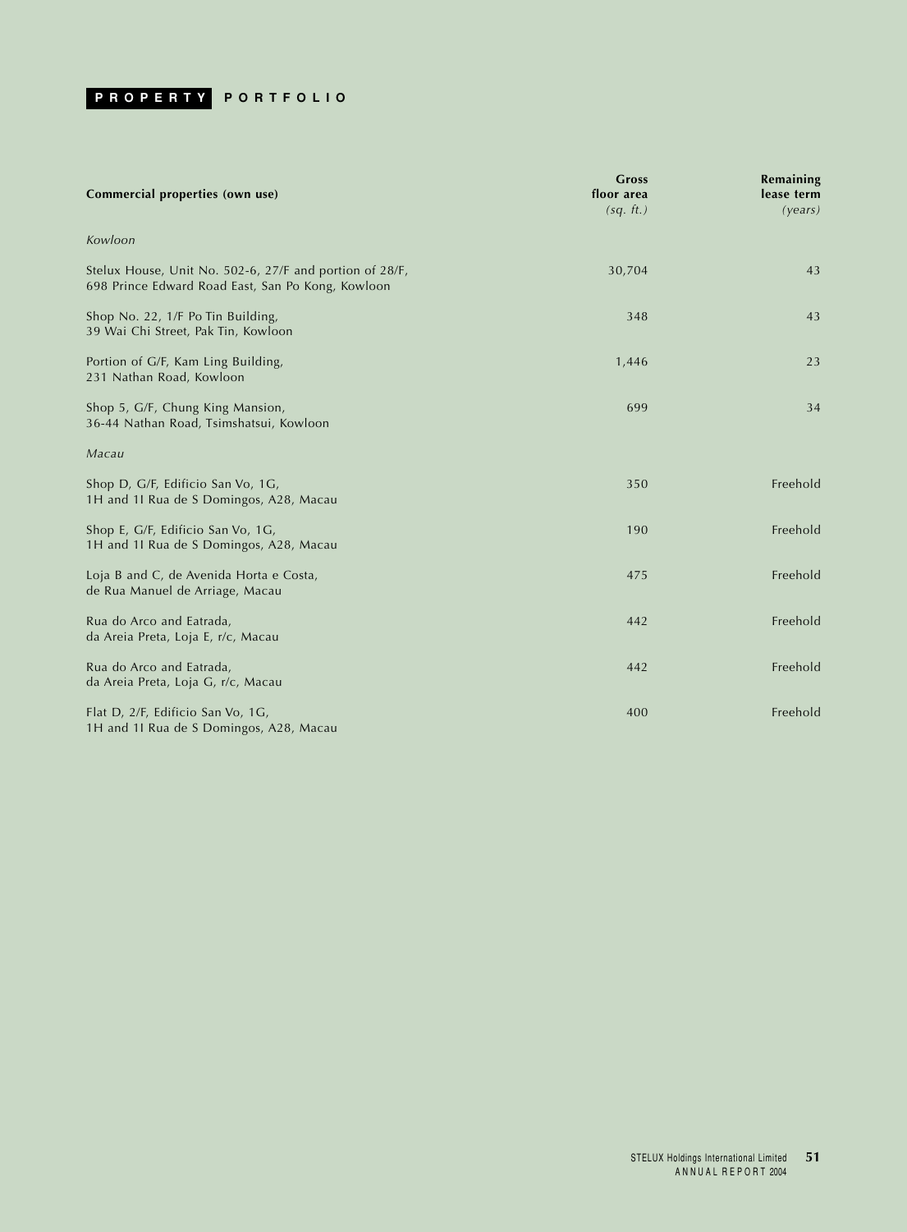<span id="page-51-0"></span>

| Commercial properties (own use)                                                                              | <b>Gross</b><br>floor area<br>(sq. ft.) | Remaining<br>lease term<br>(years) |
|--------------------------------------------------------------------------------------------------------------|-----------------------------------------|------------------------------------|
| Kowloon                                                                                                      |                                         |                                    |
| Stelux House, Unit No. 502-6, 27/F and portion of 28/F,<br>698 Prince Edward Road East, San Po Kong, Kowloon | 30,704                                  | 43                                 |
| Shop No. 22, 1/F Po Tin Building,<br>39 Wai Chi Street, Pak Tin, Kowloon                                     | 348                                     | 43                                 |
| Portion of G/F, Kam Ling Building,<br>231 Nathan Road, Kowloon                                               | 1,446                                   | 23                                 |
| Shop 5, G/F, Chung King Mansion,<br>36-44 Nathan Road, Tsimshatsui, Kowloon                                  | 699                                     | 34                                 |
| Macau                                                                                                        |                                         |                                    |
| Shop D, G/F, Edificio San Vo, 1G,<br>1H and 1I Rua de S Domingos, A28, Macau                                 | 350                                     | Freehold                           |
| Shop E, G/F, Edificio San Vo, 1G,<br>1H and 1I Rua de S Domingos, A28, Macau                                 | 190                                     | Freehold                           |
| Loja B and C, de Avenida Horta e Costa,<br>de Rua Manuel de Arriage, Macau                                   | 475                                     | Freehold                           |
| Rua do Arco and Eatrada,<br>da Areia Preta, Loja E, r/c, Macau                                               | 442                                     | Freehold                           |
| Rua do Arco and Eatrada,<br>da Areia Preta, Loja G, r/c, Macau                                               | 442                                     | Freehold                           |
| Flat D, 2/F, Edificio San Vo, 1G,<br>1H and 1I Rua de S Domingos, A28, Macau                                 | 400                                     | Freehold                           |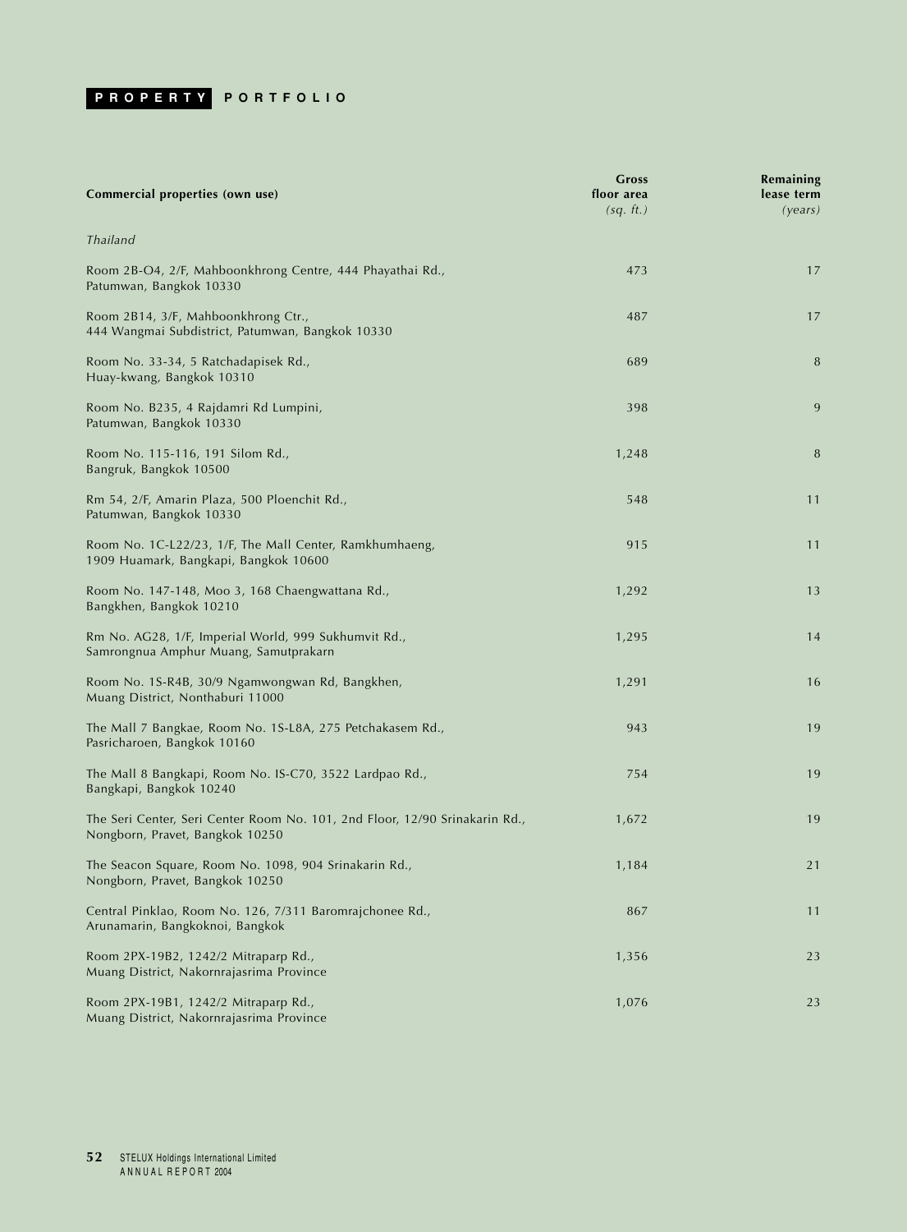

| Commercial properties (own use)                                                                                | Gross<br>floor area<br>(sq. ft.) | Remaining<br>lease term<br>(years) |
|----------------------------------------------------------------------------------------------------------------|----------------------------------|------------------------------------|
| Thailand                                                                                                       |                                  |                                    |
| Room 2B-O4, 2/F, Mahboonkhrong Centre, 444 Phayathai Rd.,<br>Patumwan, Bangkok 10330                           | 473                              | 17                                 |
| Room 2B14, 3/F, Mahboonkhrong Ctr.,<br>444 Wangmai Subdistrict, Patumwan, Bangkok 10330                        | 487                              | 17                                 |
| Room No. 33-34, 5 Ratchadapisek Rd.,<br>Huay-kwang, Bangkok 10310                                              | 689                              | 8                                  |
| Room No. B235, 4 Rajdamri Rd Lumpini,<br>Patumwan, Bangkok 10330                                               | 398                              | 9                                  |
| Room No. 115-116, 191 Silom Rd.,<br>Bangruk, Bangkok 10500                                                     | 1,248                            | 8                                  |
| Rm 54, 2/F, Amarin Plaza, 500 Ploenchit Rd.,<br>Patumwan, Bangkok 10330                                        | 548                              | 11                                 |
| Room No. 1C-L22/23, 1/F, The Mall Center, Ramkhumhaeng,<br>1909 Huamark, Bangkapi, Bangkok 10600               | 915                              | 11                                 |
| Room No. 147-148, Moo 3, 168 Chaengwattana Rd.,<br>Bangkhen, Bangkok 10210                                     | 1,292                            | 13                                 |
| Rm No. AG28, 1/F, Imperial World, 999 Sukhumvit Rd.,<br>Samrongnua Amphur Muang, Samutprakarn                  | 1,295                            | 14                                 |
| Room No. 1S-R4B, 30/9 Ngamwongwan Rd, Bangkhen,<br>Muang District, Nonthaburi 11000                            | 1,291                            | 16                                 |
| The Mall 7 Bangkae, Room No. 1S-L8A, 275 Petchakasem Rd.,<br>Pasricharoen, Bangkok 10160                       | 943                              | 19                                 |
| The Mall 8 Bangkapi, Room No. IS-C70, 3522 Lardpao Rd.,<br>Bangkapi, Bangkok 10240                             | 754                              | 19                                 |
| The Seri Center, Seri Center Room No. 101, 2nd Floor, 12/90 Srinakarin Rd.,<br>Nongborn, Pravet, Bangkok 10250 | 1,672                            | 19                                 |
| The Seacon Square, Room No. 1098, 904 Srinakarin Rd.,<br>Nongborn, Pravet, Bangkok 10250                       | 1,184                            | 21                                 |
| Central Pinklao, Room No. 126, 7/311 Baromrajchonee Rd.,<br>Arunamarin, Bangkoknoi, Bangkok                    | 867                              | 11                                 |
| Room 2PX-19B2, 1242/2 Mitraparp Rd.,<br>Muang District, Nakornrajasrima Province                               | 1,356                            | 23                                 |
| Room 2PX-19B1, 1242/2 Mitraparp Rd.,<br>Muang District, Nakornrajasrima Province                               | 1,076                            | 23                                 |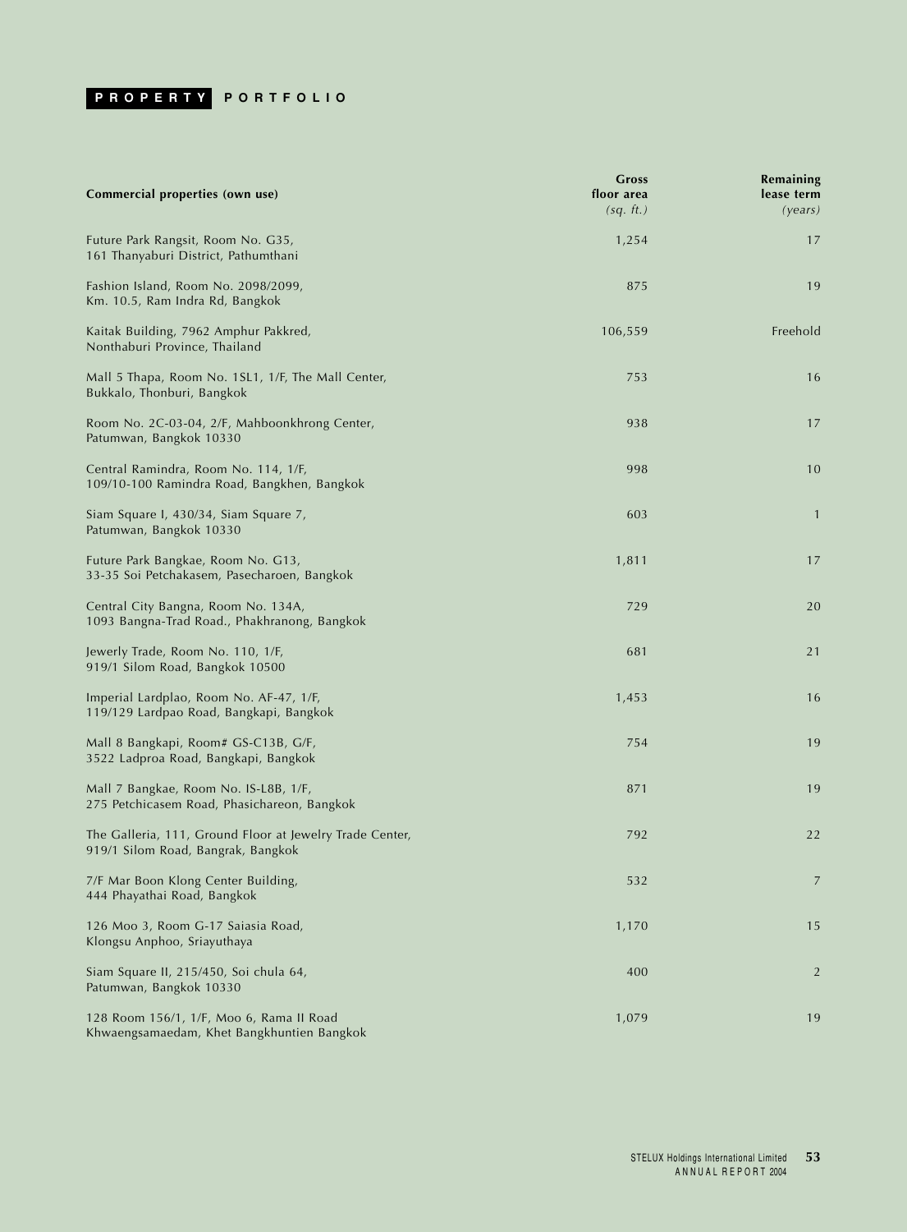

| Commercial properties (own use)                                                                | Gross<br>floor area<br>(sq. ft.) | Remaining<br>lease term<br>(years) |
|------------------------------------------------------------------------------------------------|----------------------------------|------------------------------------|
| Future Park Rangsit, Room No. G35,<br>161 Thanyaburi District, Pathumthani                     | 1,254                            | 17                                 |
| Fashion Island, Room No. 2098/2099,<br>Km. 10.5, Ram Indra Rd, Bangkok                         | 875                              | 19                                 |
| Kaitak Building, 7962 Amphur Pakkred,<br>Nonthaburi Province, Thailand                         | 106,559                          | Freehold                           |
| Mall 5 Thapa, Room No. 1SL1, 1/F, The Mall Center,<br>Bukkalo, Thonburi, Bangkok               | 753                              | 16                                 |
| Room No. 2C-03-04, 2/F, Mahboonkhrong Center,<br>Patumwan, Bangkok 10330                       | 938                              | 17                                 |
| Central Ramindra, Room No. 114, 1/F,<br>109/10-100 Ramindra Road, Bangkhen, Bangkok            | 998                              | 10                                 |
| Siam Square I, 430/34, Siam Square 7,<br>Patumwan, Bangkok 10330                               | 603                              | $\mathbf{1}$                       |
| Future Park Bangkae, Room No. G13,<br>33-35 Soi Petchakasem, Pasecharoen, Bangkok              | 1,811                            | 17                                 |
| Central City Bangna, Room No. 134A,<br>1093 Bangna-Trad Road., Phakhranong, Bangkok            | 729                              | 20                                 |
| Jewerly Trade, Room No. 110, 1/F,<br>919/1 Silom Road, Bangkok 10500                           | 681                              | 21                                 |
| Imperial Lardplao, Room No. AF-47, 1/F,<br>119/129 Lardpao Road, Bangkapi, Bangkok             | 1,453                            | 16                                 |
| Mall 8 Bangkapi, Room# GS-C13B, G/F,<br>3522 Ladproa Road, Bangkapi, Bangkok                   | 754                              | 19                                 |
| Mall 7 Bangkae, Room No. IS-L8B, 1/F,<br>275 Petchicasem Road, Phasichareon, Bangkok           | 871                              | 19                                 |
| The Galleria, 111, Ground Floor at Jewelry Trade Center,<br>919/1 Silom Road, Bangrak, Bangkok | 792                              | 22                                 |
| 7/F Mar Boon Klong Center Building,<br>444 Phayathai Road, Bangkok                             | 532                              | 7                                  |
| 126 Moo 3, Room G-17 Saiasia Road,<br>Klongsu Anphoo, Sriayuthaya                              | 1,170                            | 15                                 |
| Siam Square II, 215/450, Soi chula 64,<br>Patumwan, Bangkok 10330                              | 400                              | 2                                  |
| 128 Room 156/1, 1/F, Moo 6, Rama II Road<br>Khwaengsamaedam, Khet Bangkhuntien Bangkok         | 1,079                            | 19                                 |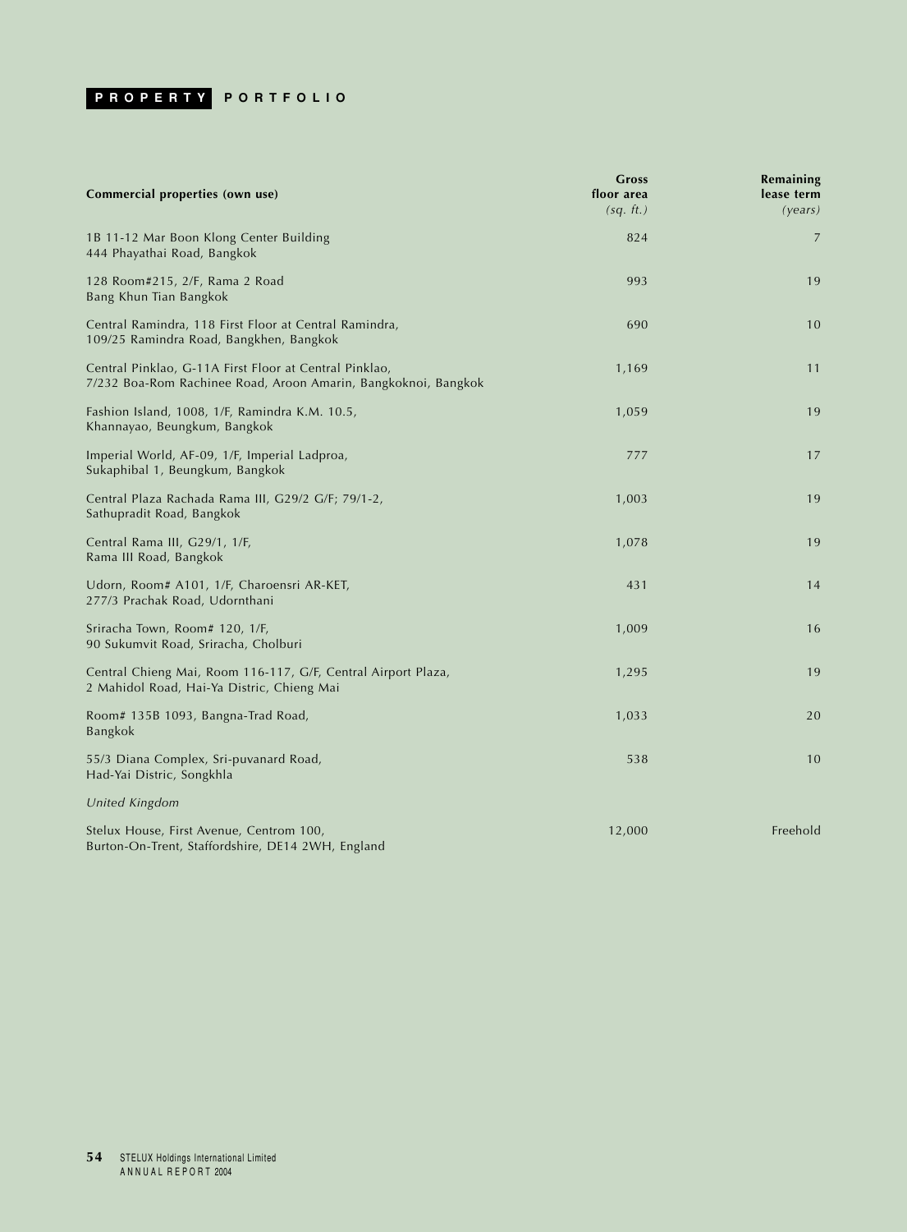# **PROPERTY PORTFOLIO**

| Commercial properties (own use)                                                                                          | Gross<br>floor area<br>(sq. ft.) | Remaining<br>lease term<br>(years) |
|--------------------------------------------------------------------------------------------------------------------------|----------------------------------|------------------------------------|
| 1B 11-12 Mar Boon Klong Center Building<br>444 Phayathai Road, Bangkok                                                   | 824                              | 7                                  |
| 128 Room#215, 2/F, Rama 2 Road<br>Bang Khun Tian Bangkok                                                                 | 993                              | 19                                 |
| Central Ramindra, 118 First Floor at Central Ramindra,<br>109/25 Ramindra Road, Bangkhen, Bangkok                        | 690                              | 10                                 |
| Central Pinklao, G-11A First Floor at Central Pinklao,<br>7/232 Boa-Rom Rachinee Road, Aroon Amarin, Bangkoknoi, Bangkok | 1,169                            | 11                                 |
| Fashion Island, 1008, 1/F, Ramindra K.M. 10.5,<br>Khannayao, Beungkum, Bangkok                                           | 1,059                            | 19                                 |
| Imperial World, AF-09, 1/F, Imperial Ladproa,<br>Sukaphibal 1, Beungkum, Bangkok                                         | 777                              | 17                                 |
| Central Plaza Rachada Rama III, G29/2 G/F; 79/1-2,<br>Sathupradit Road, Bangkok                                          | 1,003                            | 19                                 |
| Central Rama III, G29/1, 1/F,<br>Rama III Road, Bangkok                                                                  | 1,078                            | 19                                 |
| Udorn, Room# A101, 1/F, Charoensri AR-KET,<br>277/3 Prachak Road, Udornthani                                             | 431                              | 14                                 |
| Sriracha Town, Room# 120, 1/F,<br>90 Sukumvit Road, Sriracha, Cholburi                                                   | 1,009                            | 16                                 |
| Central Chieng Mai, Room 116-117, G/F, Central Airport Plaza,<br>2 Mahidol Road, Hai-Ya Distric, Chieng Mai              | 1,295                            | 19                                 |
| Room# 135B 1093, Bangna-Trad Road,<br>Bangkok                                                                            | 1,033                            | 20                                 |
| 55/3 Diana Complex, Sri-puvanard Road,<br>Had-Yai Distric, Songkhla                                                      | 538                              | 10                                 |
| United Kingdom                                                                                                           |                                  |                                    |
| Stelux House, First Avenue, Centrom 100,<br>Burton-On-Trent, Staffordshire, DE14 2WH, England                            | 12,000                           | Freehold                           |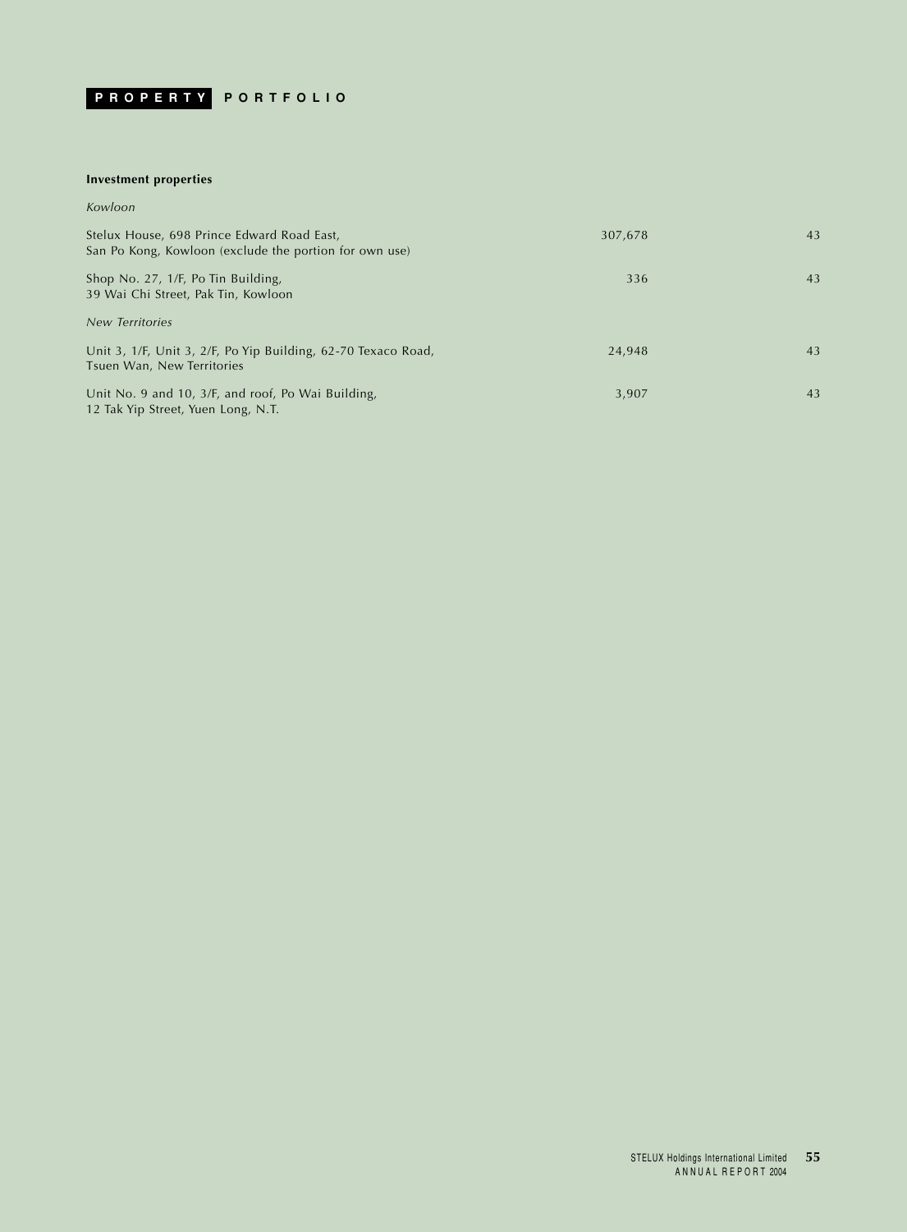

## **Investment properties**

### *Kowloon*

| Stelux House, 698 Prince Edward Road East,<br>San Po Kong, Kowloon (exclude the portion for own use) | 307,678 | 43 |
|------------------------------------------------------------------------------------------------------|---------|----|
| Shop No. 27, 1/F, Po Tin Building,<br>39 Wai Chi Street, Pak Tin, Kowloon                            | 336     | 43 |
| <b>New Territories</b>                                                                               |         |    |
| Unit 3, 1/F, Unit 3, 2/F, Po Yip Building, 62-70 Texaco Road,<br>Tsuen Wan, New Territories          | 24,948  | 43 |
| Unit No. 9 and 10, 3/F, and roof, Po Wai Building,<br>12 Tak Yip Street, Yuen Long, N.T.             | 3,907   | 43 |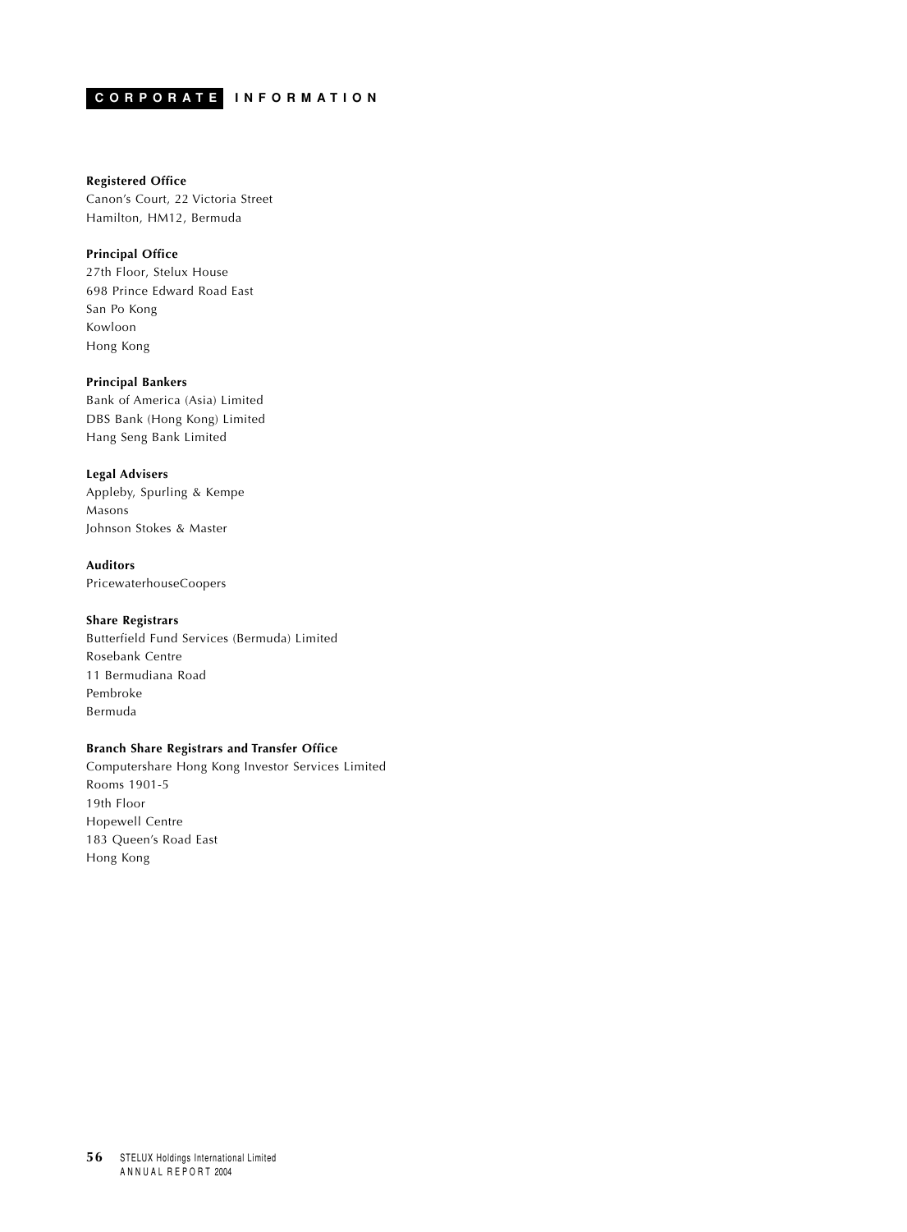## <span id="page-56-0"></span>**CORPORATE INFORMATION**

## **Registered Office**

Canon's Court, 22 Victoria Street Hamilton, HM12, Bermuda

## **Principal Office**

27th Floor, Stelux House 698 Prince Edward Road East San Po Kong Kowloon Hong Kong

### **Principal Bankers**

Bank of America (Asia) Limited DBS Bank (Hong Kong) Limited Hang Seng Bank Limited

## **Legal Advisers**

Appleby, Spurling & Kempe Masons Johnson Stokes & Master

## **Auditors**

PricewaterhouseCoopers

## **Share Registrars**

Butterfield Fund Services (Bermuda) Limited Rosebank Centre 11 Bermudiana Road Pembroke Bermuda

## **Branch Share Registrars and Transfer Office**

Computershare Hong Kong Investor Services Limited Rooms 1901-5 19th Floor Hopewell Centre 183 Queen's Road East Hong Kong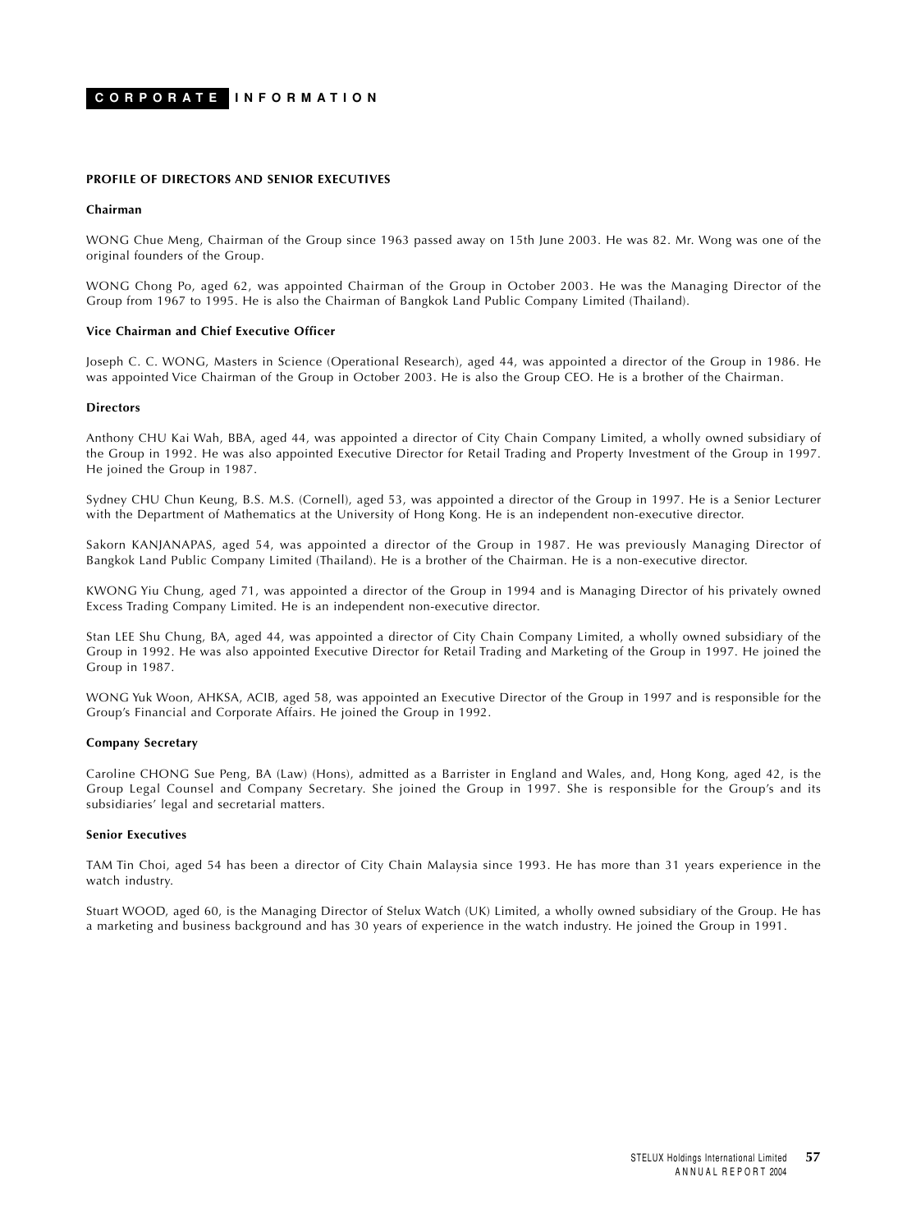## **CORPORATE INFORMATION**

#### **PROFILE OF DIRECTORS AND SENIOR EXECUTIVES**

### **Chairman**

WONG Chue Meng, Chairman of the Group since 1963 passed away on 15th June 2003. He was 82. Mr. Wong was one of the original founders of the Group.

WONG Chong Po, aged 62, was appointed Chairman of the Group in October 2003. He was the Managing Director of the Group from 1967 to 1995. He is also the Chairman of Bangkok Land Public Company Limited (Thailand).

#### **Vice Chairman and Chief Executive Officer**

Joseph C. C. WONG, Masters in Science (Operational Research), aged 44, was appointed a director of the Group in 1986. He was appointed Vice Chairman of the Group in October 2003. He is also the Group CEO. He is a brother of the Chairman.

#### **Directors**

Anthony CHU Kai Wah, BBA, aged 44, was appointed a director of City Chain Company Limited, a wholly owned subsidiary of the Group in 1992. He was also appointed Executive Director for Retail Trading and Property Investment of the Group in 1997. He joined the Group in 1987.

Sydney CHU Chun Keung, B.S. M.S. (Cornell), aged 53, was appointed a director of the Group in 1997. He is a Senior Lecturer with the Department of Mathematics at the University of Hong Kong. He is an independent non-executive director.

Sakorn KANJANAPAS, aged 54, was appointed a director of the Group in 1987. He was previously Managing Director of Bangkok Land Public Company Limited (Thailand). He is a brother of the Chairman. He is a non-executive director.

KWONG Yiu Chung, aged 71, was appointed a director of the Group in 1994 and is Managing Director of his privately owned Excess Trading Company Limited. He is an independent non-executive director.

Stan LEE Shu Chung, BA, aged 44, was appointed a director of City Chain Company Limited, a wholly owned subsidiary of the Group in 1992. He was also appointed Executive Director for Retail Trading and Marketing of the Group in 1997. He joined the Group in 1987.

WONG Yuk Woon, AHKSA, ACIB, aged 58, was appointed an Executive Director of the Group in 1997 and is responsible for the Group's Financial and Corporate Affairs. He joined the Group in 1992.

#### **Company Secretary**

Caroline CHONG Sue Peng, BA (Law) (Hons), admitted as a Barrister in England and Wales, and, Hong Kong, aged 42, is the Group Legal Counsel and Company Secretary. She joined the Group in 1997. She is responsible for the Group's and its subsidiaries' legal and secretarial matters.

#### **Senior Executives**

TAM Tin Choi, aged 54 has been a director of City Chain Malaysia since 1993. He has more than 31 years experience in the watch industry.

Stuart WOOD, aged 60, is the Managing Director of Stelux Watch (UK) Limited, a wholly owned subsidiary of the Group. He has a marketing and business background and has 30 years of experience in the watch industry. He joined the Group in 1991.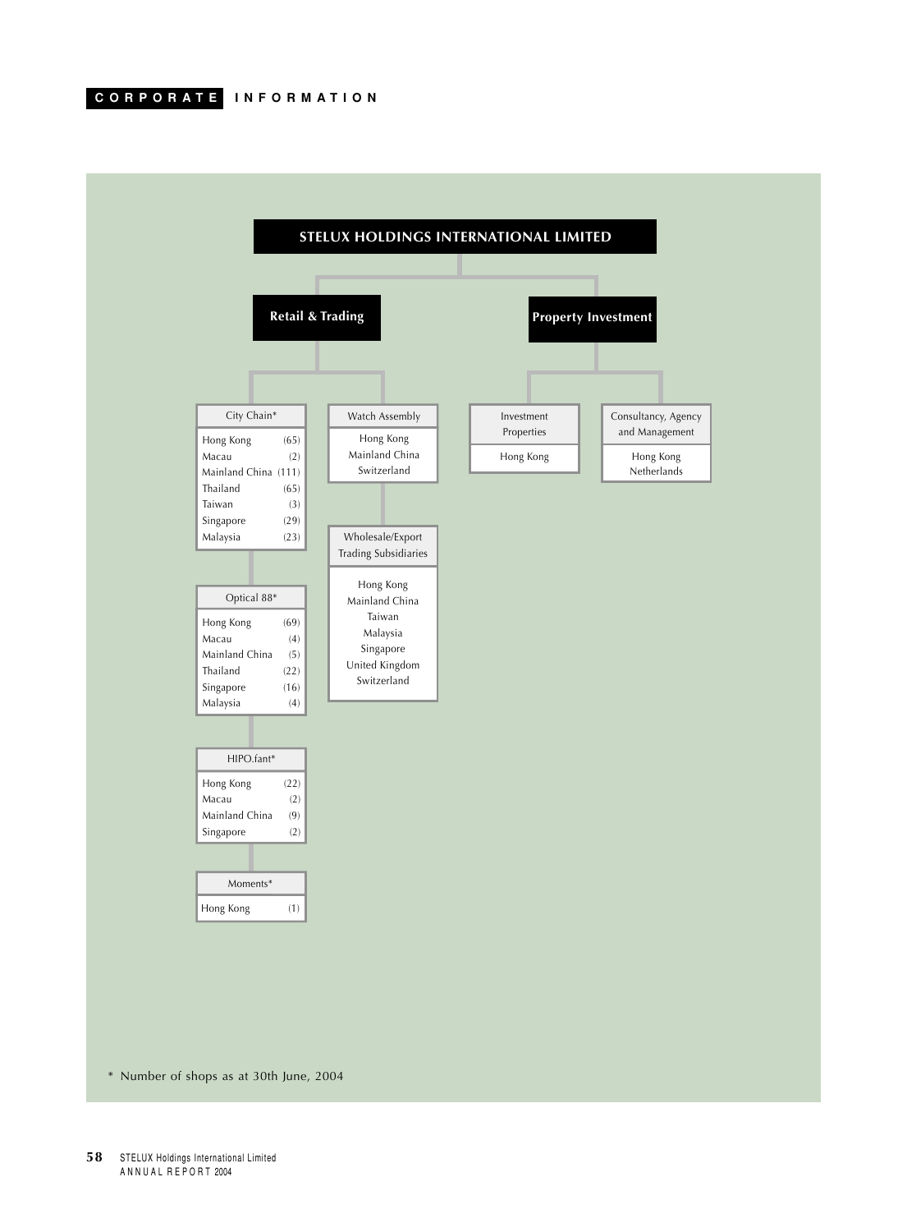

**58** STELUX Holdings International Limited ANNUAL REPORT 2004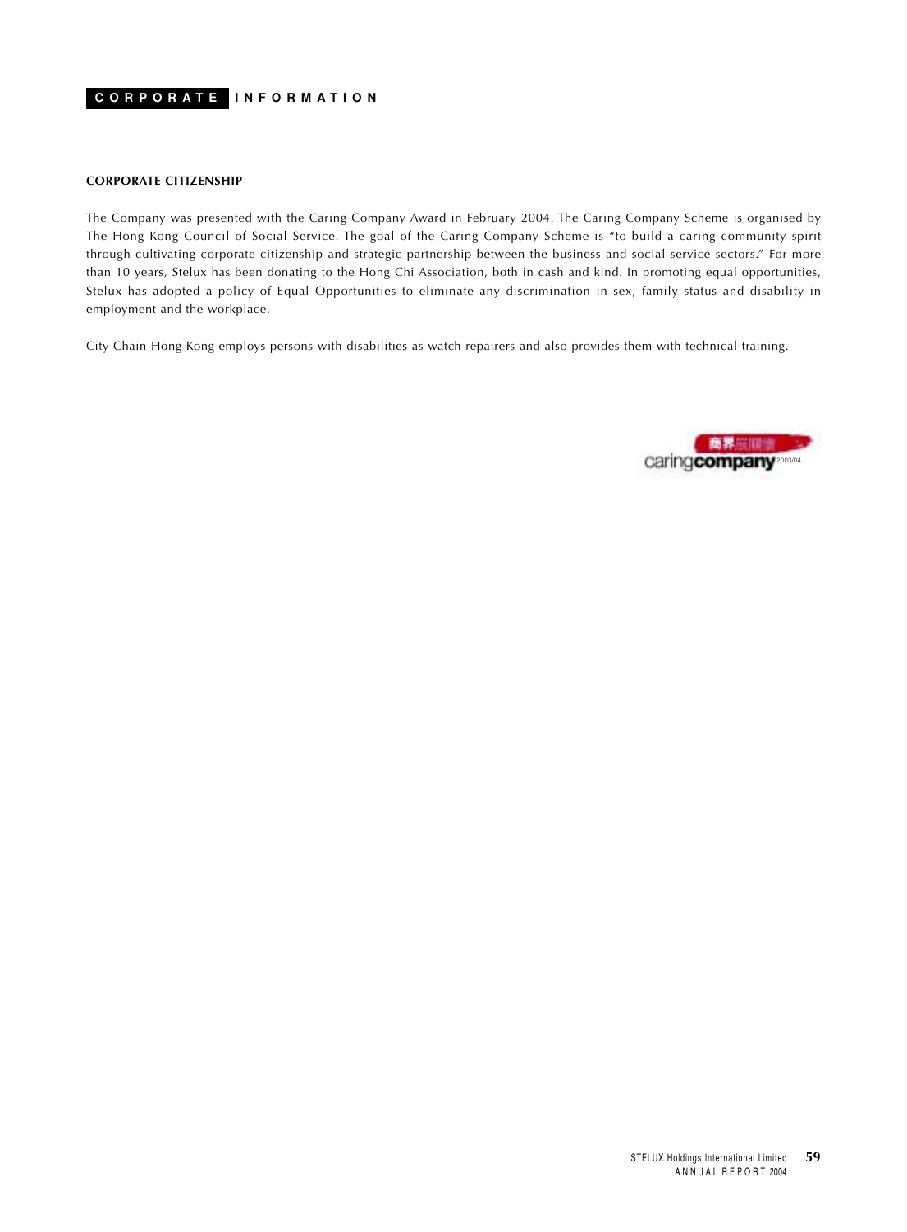#### **CORPORATE CITIZENSHIP**

The Company was presented with the Caring Company Award in February 2004. The Caring Company Scheme is organised by The Hong Kong Council of Social Service. The goal of the Caring Company Scheme is "to build a caring community spirit through cultivating corporate citizenship and strategic partnership between the business and social service sectors." For more than 10 years, Stelux has been donating to the Hong Chi Association, both in cash and kind. In promoting equal opportunities, Stelux has adopted a policy of Equal Opportunities to eliminate any discrimination in sex, family status and disability in employment and the workplace.

City Chain Hong Kong employs persons with disabilities as watch repairers and also provides them with technical training.